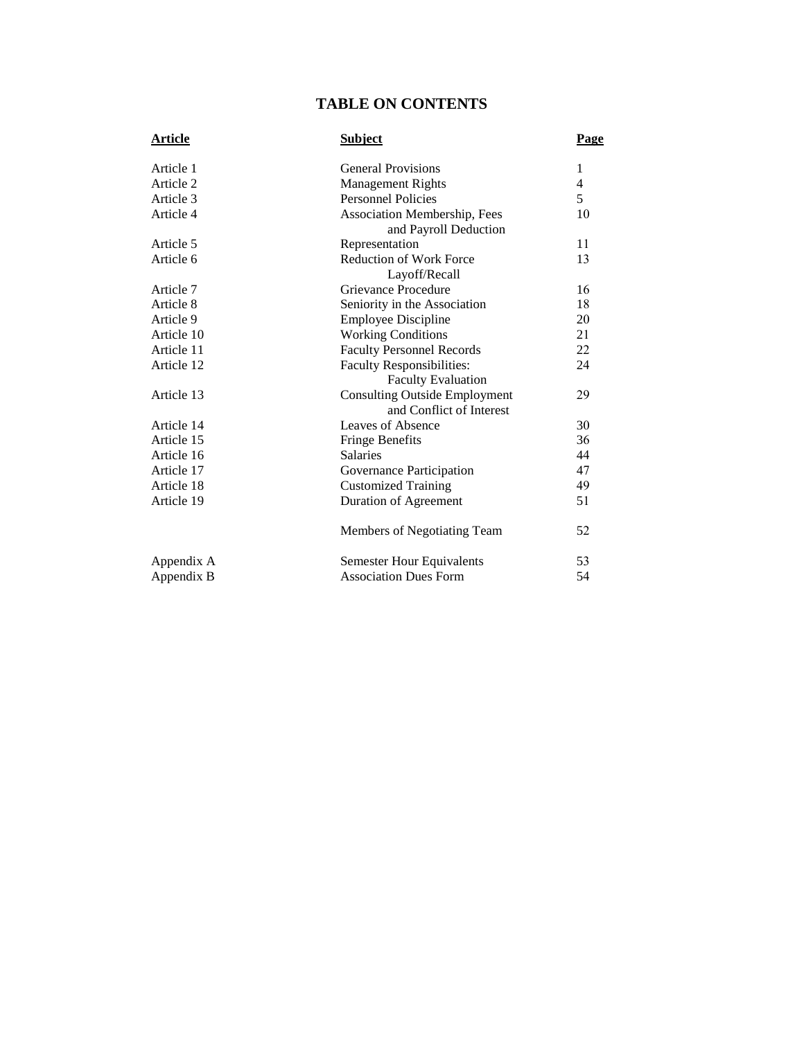# **TABLE ON CONTENTS**

| <b>Article</b> | <b>Subject</b>                                                   | Page |  |
|----------------|------------------------------------------------------------------|------|--|
| Article 1      | <b>General Provisions</b>                                        | 1    |  |
| Article 2      | <b>Management Rights</b>                                         | 4    |  |
| Article 3      | <b>Personnel Policies</b>                                        | 5    |  |
| Article 4      | Association Membership, Fees<br>and Payroll Deduction            | 10   |  |
| Article 5      | Representation                                                   | 11   |  |
| Article 6      | <b>Reduction of Work Force</b><br>Layoff/Recall                  | 13   |  |
| Article 7      | Grievance Procedure                                              | 16   |  |
| Article 8      | Seniority in the Association                                     | 18   |  |
| Article 9      | <b>Employee Discipline</b>                                       | 20   |  |
| Article 10     | <b>Working Conditions</b>                                        | 21   |  |
| Article 11     | <b>Faculty Personnel Records</b>                                 | 22   |  |
| Article 12     | <b>Faculty Responsibilities:</b><br><b>Faculty Evaluation</b>    | 24   |  |
| Article 13     | <b>Consulting Outside Employment</b><br>and Conflict of Interest | 29   |  |
| Article 14     | Leaves of Absence                                                | 30   |  |
| Article 15     | <b>Fringe Benefits</b>                                           | 36   |  |
| Article 16     | <b>Salaries</b>                                                  | 44   |  |
| Article 17     | Governance Participation                                         | 47   |  |
| Article 18     | <b>Customized Training</b>                                       | 49   |  |
| Article 19     | Duration of Agreement                                            | 51   |  |
|                | Members of Negotiating Team                                      | 52   |  |
| Appendix A     | <b>Semester Hour Equivalents</b>                                 | 53   |  |
| Appendix B     | <b>Association Dues Form</b>                                     | 54   |  |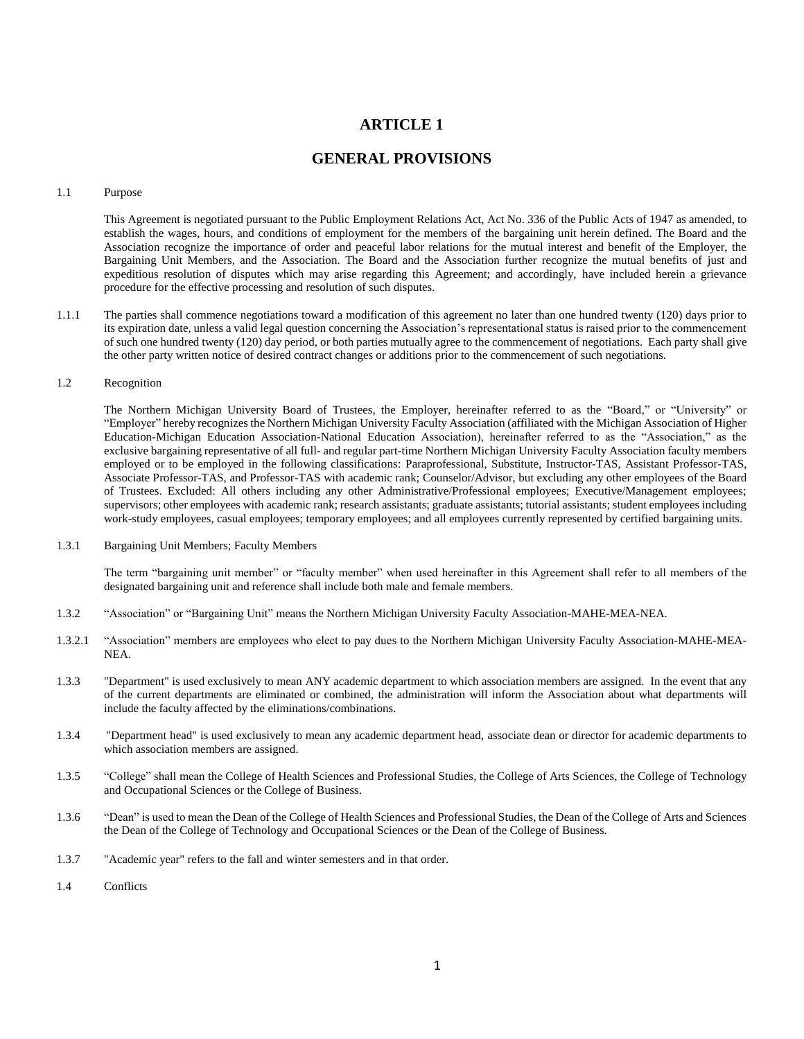## **ARTICLE 1**

## **GENERAL PROVISIONS**

### 1.1 Purpose

This Agreement is negotiated pursuant to the Public Employment Relations Act, Act No. 336 of the Public Acts of 1947 as amended, to establish the wages, hours, and conditions of employment for the members of the bargaining unit herein defined. The Board and the Association recognize the importance of order and peaceful labor relations for the mutual interest and benefit of the Employer, the Bargaining Unit Members, and the Association. The Board and the Association further recognize the mutual benefits of just and expeditious resolution of disputes which may arise regarding this Agreement; and accordingly, have included herein a grievance procedure for the effective processing and resolution of such disputes.

1.1.1 The parties shall commence negotiations toward a modification of this agreement no later than one hundred twenty (120) days prior to its expiration date, unless a valid legal question concerning the Association's representational status is raised prior to the commencement of such one hundred twenty (120) day period, or both parties mutually agree to the commencement of negotiations. Each party shall give the other party written notice of desired contract changes or additions prior to the commencement of such negotiations.

#### 1.2 Recognition

The Northern Michigan University Board of Trustees, the Employer, hereinafter referred to as the "Board," or "University" or "Employer" hereby recognizes the Northern Michigan University Faculty Association (affiliated with the Michigan Association of Higher Education-Michigan Education Association-National Education Association), hereinafter referred to as the "Association," as the exclusive bargaining representative of all full- and regular part-time Northern Michigan University Faculty Association faculty members employed or to be employed in the following classifications: Paraprofessional, Substitute, Instructor-TAS, Assistant Professor-TAS, Associate Professor-TAS, and Professor-TAS with academic rank; Counselor/Advisor, but excluding any other employees of the Board of Trustees. Excluded: All others including any other Administrative/Professional employees; Executive/Management employees; supervisors; other employees with academic rank; research assistants; graduate assistants; tutorial assistants; student employees including work-study employees, casual employees; temporary employees; and all employees currently represented by certified bargaining units.

1.3.1 Bargaining Unit Members; Faculty Members

The term "bargaining unit member" or "faculty member" when used hereinafter in this Agreement shall refer to all members of the designated bargaining unit and reference shall include both male and female members.

- 1.3.2 "Association" or "Bargaining Unit" means the Northern Michigan University Faculty Association-MAHE-MEA-NEA.
- 1.3.2.1 "Association" members are employees who elect to pay dues to the Northern Michigan University Faculty Association-MAHE-MEA-NEA.
- 1.3.3 "Department" is used exclusively to mean ANY academic department to which association members are assigned. In the event that any of the current departments are eliminated or combined, the administration will inform the Association about what departments will include the faculty affected by the eliminations/combinations.
- 1.3.4 "Department head" is used exclusively to mean any academic department head, associate dean or director for academic departments to which association members are assigned.
- 1.3.5 "College" shall mean the College of Health Sciences and Professional Studies, the College of Arts Sciences, the College of Technology and Occupational Sciences or the College of Business.
- 1.3.6 "Dean" is used to mean the Dean of the College of Health Sciences and Professional Studies, the Dean of the College of Arts and Sciences the Dean of the College of Technology and Occupational Sciences or the Dean of the College of Business.
- 1.3.7 "Academic year" refers to the fall and winter semesters and in that order.
- 1.4 Conflicts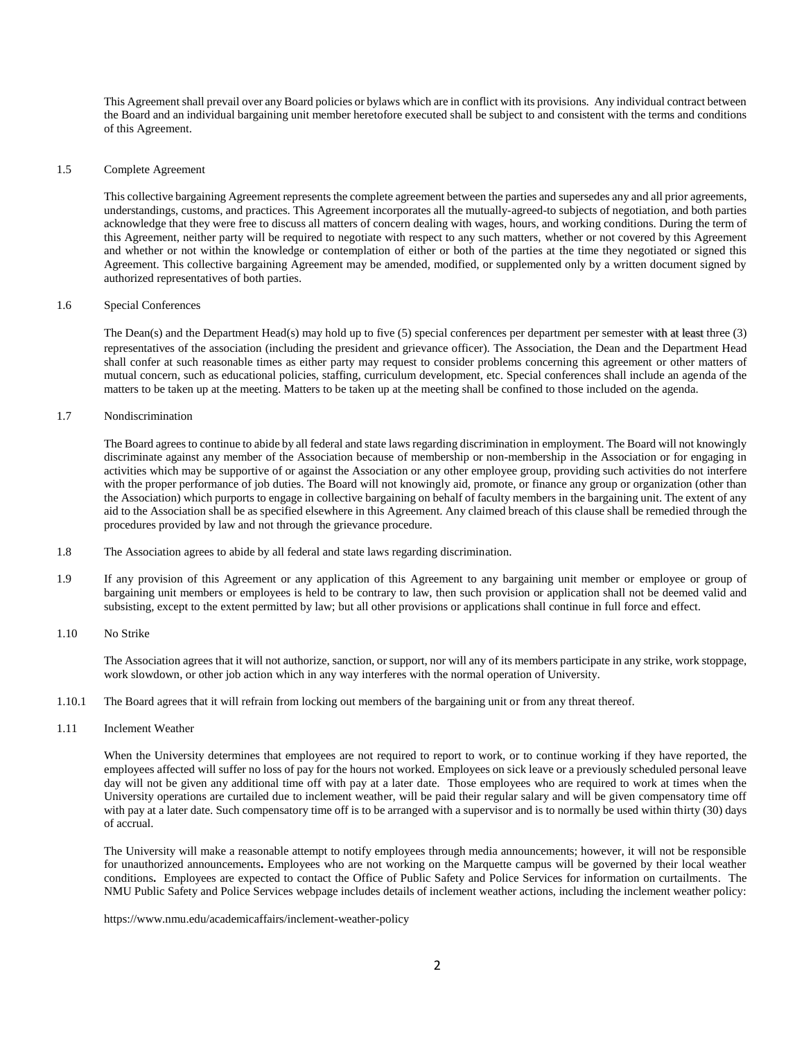This Agreement shall prevail over any Board policies or bylaws which are in conflict with its provisions. Any individual contract between the Board and an individual bargaining unit member heretofore executed shall be subject to and consistent with the terms and conditions of this Agreement.

#### 1.5 Complete Agreement

This collective bargaining Agreement represents the complete agreement between the parties and supersedes any and all prior agreements, understandings, customs, and practices. This Agreement incorporates all the mutually-agreed-to subjects of negotiation, and both parties acknowledge that they were free to discuss all matters of concern dealing with wages, hours, and working conditions. During the term of this Agreement, neither party will be required to negotiate with respect to any such matters, whether or not covered by this Agreement and whether or not within the knowledge or contemplation of either or both of the parties at the time they negotiated or signed this Agreement. This collective bargaining Agreement may be amended, modified, or supplemented only by a written document signed by authorized representatives of both parties.

#### 1.6 Special Conferences

The Dean(s) and the Department Head(s) may hold up to five (5) special conferences per department per semester with at least three (3) representatives of the association (including the president and grievance officer). The Association, the Dean and the Department Head shall confer at such reasonable times as either party may request to consider problems concerning this agreement or other matters of mutual concern, such as educational policies, staffing, curriculum development, etc. Special conferences shall include an agenda of the matters to be taken up at the meeting. Matters to be taken up at the meeting shall be confined to those included on the agenda.

1.7 Nondiscrimination

The Board agrees to continue to abide by all federal and state laws regarding discrimination in employment. The Board will not knowingly discriminate against any member of the Association because of membership or non-membership in the Association or for engaging in activities which may be supportive of or against the Association or any other employee group, providing such activities do not interfere with the proper performance of job duties. The Board will not knowingly aid, promote, or finance any group or organization (other than the Association) which purports to engage in collective bargaining on behalf of faculty members in the bargaining unit. The extent of any aid to the Association shall be as specified elsewhere in this Agreement. Any claimed breach of this clause shall be remedied through the procedures provided by law and not through the grievance procedure.

- 1.8 The Association agrees to abide by all federal and state laws regarding discrimination.
- 1.9 If any provision of this Agreement or any application of this Agreement to any bargaining unit member or employee or group of bargaining unit members or employees is held to be contrary to law, then such provision or application shall not be deemed valid and subsisting, except to the extent permitted by law; but all other provisions or applications shall continue in full force and effect.
- 1.10 No Strike

The Association agrees that it will not authorize, sanction, or support, nor will any of its members participate in any strike, work stoppage, work slowdown, or other job action which in any way interferes with the normal operation of University.

- 1.10.1 The Board agrees that it will refrain from locking out members of the bargaining unit or from any threat thereof.
- 1.11 Inclement Weather

When the University determines that employees are not required to report to work, or to continue working if they have reported, the employees affected will suffer no loss of pay for the hours not worked. Employees on sick leave or a previously scheduled personal leave day will not be given any additional time off with pay at a later date.Those employees who are required to work at times when the University operations are curtailed due to inclement weather, will be paid their regular salary and will be given compensatory time off with pay at a later date. Such compensatory time off is to be arranged with a supervisor and is to normally be used within thirty (30) days of accrual.

The University will make a reasonable attempt to notify employees through media announcements; however, it will not be responsible for unauthorized announcements**.** Employees who are not working on the Marquette campus will be governed by their local weather conditions**.** Employees are expected to contact the Office of Public Safety and Police Services for information on curtailments. The NMU Public Safety and Police Services webpage includes details of inclement weather actions, including the inclement weather policy:

<https://www.nmu.edu/academicaffairs/inclement-weather-policy>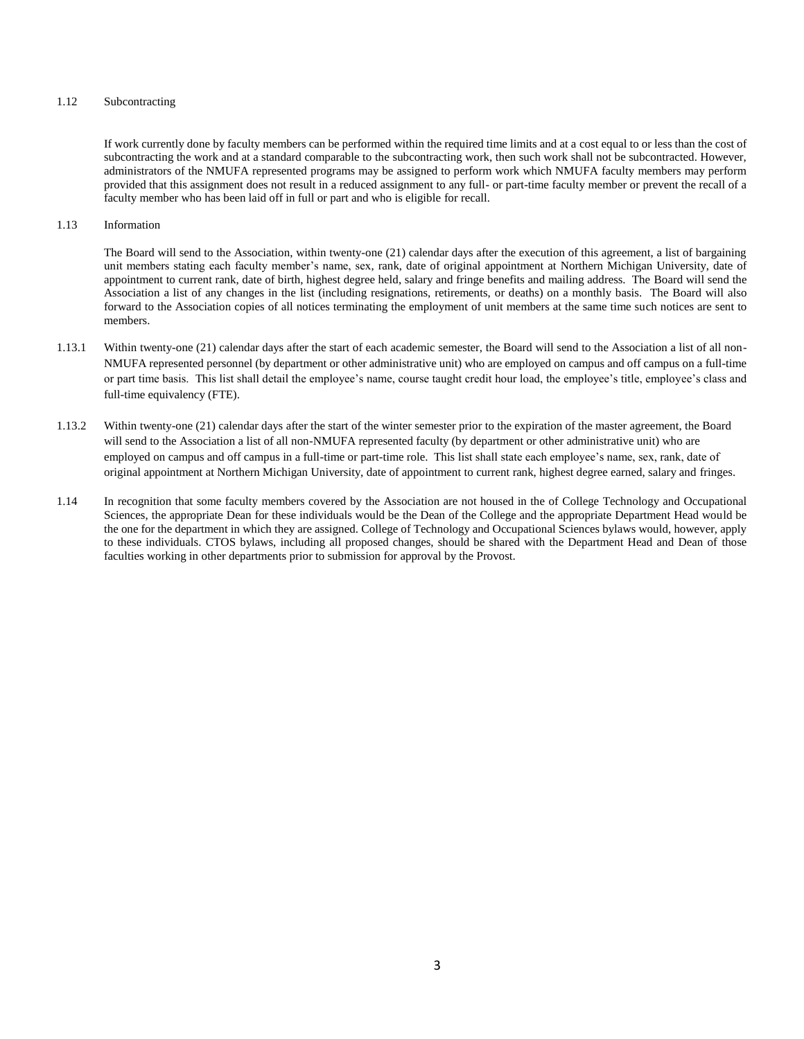### 1.12 Subcontracting

If work currently done by faculty members can be performed within the required time limits and at a cost equal to or less than the cost of subcontracting the work and at a standard comparable to the subcontracting work, then such work shall not be subcontracted. However, administrators of the NMUFA represented programs may be assigned to perform work which NMUFA faculty members may perform provided that this assignment does not result in a reduced assignment to any full- or part-time faculty member or prevent the recall of a faculty member who has been laid off in full or part and who is eligible for recall.

### 1.13 Information

The Board will send to the Association, within twenty-one (21) calendar days after the execution of this agreement, a list of bargaining unit members stating each faculty member's name, sex, rank, date of original appointment at Northern Michigan University, date of appointment to current rank, date of birth, highest degree held, salary and fringe benefits and mailing address. The Board will send the Association a list of any changes in the list (including resignations, retirements, or deaths) on a monthly basis. The Board will also forward to the Association copies of all notices terminating the employment of unit members at the same time such notices are sent to members.

- 1.13.1 Within twenty-one (21) calendar days after the start of each academic semester, the Board will send to the Association a list of all non-NMUFA represented personnel (by department or other administrative unit) who are employed on campus and off campus on a full-time or part time basis. This list shall detail the employee's name, course taught credit hour load, the employee's title, employee's class and full-time equivalency (FTE).
- 1.13.2 Within twenty-one (21) calendar days after the start of the winter semester prior to the expiration of the master agreement, the Board will send to the Association a list of all non-NMUFA represented faculty (by department or other administrative unit) who are employed on campus and off campus in a full-time or part-time role. This list shall state each employee's name, sex, rank, date of original appointment at Northern Michigan University, date of appointment to current rank, highest degree earned, salary and fringes.
- 1.14 In recognition that some faculty members covered by the Association are not housed in the of College Technology and Occupational Sciences, the appropriate Dean for these individuals would be the Dean of the College and the appropriate Department Head would be the one for the department in which they are assigned. College of Technology and Occupational Sciences bylaws would, however, apply to these individuals. CTOS bylaws, including all proposed changes, should be shared with the Department Head and Dean of those faculties working in other departments prior to submission for approval by the Provost.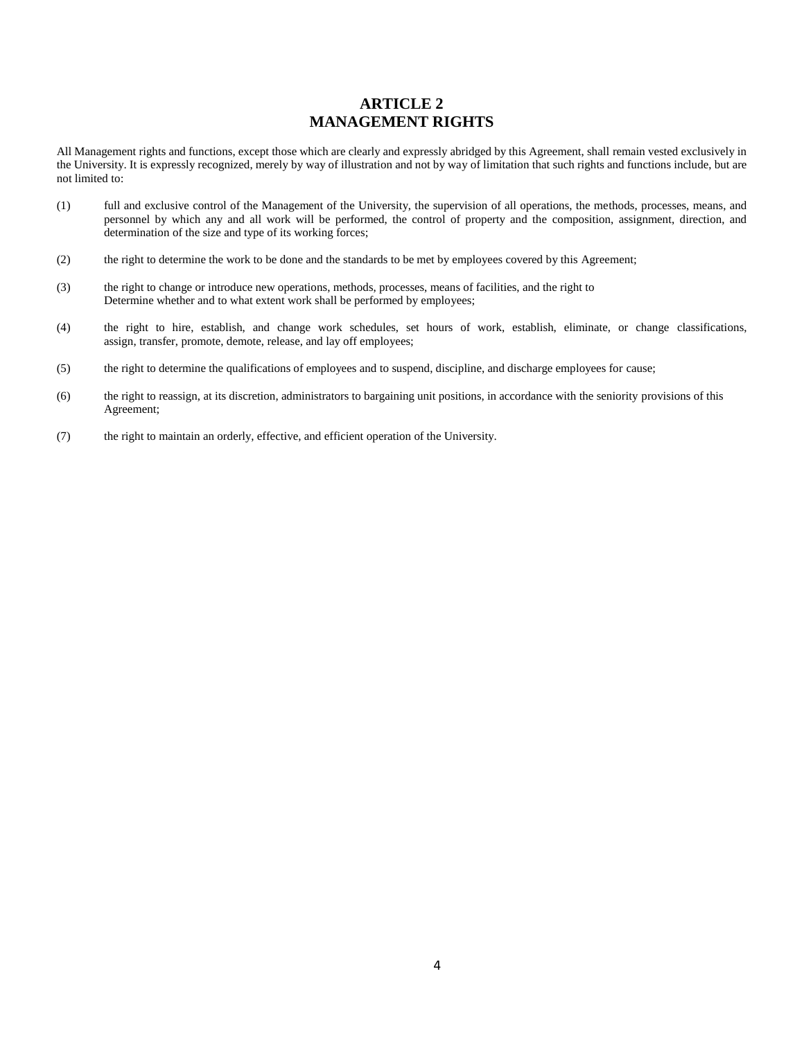## **ARTICLE 2 MANAGEMENT RIGHTS**

All Management rights and functions, except those which are clearly and expressly abridged by this Agreement, shall remain vested exclusively in the University. It is expressly recognized, merely by way of illustration and not by way of limitation that such rights and functions include, but are not limited to:

- (1) full and exclusive control of the Management of the University, the supervision of all operations, the methods, processes, means, and personnel by which any and all work will be performed, the control of property and the composition, assignment, direction, and determination of the size and type of its working forces;
- (2) the right to determine the work to be done and the standards to be met by employees covered by this Agreement;
- (3) the right to change or introduce new operations, methods, processes, means of facilities, and the right to Determine whether and to what extent work shall be performed by employees;
- (4) the right to hire, establish, and change work schedules, set hours of work, establish, eliminate, or change classifications, assign, transfer, promote, demote, release, and lay off employees;
- (5) the right to determine the qualifications of employees and to suspend, discipline, and discharge employees for cause;
- (6) the right to reassign, at its discretion, administrators to bargaining unit positions, in accordance with the seniority provisions of this Agreement;
- (7) the right to maintain an orderly, effective, and efficient operation of the University.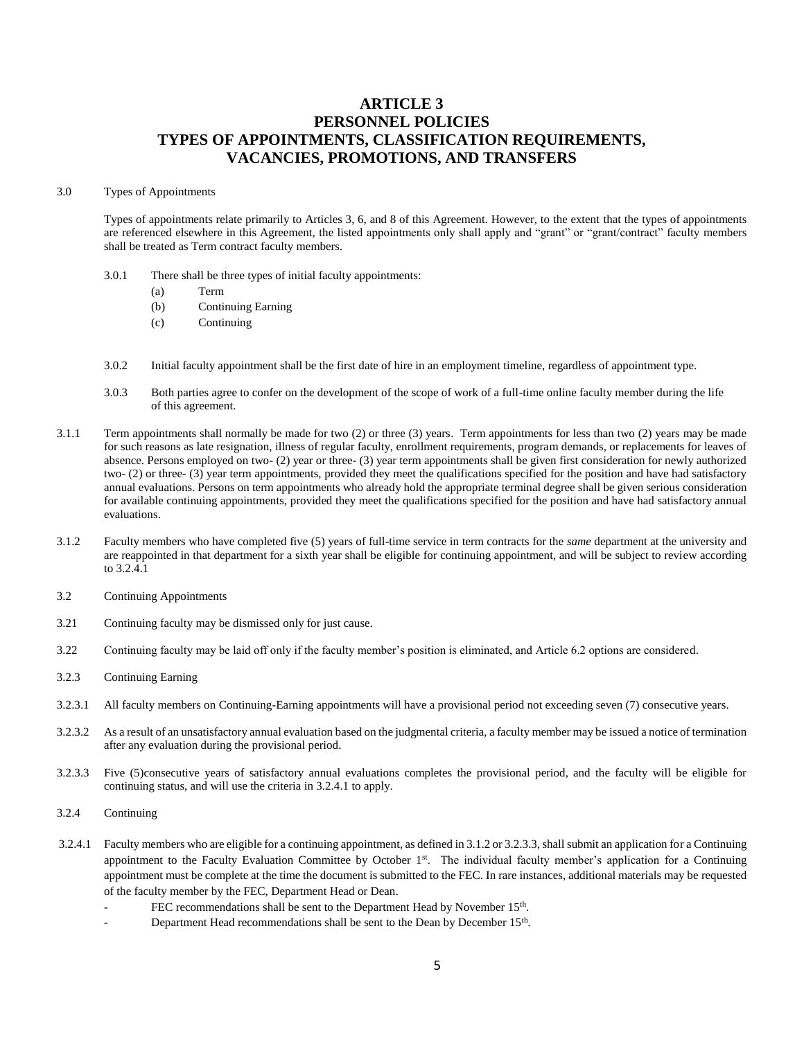## **ARTICLE 3 PERSONNEL POLICIES TYPES OF APPOINTMENTS, CLASSIFICATION REQUIREMENTS, VACANCIES, PROMOTIONS, AND TRANSFERS**

### 3.0 Types of Appointments

Types of appointments relate primarily to Articles 3, 6, and 8 of this Agreement. However, to the extent that the types of appointments are referenced elsewhere in this Agreement, the listed appointments only shall apply and "grant" or "grant/contract" faculty members shall be treated as Term contract faculty members.

- 3.0.1 There shall be three types of initial faculty appointments:
	- (a) Term
	- (b) Continuing Earning
	- (c) Continuing
- 3.0.2 Initial faculty appointment shall be the first date of hire in an employment timeline, regardless of appointment type.
- 3.0.3 Both parties agree to confer on the development of the scope of work of a full-time online faculty member during the life of this agreement.
- 3.1.1 Term appointments shall normally be made for two (2) or three (3) years. Term appointments for less than two (2) years may be made for such reasons as late resignation, illness of regular faculty, enrollment requirements, program demands, or replacements for leaves of absence. Persons employed on two- (2) year or three- (3) year term appointments shall be given first consideration for newly authorized two- (2) or three- (3) year term appointments, provided they meet the qualifications specified for the position and have had satisfactory annual evaluations. Persons on term appointments who already hold the appropriate terminal degree shall be given serious consideration for available continuing appointments, provided they meet the qualifications specified for the position and have had satisfactory annual evaluations.
- 3.1.2 Faculty members who have completed five (5) years of full-time service in term contracts for the *same* department at the university and are reappointed in that department for a sixth year shall be eligible for continuing appointment, and will be subject to review according to 3.2.4.1
- 3.2 Continuing Appointments
- 3.21 Continuing faculty may be dismissed only for just cause.
- 3.22 Continuing faculty may be laid off only if the faculty member's position is eliminated, and Article 6.2 options are considered.
- 3.2.3 Continuing Earning
- 3.2.3.1 All faculty members on Continuing-Earning appointments will have a provisional period not exceeding seven (7) consecutive years.
- 3.2.3.2 As a result of an unsatisfactory annual evaluation based on the judgmental criteria, a faculty member may be issued a notice of termination after any evaluation during the provisional period.
- 3.2.3.3 Five (5)consecutive years of satisfactory annual evaluations completes the provisional period, and the faculty will be eligible for continuing status, and will use the criteria in 3.2.4.1 to apply.
- 3.2.4 Continuing
- 3.2.4.1 Faculty members who are eligible for a continuing appointment, as defined in 3.1.2 or 3.2.3.3, shall submit an application for a Continuing appointment to the Faculty Evaluation Committee by October 1st. The individual faculty member's application for a Continuing appointment must be complete at the time the document is submitted to the FEC. In rare instances, additional materials may be requested of the faculty member by the FEC, Department Head or Dean.
	- FEC recommendations shall be sent to the Department Head by November 15<sup>th</sup>.
	- Department Head recommendations shall be sent to the Dean by December 15<sup>th</sup>.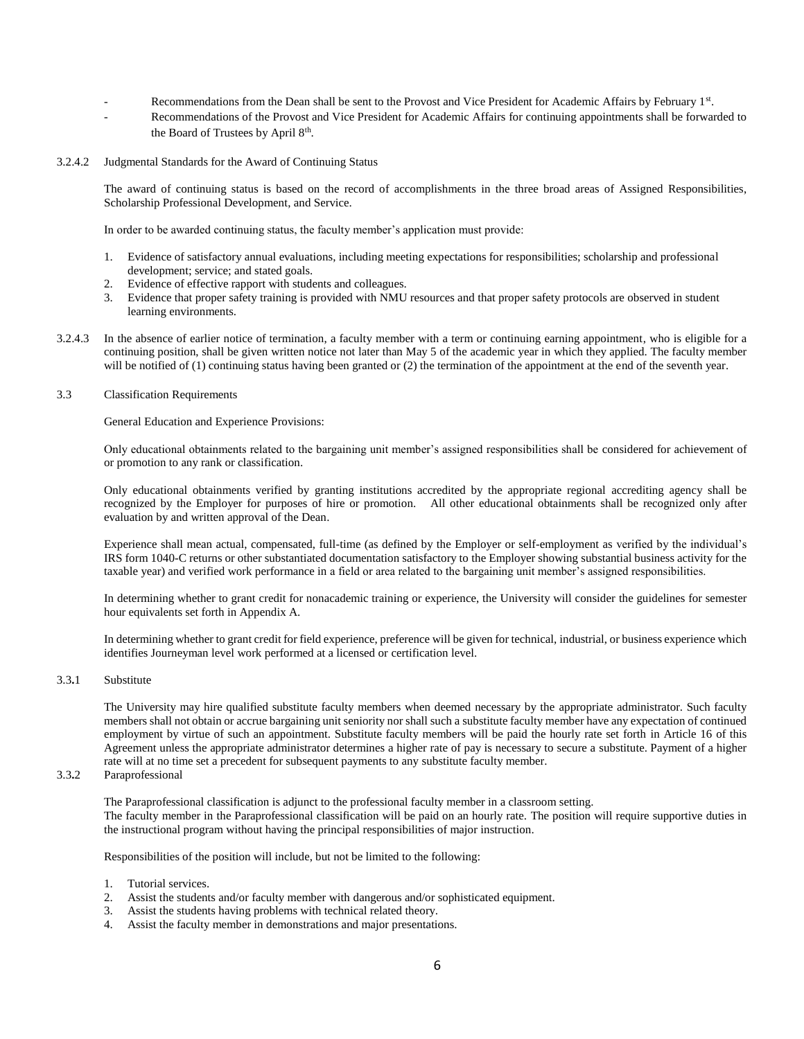- Recommendations from the Dean shall be sent to the Provost and Vice President for Academic Affairs by February 1st.
- Recommendations of the Provost and Vice President for Academic Affairs for continuing appointments shall be forwarded to the Board of Trustees by April 8<sup>th</sup>.
- 3.2.4.2 Judgmental Standards for the Award of Continuing Status

The award of continuing status is based on the record of accomplishments in the three broad areas of Assigned Responsibilities, Scholarship Professional Development, and Service.

In order to be awarded continuing status, the faculty member's application must provide:

- 1. Evidence of satisfactory annual evaluations, including meeting expectations for responsibilities; scholarship and professional development; service; and stated goals.
- 2. Evidence of effective rapport with students and colleagues.
- 3. Evidence that proper safety training is provided with NMU resources and that proper safety protocols are observed in student learning environments.
- 3.2.4.3 In the absence of earlier notice of termination, a faculty member with a term or continuing earning appointment, who is eligible for a continuing position, shall be given written notice not later than May 5 of the academic year in which they applied. The faculty member will be notified of (1) continuing status having been granted or (2) the termination of the appointment at the end of the seventh year.

#### 3.3 Classification Requirements

General Education and Experience Provisions:

Only educational obtainments related to the bargaining unit member's assigned responsibilities shall be considered for achievement of or promotion to any rank or classification.

Only educational obtainments verified by granting institutions accredited by the appropriate regional accrediting agency shall be recognized by the Employer for purposes of hire or promotion. All other educational obtainments shall be recognized only after evaluation by and written approval of the Dean.

Experience shall mean actual, compensated, full-time (as defined by the Employer or self-employment as verified by the individual's IRS form 1040-C returns or other substantiated documentation satisfactory to the Employer showing substantial business activity for the taxable year) and verified work performance in a field or area related to the bargaining unit member's assigned responsibilities.

In determining whether to grant credit for nonacademic training or experience, the University will consider the guidelines for semester hour equivalents set forth in Appendix A.

In determining whether to grant credit for field experience, preference will be given for technical, industrial, or business experience which identifies Journeyman level work performed at a licensed or certification level.

### 3.3**.**1 Substitute

The University may hire qualified substitute faculty members when deemed necessary by the appropriate administrator. Such faculty members shall not obtain or accrue bargaining unit seniority nor shall such a substitute faculty member have any expectation of continued employment by virtue of such an appointment. Substitute faculty members will be paid the hourly rate set forth in Article 16 of this Agreement unless the appropriate administrator determines a higher rate of pay is necessary to secure a substitute. Payment of a higher rate will at no time set a precedent for subsequent payments to any substitute faculty member.

#### 3.3**.**2 Paraprofessional

The Paraprofessional classification is adjunct to the professional faculty member in a classroom setting. The faculty member in the Paraprofessional classification will be paid on an hourly rate. The position will require supportive duties in the instructional program without having the principal responsibilities of major instruction.

Responsibilities of the position will include, but not be limited to the following:

- 1. Tutorial services.
- 2. Assist the students and/or faculty member with dangerous and/or sophisticated equipment.
- 3. Assist the students having problems with technical related theory.
- 4. Assist the faculty member in demonstrations and major presentations.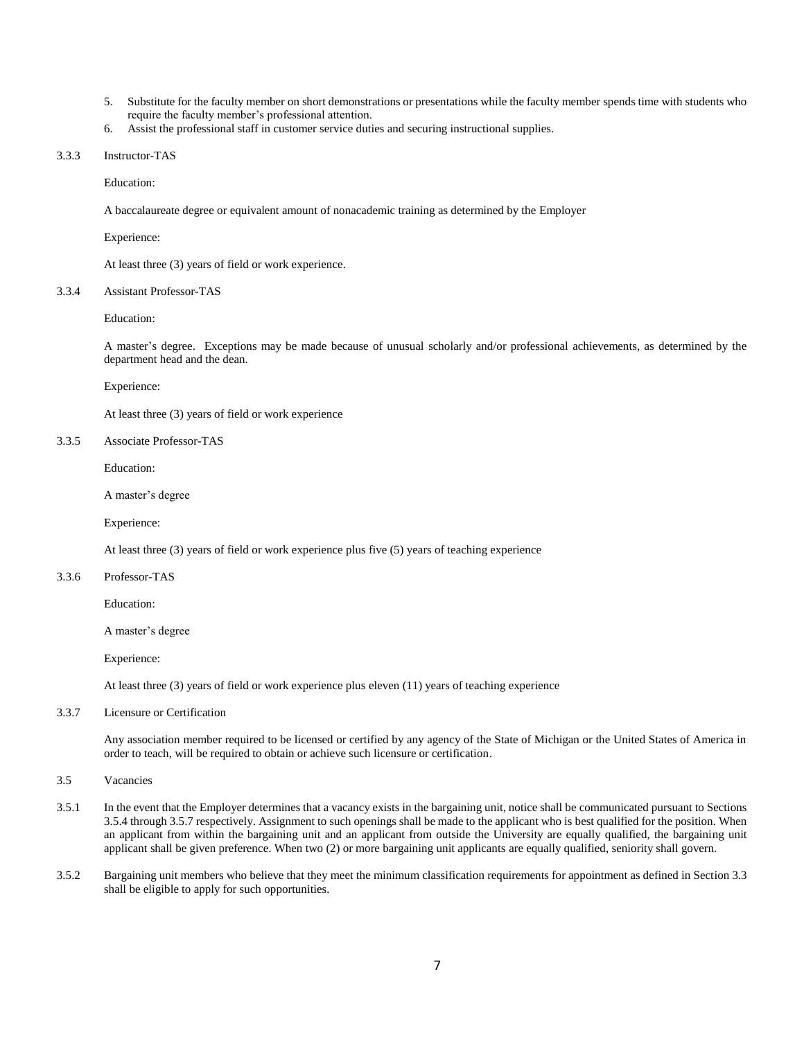- 5. Substitute for the faculty member on short demonstrations or presentations while the faculty member spends time with students who require the faculty member's professional attention.
- 6. Assist the professional staff in customer service duties and securing instructional supplies.

#### 3.3.3 Instructor-TAS

Education:

A baccalaureate degree or equivalent amount of nonacademic training as determined by the Employer

Experience:

At least three (3) years of field or work experience.

#### 3.3.4 Assistant Professor-TAS

Education:

A master's degree. Exceptions may be made because of unusual scholarly and/or professional achievements, as determined by the department head and the dean.

Experience:

At least three (3) years of field or work experience

## 3.3.5 Associate Professor-TAS

Education:

A master's degree

Experience:

At least three (3) years of field or work experience plus five (5) years of teaching experience

### 3.3.6 Professor-TAS

Education:

A master's degree

Experience:

At least three (3) years of field or work experience plus eleven (11) years of teaching experience

3.3.7 Licensure or Certification

Any association member required to be licensed or certified by any agency of the State of Michigan or the United States of America in order to teach, will be required to obtain or achieve such licensure or certification.

3.5 Vacancies

- 3.5.1 In the event that the Employer determines that a vacancy exists in the bargaining unit, notice shall be communicated pursuant to Sections 3.5.4 through 3.5.7 respectively. Assignment to such openings shall be made to the applicant who is best qualified for the position. When an applicant from within the bargaining unit and an applicant from outside the University are equally qualified, the bargaining unit applicant shall be given preference. When two (2) or more bargaining unit applicants are equally qualified, seniority shall govern.
- 3.5.2 Bargaining unit members who believe that they meet the minimum classification requirements for appointment as defined in Section 3.3 shall be eligible to apply for such opportunities.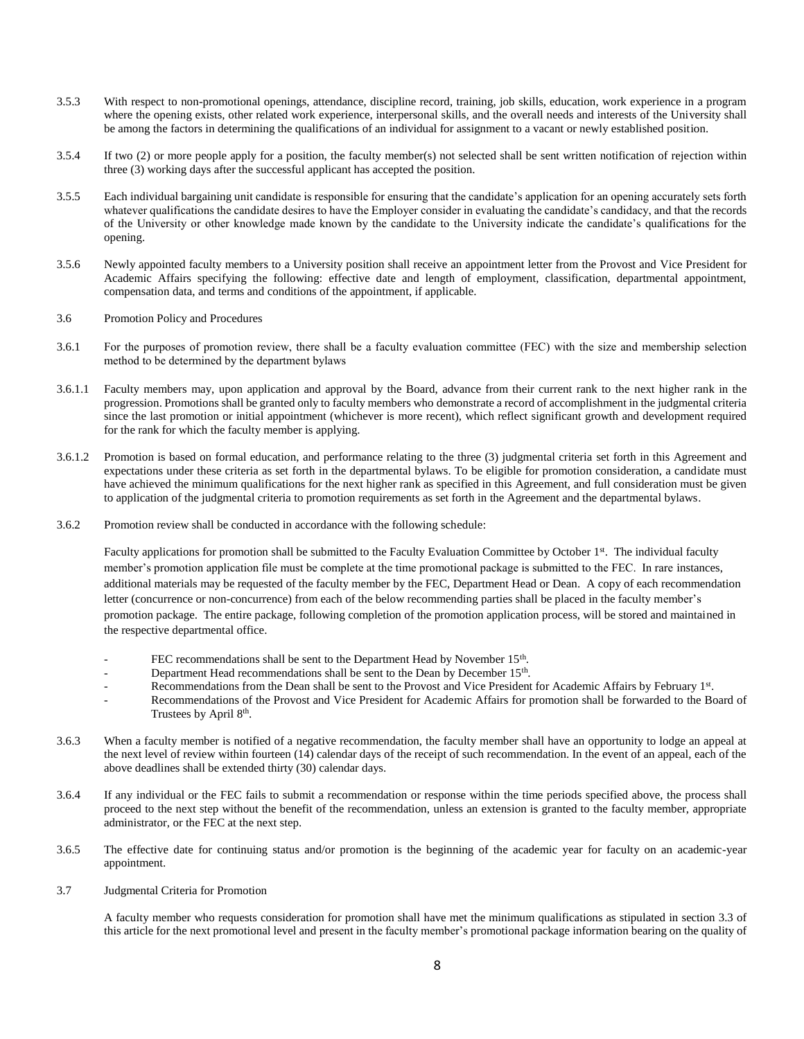- 3.5.3 With respect to non-promotional openings, attendance, discipline record, training, job skills, education, work experience in a program where the opening exists, other related work experience, interpersonal skills, and the overall needs and interests of the University shall be among the factors in determining the qualifications of an individual for assignment to a vacant or newly established position.
- 3.5.4 If two (2) or more people apply for a position, the faculty member(s) not selected shall be sent written notification of rejection within three (3) working days after the successful applicant has accepted the position.
- 3.5.5 Each individual bargaining unit candidate is responsible for ensuring that the candidate's application for an opening accurately sets forth whatever qualifications the candidate desires to have the Employer consider in evaluating the candidate's candidacy, and that the records of the University or other knowledge made known by the candidate to the University indicate the candidate's qualifications for the opening.
- 3.5.6 Newly appointed faculty members to a University position shall receive an appointment letter from the Provost and Vice President for Academic Affairs specifying the following: effective date and length of employment, classification, departmental appointment, compensation data, and terms and conditions of the appointment, if applicable.
- 3.6 Promotion Policy and Procedures
- 3.6.1 For the purposes of promotion review, there shall be a faculty evaluation committee (FEC) with the size and membership selection method to be determined by the department bylaws
- 3.6.1.1 Faculty members may, upon application and approval by the Board, advance from their current rank to the next higher rank in the progression. Promotions shall be granted only to faculty members who demonstrate a record of accomplishment in the judgmental criteria since the last promotion or initial appointment (whichever is more recent), which reflect significant growth and development required for the rank for which the faculty member is applying.
- 3.6.1.2 Promotion is based on formal education, and performance relating to the three (3) judgmental criteria set forth in this Agreement and expectations under these criteria as set forth in the departmental bylaws. To be eligible for promotion consideration, a candidate must have achieved the minimum qualifications for the next higher rank as specified in this Agreement, and full consideration must be given to application of the judgmental criteria to promotion requirements as set forth in the Agreement and the departmental bylaws.
- 3.6.2 Promotion review shall be conducted in accordance with the following schedule:

Faculty applications for promotion shall be submitted to the Faculty Evaluation Committee by October 1st. The individual faculty member's promotion application file must be complete at the time promotional package is submitted to the FEC. In rare instances, additional materials may be requested of the faculty member by the FEC, Department Head or Dean.A copy of each recommendation letter (concurrence or non-concurrence) from each of the below recommending parties shall be placed in the faculty member's promotion package. The entire package, following completion of the promotion application process, will be stored and maintained in the respective departmental office.

- FEC recommendations shall be sent to the Department Head by November 15<sup>th</sup>.
- Department Head recommendations shall be sent to the Dean by December 15<sup>th</sup>.
- Recommendations from the Dean shall be sent to the Provost and Vice President for Academic Affairs by February 1st.
- Recommendations of the Provost and Vice President for Academic Affairs for promotion shall be forwarded to the Board of Trustees by April 8<sup>th</sup>.
- 3.6.3 When a faculty member is notified of a negative recommendation, the faculty member shall have an opportunity to lodge an appeal at the next level of review within fourteen (14) calendar days of the receipt of such recommendation. In the event of an appeal, each of the above deadlines shall be extended thirty (30) calendar days.
- 3.6.4 If any individual or the FEC fails to submit a recommendation or response within the time periods specified above, the process shall proceed to the next step without the benefit of the recommendation, unless an extension is granted to the faculty member, appropriate administrator, or the FEC at the next step.
- 3.6.5 The effective date for continuing status and/or promotion is the beginning of the academic year for faculty on an academic-year appointment.
- 3.7 Judgmental Criteria for Promotion

A faculty member who requests consideration for promotion shall have met the minimum qualifications as stipulated in section 3.3 of this article for the next promotional level and present in the faculty member's promotional package information bearing on the quality of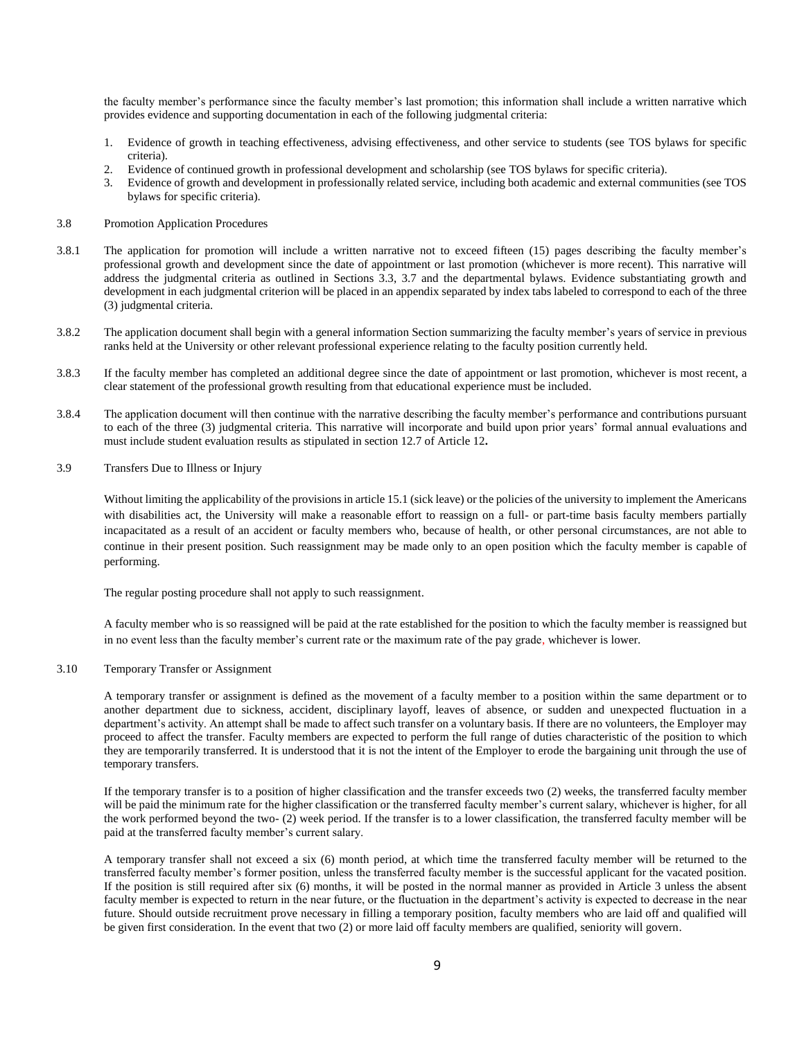the faculty member's performance since the faculty member's last promotion; this information shall include a written narrative which provides evidence and supporting documentation in each of the following judgmental criteria:

- 1. Evidence of growth in teaching effectiveness, advising effectiveness, and other service to students (see TOS bylaws for specific criteria).
- 2. Evidence of continued growth in professional development and scholarship (see TOS bylaws for specific criteria).
- 3. Evidence of growth and development in professionally related service, including both academic and external communities (see TOS bylaws for specific criteria).
- 3.8 Promotion Application Procedures
- 3.8.1 The application for promotion will include a written narrative not to exceed fifteen (15) pages describing the faculty member's professional growth and development since the date of appointment or last promotion (whichever is more recent). This narrative will address the judgmental criteria as outlined in Sections 3.3, 3.7 and the departmental bylaws. Evidence substantiating growth and development in each judgmental criterion will be placed in an appendix separated by index tabs labeled to correspond to each of the three (3) judgmental criteria.
- 3.8.2 The application document shall begin with a general information Section summarizing the faculty member's years of service in previous ranks held at the University or other relevant professional experience relating to the faculty position currently held.
- 3.8.3 If the faculty member has completed an additional degree since the date of appointment or last promotion, whichever is most recent, a clear statement of the professional growth resulting from that educational experience must be included.
- 3.8.4 The application document will then continue with the narrative describing the faculty member's performance and contributions pursuant to each of the three (3) judgmental criteria. This narrative will incorporate and build upon prior years' formal annual evaluations and must include student evaluation results as stipulated in section 12.7 of Article 12**.**
- 3.9 Transfers Due to Illness or Injury

Without limiting the applicability of the provisions in article 15.1 (sick leave) or the policies of the university to implement the Americans with disabilities act, the University will make a reasonable effort to reassign on a full- or part-time basis faculty members partially incapacitated as a result of an accident or faculty members who, because of health, or other personal circumstances, are not able to continue in their present position. Such reassignment may be made only to an open position which the faculty member is capable of performing.

The regular posting procedure shall not apply to such reassignment.

A faculty member who is so reassigned will be paid at the rate established for the position to which the faculty member is reassigned but in no event less than the faculty member's current rate or the maximum rate of the pay grade, whichever is lower.

3.10 Temporary Transfer or Assignment

A temporary transfer or assignment is defined as the movement of a faculty member to a position within the same department or to another department due to sickness, accident, disciplinary layoff, leaves of absence, or sudden and unexpected fluctuation in a department's activity. An attempt shall be made to affect such transfer on a voluntary basis. If there are no volunteers, the Employer may proceed to affect the transfer. Faculty members are expected to perform the full range of duties characteristic of the position to which they are temporarily transferred. It is understood that it is not the intent of the Employer to erode the bargaining unit through the use of temporary transfers.

If the temporary transfer is to a position of higher classification and the transfer exceeds two (2) weeks, the transferred faculty member will be paid the minimum rate for the higher classification or the transferred faculty member's current salary, whichever is higher, for all the work performed beyond the two- (2) week period. If the transfer is to a lower classification, the transferred faculty member will be paid at the transferred faculty member's current salary.

A temporary transfer shall not exceed a six (6) month period, at which time the transferred faculty member will be returned to the transferred faculty member's former position, unless the transferred faculty member is the successful applicant for the vacated position. If the position is still required after six (6) months, it will be posted in the normal manner as provided in Article 3 unless the absent faculty member is expected to return in the near future, or the fluctuation in the department's activity is expected to decrease in the near future. Should outside recruitment prove necessary in filling a temporary position, faculty members who are laid off and qualified will be given first consideration. In the event that two (2) or more laid off faculty members are qualified, seniority will govern.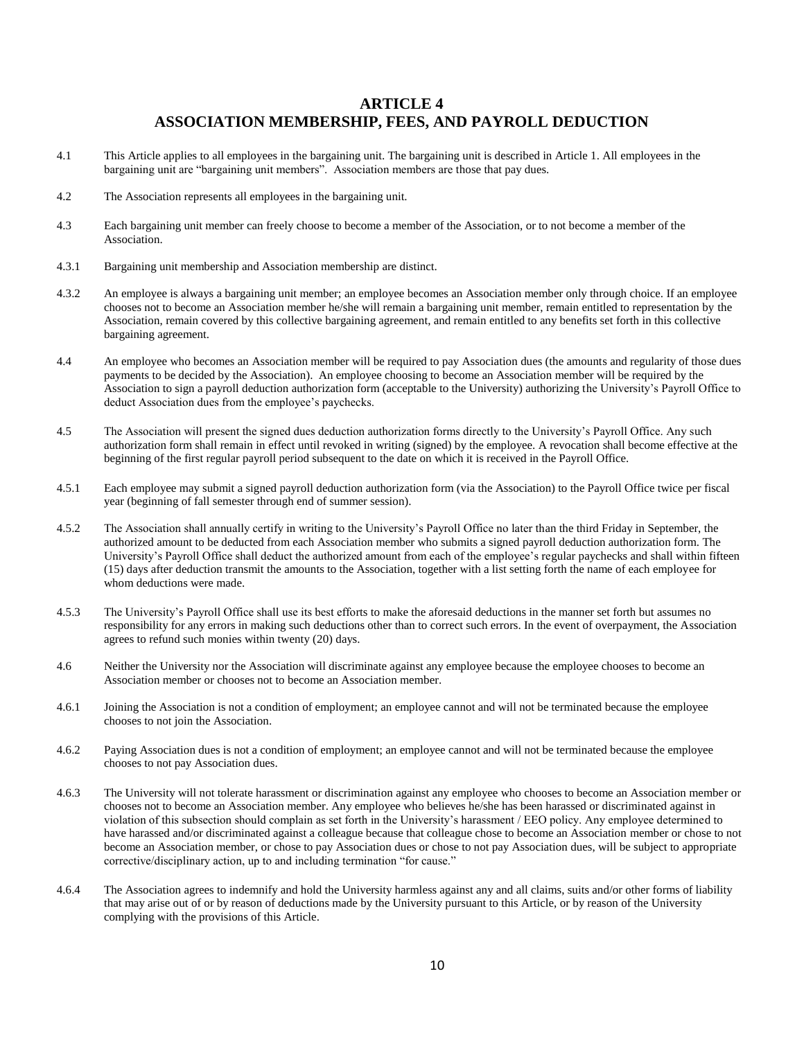## **ARTICLE 4 ASSOCIATION MEMBERSHIP, FEES, AND PAYROLL DEDUCTION**

- 4.1 This Article applies to all employees in the bargaining unit. The bargaining unit is described in Article 1. All employees in the bargaining unit are "bargaining unit members". Association members are those that pay dues.
- 4.2 The Association represents all employees in the bargaining unit.
- 4.3 Each bargaining unit member can freely choose to become a member of the Association, or to not become a member of the Association.
- 4.3.1 Bargaining unit membership and Association membership are distinct.
- 4.3.2 An employee is always a bargaining unit member; an employee becomes an Association member only through choice. If an employee chooses not to become an Association member he/she will remain a bargaining unit member, remain entitled to representation by the Association, remain covered by this collective bargaining agreement, and remain entitled to any benefits set forth in this collective bargaining agreement.
- 4.4 An employee who becomes an Association member will be required to pay Association dues (the amounts and regularity of those dues payments to be decided by the Association). An employee choosing to become an Association member will be required by the Association to sign a payroll deduction authorization form (acceptable to the University) authorizing the University's Payroll Office to deduct Association dues from the employee's paychecks.
- 4.5 The Association will present the signed dues deduction authorization forms directly to the University's Payroll Office. Any such authorization form shall remain in effect until revoked in writing (signed) by the employee. A revocation shall become effective at the beginning of the first regular payroll period subsequent to the date on which it is received in the Payroll Office.
- 4.5.1 Each employee may submit a signed payroll deduction authorization form (via the Association) to the Payroll Office twice per fiscal year (beginning of fall semester through end of summer session).
- 4.5.2 The Association shall annually certify in writing to the University's Payroll Office no later than the third Friday in September, the authorized amount to be deducted from each Association member who submits a signed payroll deduction authorization form. The University's Payroll Office shall deduct the authorized amount from each of the employee's regular paychecks and shall within fifteen (15) days after deduction transmit the amounts to the Association, together with a list setting forth the name of each employee for whom deductions were made.
- 4.5.3 The University's Payroll Office shall use its best efforts to make the aforesaid deductions in the manner set forth but assumes no responsibility for any errors in making such deductions other than to correct such errors. In the event of overpayment, the Association agrees to refund such monies within twenty (20) days.
- 4.6 Neither the University nor the Association will discriminate against any employee because the employee chooses to become an Association member or chooses not to become an Association member.
- 4.6.1 Joining the Association is not a condition of employment; an employee cannot and will not be terminated because the employee chooses to not join the Association.
- 4.6.2 Paying Association dues is not a condition of employment; an employee cannot and will not be terminated because the employee chooses to not pay Association dues.
- 4.6.3 The University will not tolerate harassment or discrimination against any employee who chooses to become an Association member or chooses not to become an Association member. Any employee who believes he/she has been harassed or discriminated against in violation of this subsection should complain as set forth in the University's harassment / EEO policy. Any employee determined to have harassed and/or discriminated against a colleague because that colleague chose to become an Association member or chose to not become an Association member, or chose to pay Association dues or chose to not pay Association dues, will be subject to appropriate corrective/disciplinary action, up to and including termination "for cause."
- 4.6.4 The Association agrees to indemnify and hold the University harmless against any and all claims, suits and/or other forms of liability that may arise out of or by reason of deductions made by the University pursuant to this Article, or by reason of the University complying with the provisions of this Article.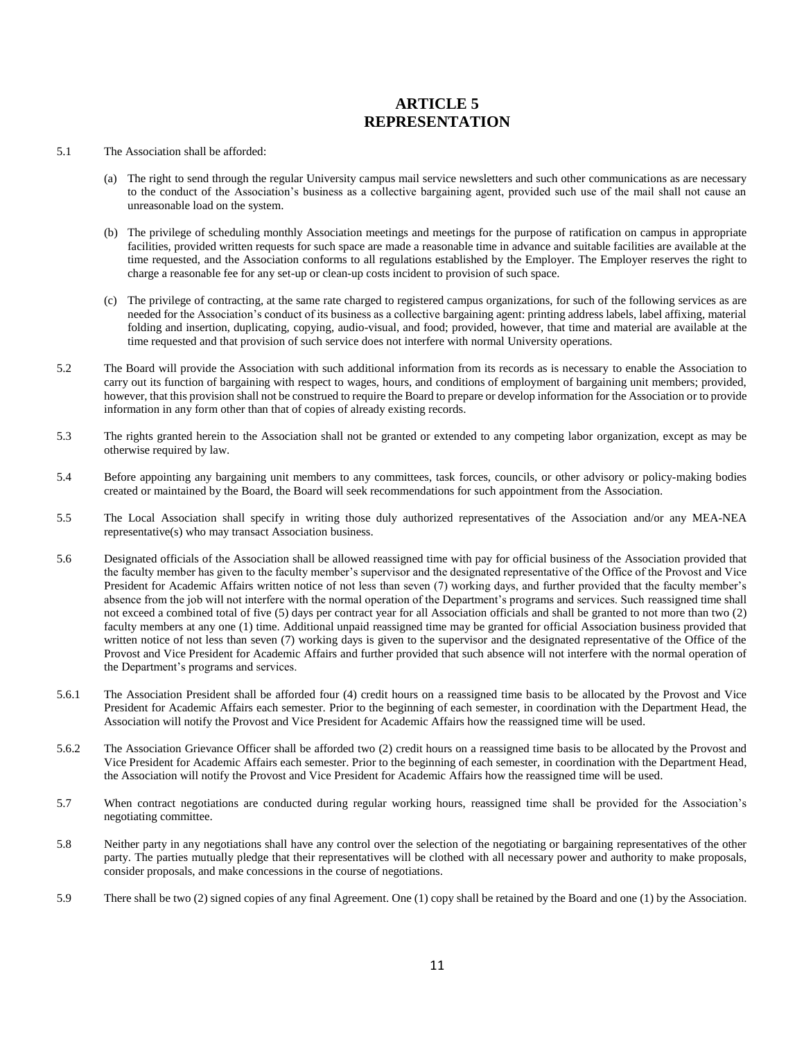## **ARTICLE 5 REPRESENTATION**

### 5.1 The Association shall be afforded:

- (a) The right to send through the regular University campus mail service newsletters and such other communications as are necessary to the conduct of the Association's business as a collective bargaining agent, provided such use of the mail shall not cause an unreasonable load on the system.
- (b) The privilege of scheduling monthly Association meetings and meetings for the purpose of ratification on campus in appropriate facilities, provided written requests for such space are made a reasonable time in advance and suitable facilities are available at the time requested, and the Association conforms to all regulations established by the Employer. The Employer reserves the right to charge a reasonable fee for any set-up or clean-up costs incident to provision of such space.
- (c) The privilege of contracting, at the same rate charged to registered campus organizations, for such of the following services as are needed for the Association's conduct of its business as a collective bargaining agent: printing address labels, label affixing, material folding and insertion, duplicating, copying, audio-visual, and food; provided, however, that time and material are available at the time requested and that provision of such service does not interfere with normal University operations.
- 5.2 The Board will provide the Association with such additional information from its records as is necessary to enable the Association to carry out its function of bargaining with respect to wages, hours, and conditions of employment of bargaining unit members; provided, however, that this provision shall not be construed to require the Board to prepare or develop information for the Association or to provide information in any form other than that of copies of already existing records.
- 5.3 The rights granted herein to the Association shall not be granted or extended to any competing labor organization, except as may be otherwise required by law.
- 5.4 Before appointing any bargaining unit members to any committees, task forces, councils, or other advisory or policy-making bodies created or maintained by the Board, the Board will seek recommendations for such appointment from the Association.
- 5.5 The Local Association shall specify in writing those duly authorized representatives of the Association and/or any MEA-NEA representative(s) who may transact Association business.
- 5.6 Designated officials of the Association shall be allowed reassigned time with pay for official business of the Association provided that the faculty member has given to the faculty member's supervisor and the designated representative of the Office of the Provost and Vice President for Academic Affairs written notice of not less than seven (7) working days, and further provided that the faculty member's absence from the job will not interfere with the normal operation of the Department's programs and services. Such reassigned time shall not exceed a combined total of five (5) days per contract year for all Association officials and shall be granted to not more than two (2) faculty members at any one (1) time. Additional unpaid reassigned time may be granted for official Association business provided that written notice of not less than seven (7) working days is given to the supervisor and the designated representative of the Office of the Provost and Vice President for Academic Affairs and further provided that such absence will not interfere with the normal operation of the Department's programs and services.
- 5.6.1 The Association President shall be afforded four (4) credit hours on a reassigned time basis to be allocated by the Provost and Vice President for Academic Affairs each semester. Prior to the beginning of each semester, in coordination with the Department Head, the Association will notify the Provost and Vice President for Academic Affairs how the reassigned time will be used.
- 5.6.2 The Association Grievance Officer shall be afforded two (2) credit hours on a reassigned time basis to be allocated by the Provost and Vice President for Academic Affairs each semester. Prior to the beginning of each semester, in coordination with the Department Head, the Association will notify the Provost and Vice President for Academic Affairs how the reassigned time will be used.
- 5.7 When contract negotiations are conducted during regular working hours, reassigned time shall be provided for the Association's negotiating committee.
- 5.8 Neither party in any negotiations shall have any control over the selection of the negotiating or bargaining representatives of the other party. The parties mutually pledge that their representatives will be clothed with all necessary power and authority to make proposals, consider proposals, and make concessions in the course of negotiations.
- 5.9 There shall be two (2) signed copies of any final Agreement. One (1) copy shall be retained by the Board and one (1) by the Association.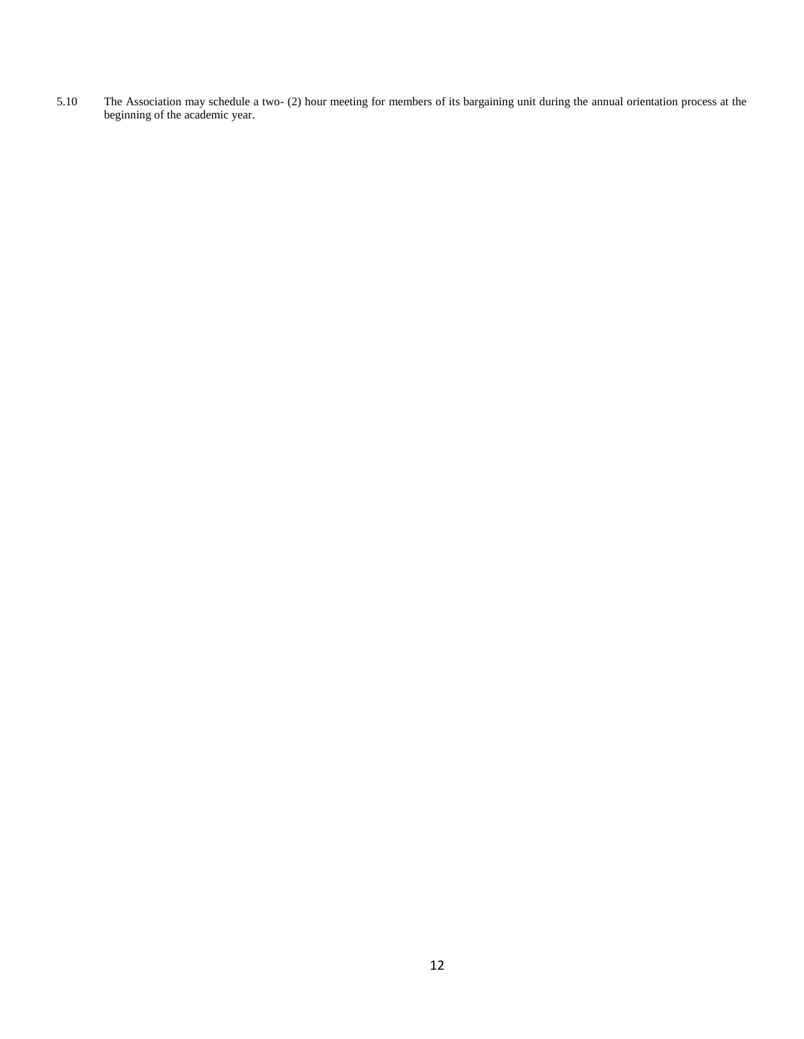5.10 The Association may schedule a two- (2) hour meeting for members of its bargaining unit during the annual orientation process at the beginning of the academic year.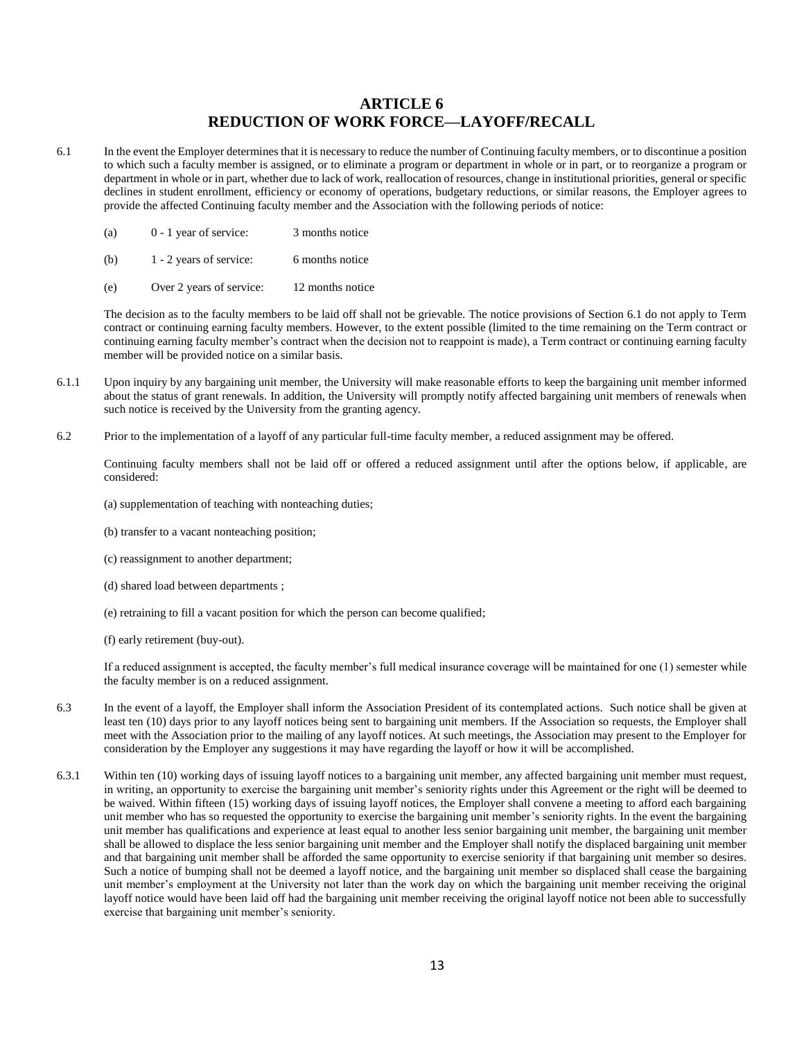## **ARTICLE 6 REDUCTION OF WORK FORCE—LAYOFF/RECALL**

- 6.1 In the event the Employer determines that it is necessary to reduce the number of Continuing faculty members, or to discontinue a position to which such a faculty member is assigned, or to eliminate a program or department in whole or in part, or to reorganize a program or department in whole or in part, whether due to lack of work, reallocation of resources, change in institutional priorities, general or specific declines in student enrollment, efficiency or economy of operations, budgetary reductions, or similar reasons, the Employer agrees to provide the affected Continuing faculty member and the Association with the following periods of notice:
	- (a) 0 1 year of service: 3 months notice
	- (b) 1 2 years of service: 6 months notice
	- (e) Over 2 years of service: 12 months notice

The decision as to the faculty members to be laid off shall not be grievable. The notice provisions of Section 6.1 do not apply to Term contract or continuing earning faculty members. However, to the extent possible (limited to the time remaining on the Term contract or continuing earning faculty member's contract when the decision not to reappoint is made), a Term contract or continuing earning faculty member will be provided notice on a similar basis.

- 6.1.1 Upon inquiry by any bargaining unit member, the University will make reasonable efforts to keep the bargaining unit member informed about the status of grant renewals. In addition, the University will promptly notify affected bargaining unit members of renewals when such notice is received by the University from the granting agency.
- 6.2 Prior to the implementation of a layoff of any particular full-time faculty member, a reduced assignment may be offered.

Continuing faculty members shall not be laid off or offered a reduced assignment until after the options below, if applicable, are considered:

- (a) supplementation of teaching with nonteaching duties;
- (b) transfer to a vacant nonteaching position;
- (c) reassignment to another department;
- (d) shared load between departments ;
- (e) retraining to fill a vacant position for which the person can become qualified;
- (f) early retirement (buy-out).

If a reduced assignment is accepted, the faculty member's full medical insurance coverage will be maintained for one (1) semester while the faculty member is on a reduced assignment.

- 6.3 In the event of a layoff, the Employer shall inform the Association President of its contemplated actions. Such notice shall be given at least ten (10) days prior to any layoff notices being sent to bargaining unit members. If the Association so requests, the Employer shall meet with the Association prior to the mailing of any layoff notices. At such meetings, the Association may present to the Employer for consideration by the Employer any suggestions it may have regarding the layoff or how it will be accomplished.
- 6.3.1 Within ten (10) working days of issuing layoff notices to a bargaining unit member, any affected bargaining unit member must request, in writing, an opportunity to exercise the bargaining unit member's seniority rights under this Agreement or the right will be deemed to be waived. Within fifteen (15) working days of issuing layoff notices, the Employer shall convene a meeting to afford each bargaining unit member who has so requested the opportunity to exercise the bargaining unit member's seniority rights. In the event the bargaining unit member has qualifications and experience at least equal to another less senior bargaining unit member, the bargaining unit member shall be allowed to displace the less senior bargaining unit member and the Employer shall notify the displaced bargaining unit member and that bargaining unit member shall be afforded the same opportunity to exercise seniority if that bargaining unit member so desires. Such a notice of bumping shall not be deemed a layoff notice, and the bargaining unit member so displaced shall cease the bargaining unit member's employment at the University not later than the work day on which the bargaining unit member receiving the original layoff notice would have been laid off had the bargaining unit member receiving the original layoff notice not been able to successfully exercise that bargaining unit member's seniority.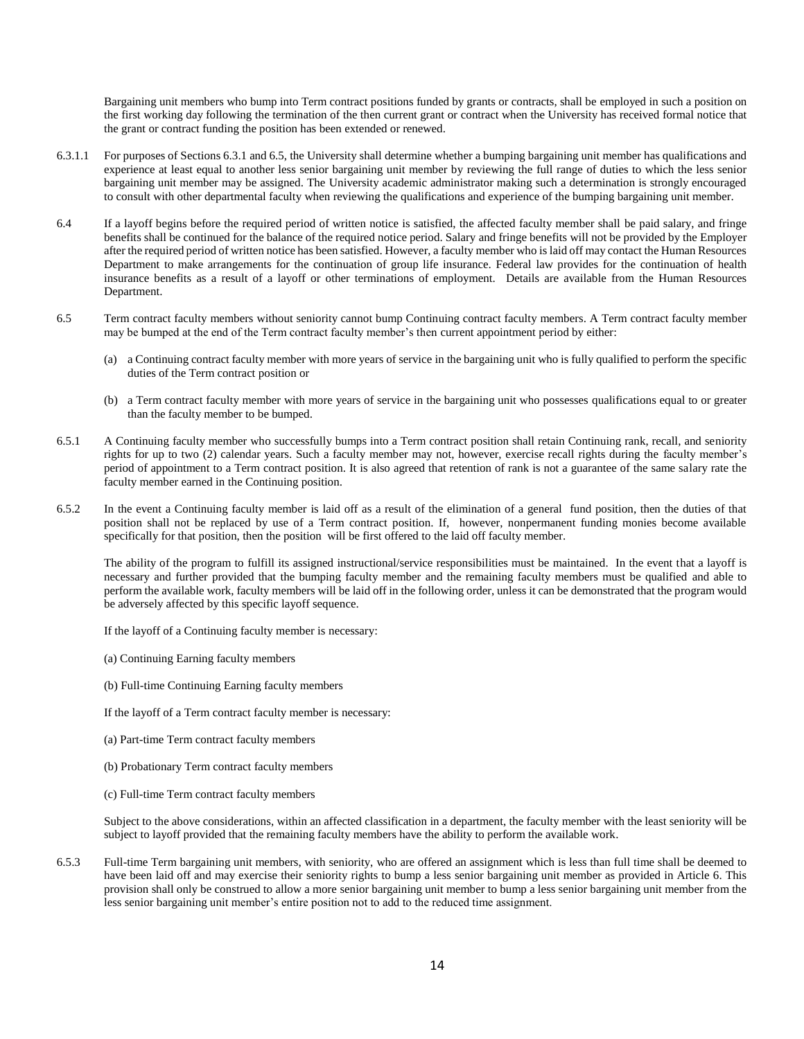Bargaining unit members who bump into Term contract positions funded by grants or contracts, shall be employed in such a position on the first working day following the termination of the then current grant or contract when the University has received formal notice that the grant or contract funding the position has been extended or renewed.

- 6.3.1.1 For purposes of Sections 6.3.1 and 6.5, the University shall determine whether a bumping bargaining unit member has qualifications and experience at least equal to another less senior bargaining unit member by reviewing the full range of duties to which the less senior bargaining unit member may be assigned. The University academic administrator making such a determination is strongly encouraged to consult with other departmental faculty when reviewing the qualifications and experience of the bumping bargaining unit member.
- 6.4 If a layoff begins before the required period of written notice is satisfied, the affected faculty member shall be paid salary, and fringe benefits shall be continued for the balance of the required notice period. Salary and fringe benefits will not be provided by the Employer after the required period of written notice has been satisfied. However, a faculty member who is laid off may contact the Human Resources Department to make arrangements for the continuation of group life insurance. Federal law provides for the continuation of health insurance benefits as a result of a layoff or other terminations of employment. Details are available from the Human Resources Department.
- 6.5 Term contract faculty members without seniority cannot bump Continuing contract faculty members. A Term contract faculty member may be bumped at the end of the Term contract faculty member's then current appointment period by either:
	- (a) a Continuing contract faculty member with more years of service in the bargaining unit who is fully qualified to perform the specific duties of the Term contract position or
	- (b) a Term contract faculty member with more years of service in the bargaining unit who possesses qualifications equal to or greater than the faculty member to be bumped.
- 6.5.1 A Continuing faculty member who successfully bumps into a Term contract position shall retain Continuing rank, recall, and seniority rights for up to two (2) calendar years. Such a faculty member may not, however, exercise recall rights during the faculty member's period of appointment to a Term contract position. It is also agreed that retention of rank is not a guarantee of the same salary rate the faculty member earned in the Continuing position.
- 6.5.2 In the event a Continuing faculty member is laid off as a result of the elimination of a general fund position, then the duties of that position shall not be replaced by use of a Term contract position. If, however, nonpermanent funding monies become available specifically for that position, then the position will be first offered to the laid off faculty member.

The ability of the program to fulfill its assigned instructional/service responsibilities must be maintained. In the event that a layoff is necessary and further provided that the bumping faculty member and the remaining faculty members must be qualified and able to perform the available work, faculty members will be laid off in the following order, unless it can be demonstrated that the program would be adversely affected by this specific layoff sequence.

If the layoff of a Continuing faculty member is necessary:

- (a) Continuing Earning faculty members
- (b) Full-time Continuing Earning faculty members
- If the layoff of a Term contract faculty member is necessary:
- (a) Part-time Term contract faculty members
- (b) Probationary Term contract faculty members
- (c) Full-time Term contract faculty members

Subject to the above considerations, within an affected classification in a department, the faculty member with the least seniority will be subject to layoff provided that the remaining faculty members have the ability to perform the available work.

6.5.3 Full-time Term bargaining unit members, with seniority, who are offered an assignment which is less than full time shall be deemed to have been laid off and may exercise their seniority rights to bump a less senior bargaining unit member as provided in Article 6. This provision shall only be construed to allow a more senior bargaining unit member to bump a less senior bargaining unit member from the less senior bargaining unit member's entire position not to add to the reduced time assignment.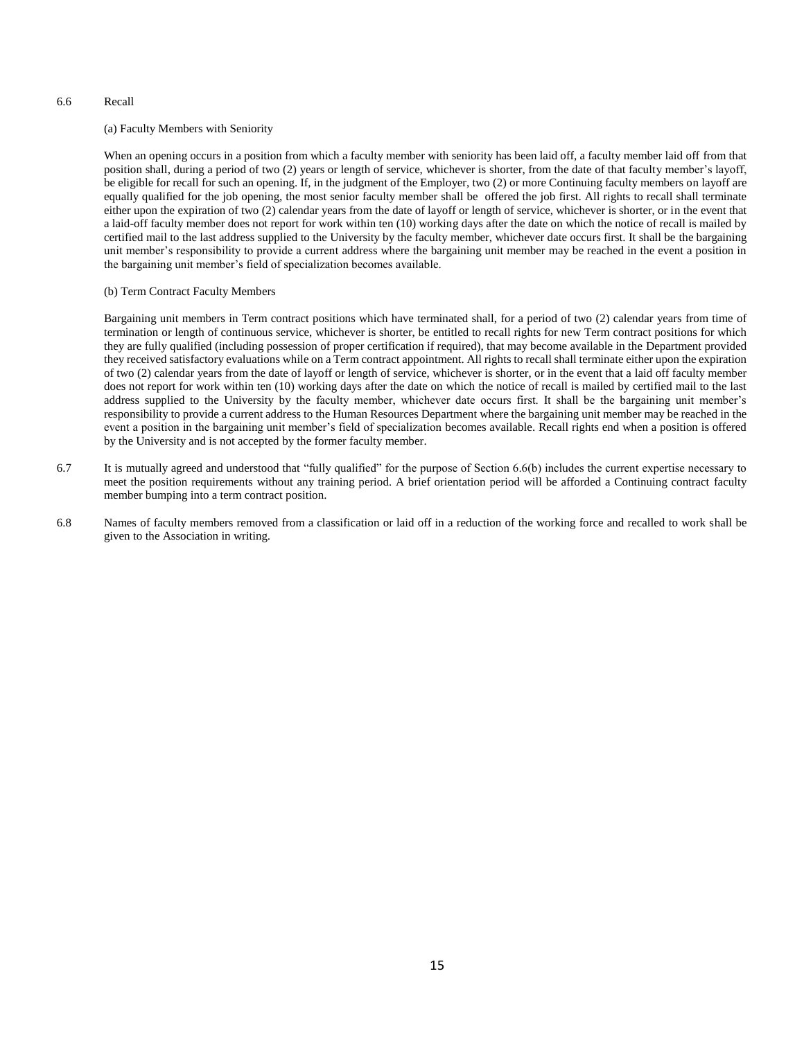### 6.6 Recall

#### (a) Faculty Members with Seniority

When an opening occurs in a position from which a faculty member with seniority has been laid off, a faculty member laid off from that position shall, during a period of two (2) years or length of service, whichever is shorter, from the date of that faculty member's layoff, be eligible for recall for such an opening. If, in the judgment of the Employer, two (2) or more Continuing faculty members on layoff are equally qualified for the job opening, the most senior faculty member shall be offered the job first. All rights to recall shall terminate either upon the expiration of two (2) calendar years from the date of layoff or length of service, whichever is shorter, or in the event that a laid-off faculty member does not report for work within ten (10) working days after the date on which the notice of recall is mailed by certified mail to the last address supplied to the University by the faculty member, whichever date occurs first. It shall be the bargaining unit member's responsibility to provide a current address where the bargaining unit member may be reached in the event a position in the bargaining unit member's field of specialization becomes available.

### (b) Term Contract Faculty Members

Bargaining unit members in Term contract positions which have terminated shall, for a period of two (2) calendar years from time of termination or length of continuous service, whichever is shorter, be entitled to recall rights for new Term contract positions for which they are fully qualified (including possession of proper certification if required), that may become available in the Department provided they received satisfactory evaluations while on a Term contract appointment. All rights to recall shall terminate either upon the expiration of two (2) calendar years from the date of layoff or length of service, whichever is shorter, or in the event that a laid off faculty member does not report for work within ten (10) working days after the date on which the notice of recall is mailed by certified mail to the last address supplied to the University by the faculty member, whichever date occurs first. It shall be the bargaining unit member's responsibility to provide a current address to the Human Resources Department where the bargaining unit member may be reached in the event a position in the bargaining unit member's field of specialization becomes available. Recall rights end when a position is offered by the University and is not accepted by the former faculty member.

- 6.7 It is mutually agreed and understood that "fully qualified" for the purpose of Section 6.6(b) includes the current expertise necessary to meet the position requirements without any training period. A brief orientation period will be afforded a Continuing contract faculty member bumping into a term contract position.
- 6.8 Names of faculty members removed from a classification or laid off in a reduction of the working force and recalled to work shall be given to the Association in writing.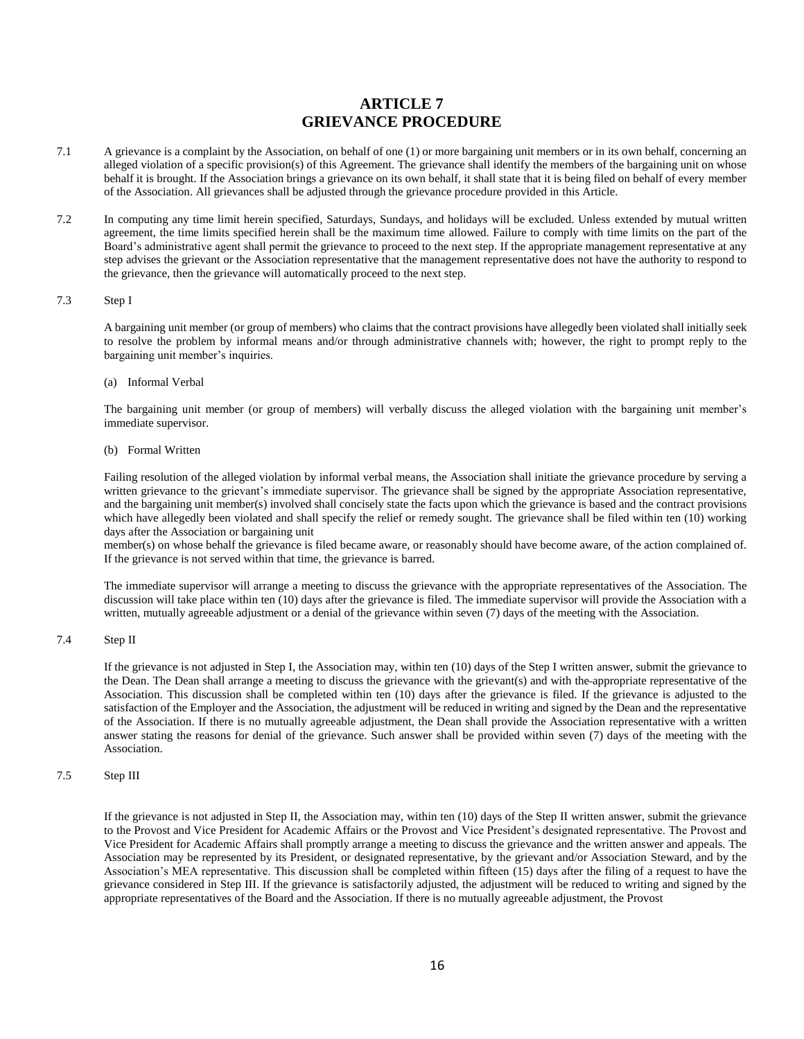## **ARTICLE 7 GRIEVANCE PROCEDURE**

- 7.1 A grievance is a complaint by the Association, on behalf of one (1) or more bargaining unit members or in its own behalf, concerning an alleged violation of a specific provision(s) of this Agreement. The grievance shall identify the members of the bargaining unit on whose behalf it is brought. If the Association brings a grievance on its own behalf, it shall state that it is being filed on behalf of every member of the Association. All grievances shall be adjusted through the grievance procedure provided in this Article.
- 7.2 In computing any time limit herein specified, Saturdays, Sundays, and holidays will be excluded. Unless extended by mutual written agreement, the time limits specified herein shall be the maximum time allowed. Failure to comply with time limits on the part of the Board's administrative agent shall permit the grievance to proceed to the next step. If the appropriate management representative at any step advises the grievant or the Association representative that the management representative does not have the authority to respond to the grievance, then the grievance will automatically proceed to the next step.

#### 7.3 Step I

A bargaining unit member (or group of members) who claims that the contract provisions have allegedly been violated shall initially seek to resolve the problem by informal means and/or through administrative channels with; however, the right to prompt reply to the bargaining unit member's inquiries.

(a) Informal Verbal

The bargaining unit member (or group of members) will verbally discuss the alleged violation with the bargaining unit member's immediate supervisor.

(b) Formal Written

Failing resolution of the alleged violation by informal verbal means, the Association shall initiate the grievance procedure by serving a written grievance to the grievant's immediate supervisor. The grievance shall be signed by the appropriate Association representative, and the bargaining unit member(s) involved shall concisely state the facts upon which the grievance is based and the contract provisions which have allegedly been violated and shall specify the relief or remedy sought. The grievance shall be filed within ten (10) working days after the Association or bargaining unit

member(s) on whose behalf the grievance is filed became aware, or reasonably should have become aware, of the action complained of. If the grievance is not served within that time, the grievance is barred.

The immediate supervisor will arrange a meeting to discuss the grievance with the appropriate representatives of the Association. The discussion will take place within ten (10) days after the grievance is filed. The immediate supervisor will provide the Association with a written, mutually agreeable adjustment or a denial of the grievance within seven (7) days of the meeting with the Association.

7.4 Step II

If the grievance is not adjusted in Step I, the Association may, within ten (10) days of the Step I written answer, submit the grievance to the Dean. The Dean shall arrange a meeting to discuss the grievance with the grievant(s) and with the appropriate representative of the Association. This discussion shall be completed within ten (10) days after the grievance is filed. If the grievance is adjusted to the satisfaction of the Employer and the Association, the adjustment will be reduced in writing and signed by the Dean and the representative of the Association. If there is no mutually agreeable adjustment, the Dean shall provide the Association representative with a written answer stating the reasons for denial of the grievance. Such answer shall be provided within seven (7) days of the meeting with the Association.

### 7.5 Step III

If the grievance is not adjusted in Step II, the Association may, within ten (10) days of the Step II written answer, submit the grievance to the Provost and Vice President for Academic Affairs or the Provost and Vice President's designated representative. The Provost and Vice President for Academic Affairs shall promptly arrange a meeting to discuss the grievance and the written answer and appeals. The Association may be represented by its President, or designated representative, by the grievant and/or Association Steward, and by the Association's MEA representative. This discussion shall be completed within fifteen (15) days after the filing of a request to have the grievance considered in Step III. If the grievance is satisfactorily adjusted, the adjustment will be reduced to writing and signed by the appropriate representatives of the Board and the Association. If there is no mutually agreeable adjustment, the Provost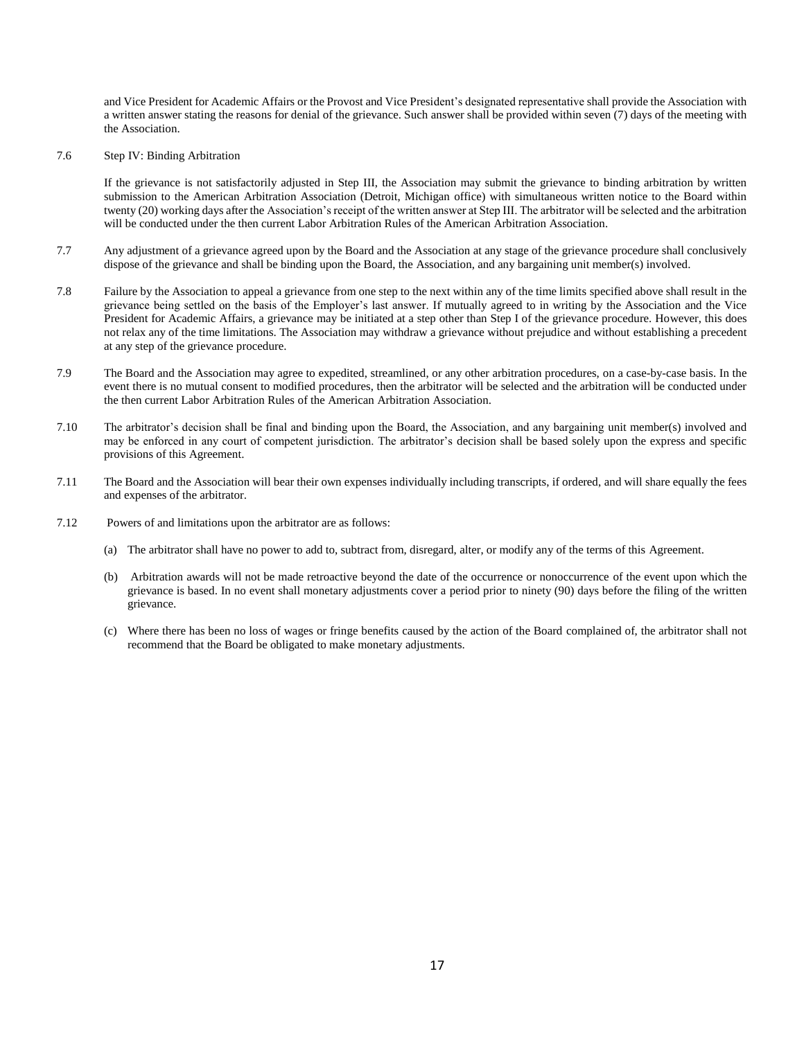and Vice President for Academic Affairs or the Provost and Vice President's designated representative shall provide the Association with a written answer stating the reasons for denial of the grievance. Such answer shall be provided within seven (7) days of the meeting with the Association.

7.6 Step IV: Binding Arbitration

If the grievance is not satisfactorily adjusted in Step III, the Association may submit the grievance to binding arbitration by written submission to the American Arbitration Association (Detroit, Michigan office) with simultaneous written notice to the Board within twenty (20) working days after the Association's receipt of the written answer at Step III. The arbitrator will be selected and the arbitration will be conducted under the then current Labor Arbitration Rules of the American Arbitration Association.

- 7.7 Any adjustment of a grievance agreed upon by the Board and the Association at any stage of the grievance procedure shall conclusively dispose of the grievance and shall be binding upon the Board, the Association, and any bargaining unit member(s) involved.
- 7.8 Failure by the Association to appeal a grievance from one step to the next within any of the time limits specified above shall result in the grievance being settled on the basis of the Employer's last answer. If mutually agreed to in writing by the Association and the Vice President for Academic Affairs, a grievance may be initiated at a step other than Step I of the grievance procedure. However, this does not relax any of the time limitations. The Association may withdraw a grievance without prejudice and without establishing a precedent at any step of the grievance procedure.
- 7.9 The Board and the Association may agree to expedited, streamlined, or any other arbitration procedures, on a case-by-case basis. In the event there is no mutual consent to modified procedures, then the arbitrator will be selected and the arbitration will be conducted under the then current Labor Arbitration Rules of the American Arbitration Association.
- 7.10 The arbitrator's decision shall be final and binding upon the Board, the Association, and any bargaining unit member(s) involved and may be enforced in any court of competent jurisdiction. The arbitrator's decision shall be based solely upon the express and specific provisions of this Agreement.
- 7.11 The Board and the Association will bear their own expenses individually including transcripts, if ordered, and will share equally the fees and expenses of the arbitrator.
- 7.12 Powers of and limitations upon the arbitrator are as follows:
	- (a) The arbitrator shall have no power to add to, subtract from, disregard, alter, or modify any of the terms of this Agreement.
	- (b) Arbitration awards will not be made retroactive beyond the date of the occurrence or nonoccurrence of the event upon which the grievance is based. In no event shall monetary adjustments cover a period prior to ninety (90) days before the filing of the written grievance.
	- (c) Where there has been no loss of wages or fringe benefits caused by the action of the Board complained of, the arbitrator shall not recommend that the Board be obligated to make monetary adjustments.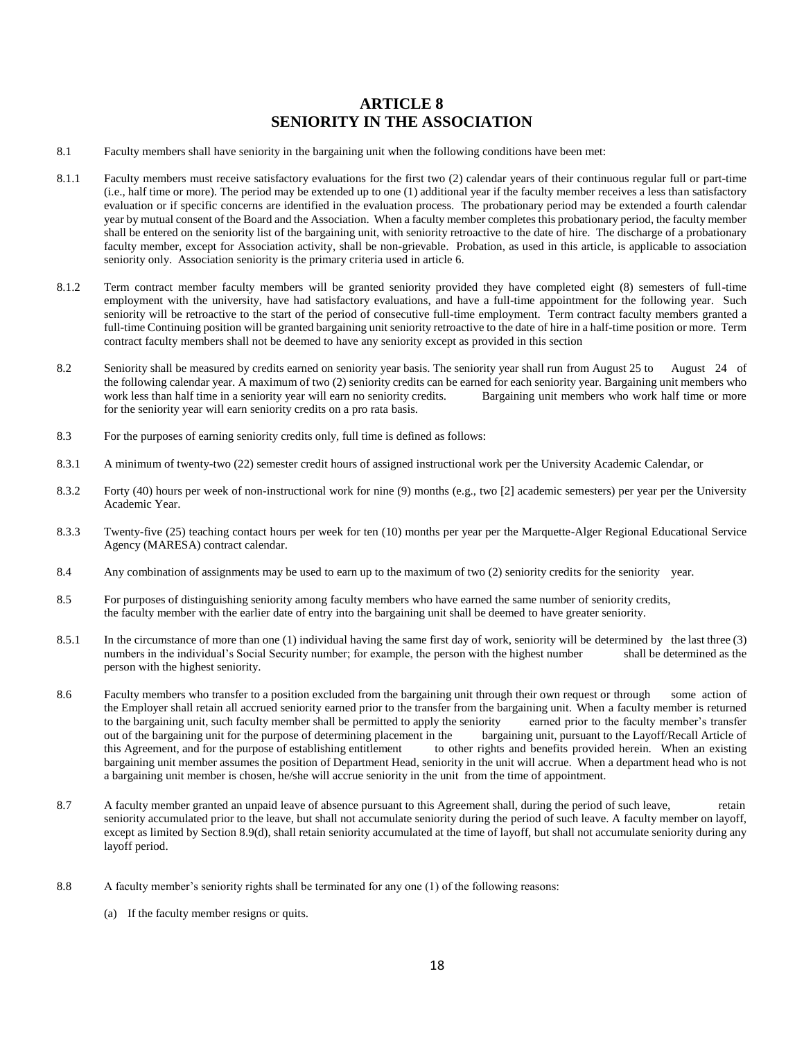## **ARTICLE 8 SENIORITY IN THE ASSOCIATION**

- 8.1 Faculty members shall have seniority in the bargaining unit when the following conditions have been met:
- 8.1.1 Faculty members must receive satisfactory evaluations for the first two (2) calendar years of their continuous regular full or part-time (i.e., half time or more). The period may be extended up to one (1) additional year if the faculty member receives a less than satisfactory evaluation or if specific concerns are identified in the evaluation process. The probationary period may be extended a fourth calendar year by mutual consent of the Board and the Association. When a faculty member completes this probationary period, the faculty member shall be entered on the seniority list of the bargaining unit, with seniority retroactive to the date of hire. The discharge of a probationary faculty member, except for Association activity, shall be non-grievable. Probation, as used in this article, is applicable to association seniority only. Association seniority is the primary criteria used in article 6.
- 8.1.2 Term contract member faculty members will be granted seniority provided they have completed eight (8) semesters of full-time employment with the university, have had satisfactory evaluations, and have a full-time appointment for the following year. Such seniority will be retroactive to the start of the period of consecutive full-time employment. Term contract faculty members granted a full-time Continuing position will be granted bargaining unit seniority retroactive to the date of hire in a half-time position or more. Term contract faculty members shall not be deemed to have any seniority except as provided in this section
- 8.2 Seniority shall be measured by credits earned on seniority year basis. The seniority year shall run from August 25 to August 24 of the following calendar year. A maximum of two (2) seniority credits can be earned for each seniority year. Bargaining unit members who work less than half time in a seniority year will earn no seniority credits. Bargaining unit members who work half time or more for the seniority year will earn seniority credits on a pro rata basis.
- 8.3 For the purposes of earning seniority credits only, full time is defined as follows:
- 8.3.1 A minimum of twenty-two (22) semester credit hours of assigned instructional work per the University Academic Calendar, or
- 8.3.2 Forty (40) hours per week of non-instructional work for nine (9) months (e.g., two [2] academic semesters) per year per the University Academic Year.
- 8.3.3 Twenty-five (25) teaching contact hours per week for ten (10) months per year per the Marquette-Alger Regional Educational Service Agency (MARESA) contract calendar.
- 8.4 Any combination of assignments may be used to earn up to the maximum of two (2) seniority credits for the seniority year.
- 8.5 For purposes of distinguishing seniority among faculty members who have earned the same number of seniority credits, the faculty member with the earlier date of entry into the bargaining unit shall be deemed to have greater seniority.
- 8.5.1 In the circumstance of more than one (1) individual having the same first day of work, seniority will be determined by the last three (3) numbers in the individual's Social Security number; for example, the person with the highest number shall be determined as the person with the highest seniority.
- 8.6 Faculty members who transfer to a position excluded from the bargaining unit through their own request or through some action of the Employer shall retain all accrued seniority earned prior to the transfer from the bargaining unit. When a faculty member is returned to the bargaining unit, such faculty member shall be permitted to apply the seniority earned prior to the faculty member's transfer out of the bargaining unit for the purpose of determining placement in the bargaining unit, pursuant to the Layoff/Recall Article of this Agreement, and for the purpose of establishing entitlement to other rights and benefits provided herein. When an existing bargaining unit member assumes the position of Department Head, seniority in the unit will accrue. When a department head who is not a bargaining unit member is chosen, he/she will accrue seniority in the unit from the time of appointment.
- 8.7 A faculty member granted an unpaid leave of absence pursuant to this Agreement shall, during the period of such leave, retain seniority accumulated prior to the leave, but shall not accumulate seniority during the period of such leave. A faculty member on layoff, except as limited by Section 8.9(d), shall retain seniority accumulated at the time of layoff, but shall not accumulate seniority during any layoff period.
- 8.8 A faculty member's seniority rights shall be terminated for any one (1) of the following reasons:
	- (a) If the faculty member resigns or quits.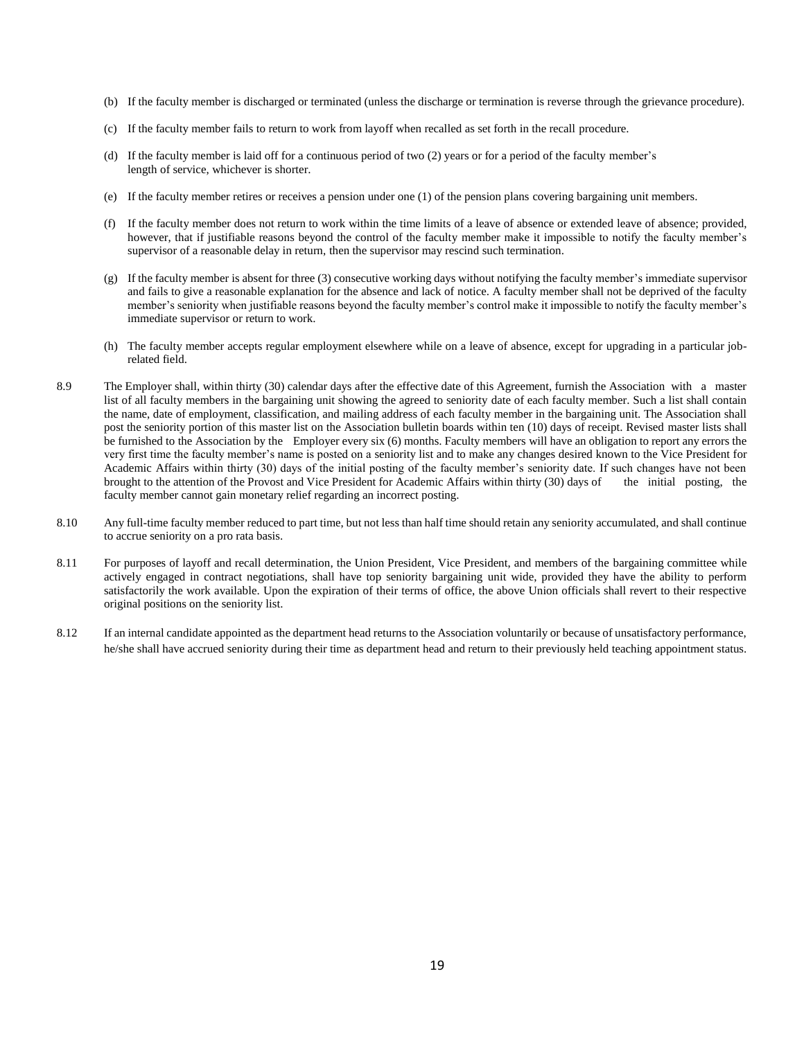- (b) If the faculty member is discharged or terminated (unless the discharge or termination is reverse through the grievance procedure).
- (c) If the faculty member fails to return to work from layoff when recalled as set forth in the recall procedure.
- (d) If the faculty member is laid off for a continuous period of two (2) years or for a period of the faculty member's length of service, whichever is shorter.
- (e) If the faculty member retires or receives a pension under one (1) of the pension plans covering bargaining unit members.
- (f) If the faculty member does not return to work within the time limits of a leave of absence or extended leave of absence; provided, however, that if justifiable reasons beyond the control of the faculty member make it impossible to notify the faculty member's supervisor of a reasonable delay in return, then the supervisor may rescind such termination.
- (g) If the faculty member is absent for three (3) consecutive working days without notifying the faculty member's immediate supervisor and fails to give a reasonable explanation for the absence and lack of notice. A faculty member shall not be deprived of the faculty member's seniority when justifiable reasons beyond the faculty member's control make it impossible to notify the faculty member's immediate supervisor or return to work.
- (h) The faculty member accepts regular employment elsewhere while on a leave of absence, except for upgrading in a particular jobrelated field.
- 8.9 The Employer shall, within thirty (30) calendar days after the effective date of this Agreement, furnish the Association with a master list of all faculty members in the bargaining unit showing the agreed to seniority date of each faculty member. Such a list shall contain the name, date of employment, classification, and mailing address of each faculty member in the bargaining unit. The Association shall post the seniority portion of this master list on the Association bulletin boards within ten (10) days of receipt. Revised master lists shall be furnished to the Association by the Employer every six (6) months. Faculty members will have an obligation to report any errors the very first time the faculty member's name is posted on a seniority list and to make any changes desired known to the Vice President for Academic Affairs within thirty (30) days of the initial posting of the faculty member's seniority date. If such changes have not been brought to the attention of the Provost and Vice President for Academic Affairs within thirty (30) days of the initial posting, the faculty member cannot gain monetary relief regarding an incorrect posting.
- 8.10 Any full-time faculty member reduced to part time, but not less than half time should retain any seniority accumulated, and shall continue to accrue seniority on a pro rata basis.
- 8.11 For purposes of layoff and recall determination, the Union President, Vice President, and members of the bargaining committee while actively engaged in contract negotiations, shall have top seniority bargaining unit wide, provided they have the ability to perform satisfactorily the work available. Upon the expiration of their terms of office, the above Union officials shall revert to their respective original positions on the seniority list.
- 8.12 If an internal candidate appointed as the department head returns to the Association voluntarily or because of unsatisfactory performance, he/she shall have accrued seniority during their time as department head and return to their previously held teaching appointment status.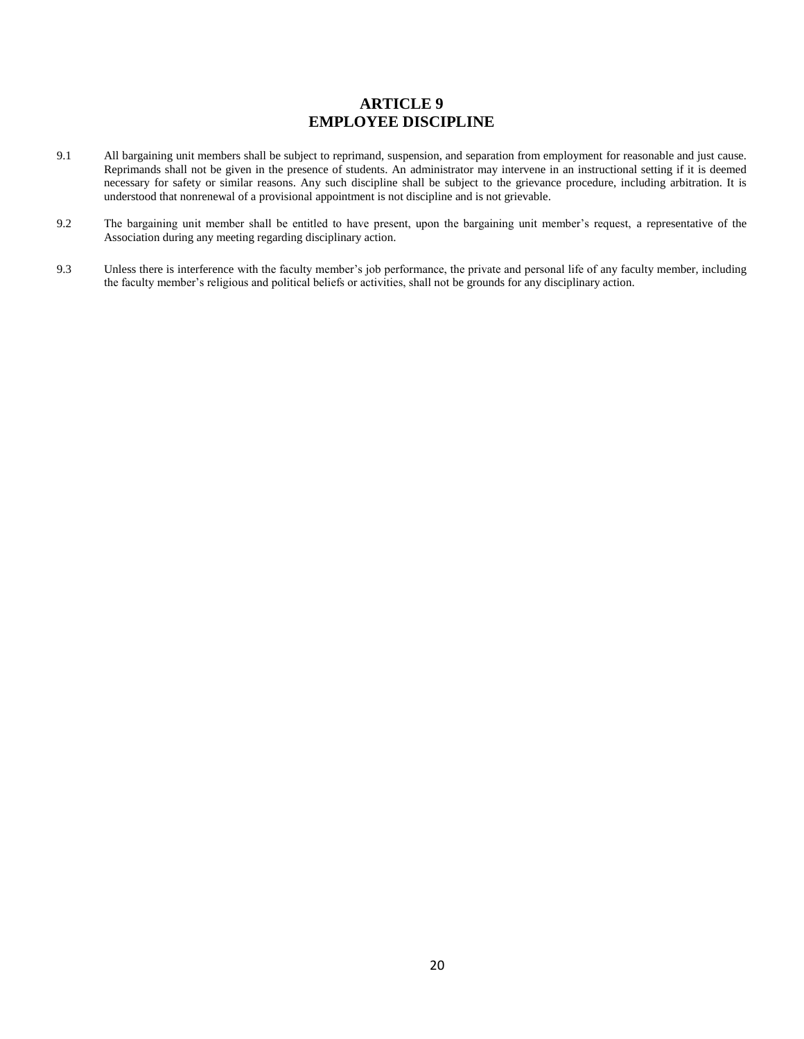## **ARTICLE 9 EMPLOYEE DISCIPLINE**

- 9.1 All bargaining unit members shall be subject to reprimand, suspension, and separation from employment for reasonable and just cause. Reprimands shall not be given in the presence of students. An administrator may intervene in an instructional setting if it is deemed necessary for safety or similar reasons. Any such discipline shall be subject to the grievance procedure, including arbitration. It is understood that nonrenewal of a provisional appointment is not discipline and is not grievable.
- 9.2 The bargaining unit member shall be entitled to have present, upon the bargaining unit member's request, a representative of the Association during any meeting regarding disciplinary action.
- 9.3 Unless there is interference with the faculty member's job performance, the private and personal life of any faculty member, including the faculty member's religious and political beliefs or activities, shall not be grounds for any disciplinary action.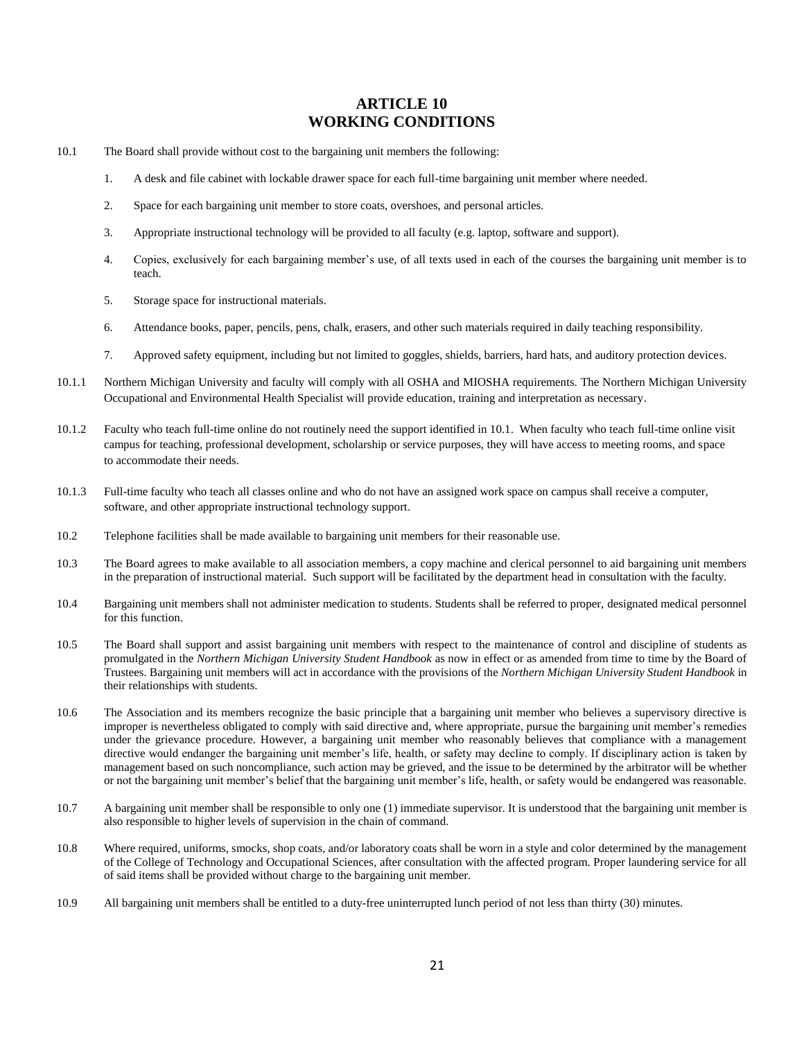## **ARTICLE 10 WORKING CONDITIONS**

- 10.1 The Board shall provide without cost to the bargaining unit members the following:
	- 1. A desk and file cabinet with lockable drawer space for each full-time bargaining unit member where needed.
	- 2. Space for each bargaining unit member to store coats, overshoes, and personal articles.
	- 3. Appropriate instructional technology will be provided to all faculty (e.g. laptop, software and support).
	- 4. Copies, exclusively for each bargaining member's use, of all texts used in each of the courses the bargaining unit member is to teach.
	- 5. Storage space for instructional materials.
	- 6. Attendance books, paper, pencils, pens, chalk, erasers, and other such materials required in daily teaching responsibility.
	- 7. Approved safety equipment, including but not limited to goggles, shields, barriers, hard hats, and auditory protection devices.
- 10.1.1 Northern Michigan University and faculty will comply with all OSHA and MIOSHA requirements. The Northern Michigan University Occupational and Environmental Health Specialist will provide education, training and interpretation as necessary.
- 10.1.2 Faculty who teach full-time online do not routinely need the support identified in 10.1. When faculty who teach full-time online visit campus for teaching, professional development, scholarship or service purposes, they will have access to meeting rooms, and space to accommodate their needs.
- 10.1.3 Full-time faculty who teach all classes online and who do not have an assigned work space on campus shall receive a computer, software, and other appropriate instructional technology support.
- 10.2 Telephone facilities shall be made available to bargaining unit members for their reasonable use.
- 10.3 The Board agrees to make available to all association members, a copy machine and clerical personnel to aid bargaining unit members in the preparation of instructional material. Such support will be facilitated by the department head in consultation with the faculty.
- 10.4 Bargaining unit members shall not administer medication to students. Students shall be referred to proper, designated medical personnel for this function.
- 10.5 The Board shall support and assist bargaining unit members with respect to the maintenance of control and discipline of students as promulgated in the *Northern Michigan University Student Handbook* as now in effect or as amended from time to time by the Board of Trustees. Bargaining unit members will act in accordance with the provisions of the *Northern Michigan University Student Handbook* in their relationships with students.
- 10.6 The Association and its members recognize the basic principle that a bargaining unit member who believes a supervisory directive is improper is nevertheless obligated to comply with said directive and, where appropriate, pursue the bargaining unit member's remedies under the grievance procedure. However, a bargaining unit member who reasonably believes that compliance with a management directive would endanger the bargaining unit member's life, health, or safety may decline to comply. If disciplinary action is taken by management based on such noncompliance, such action may be grieved, and the issue to be determined by the arbitrator will be whether or not the bargaining unit member's belief that the bargaining unit member's life, health, or safety would be endangered was reasonable.
- 10.7 A bargaining unit member shall be responsible to only one (1) immediate supervisor. It is understood that the bargaining unit member is also responsible to higher levels of supervision in the chain of command.
- 10.8 Where required, uniforms, smocks, shop coats, and/or laboratory coats shall be worn in a style and color determined by the management of the College of Technology and Occupational Sciences, after consultation with the affected program. Proper laundering service for all of said items shall be provided without charge to the bargaining unit member.
- 10.9 All bargaining unit members shall be entitled to a duty-free uninterrupted lunch period of not less than thirty (30) minutes.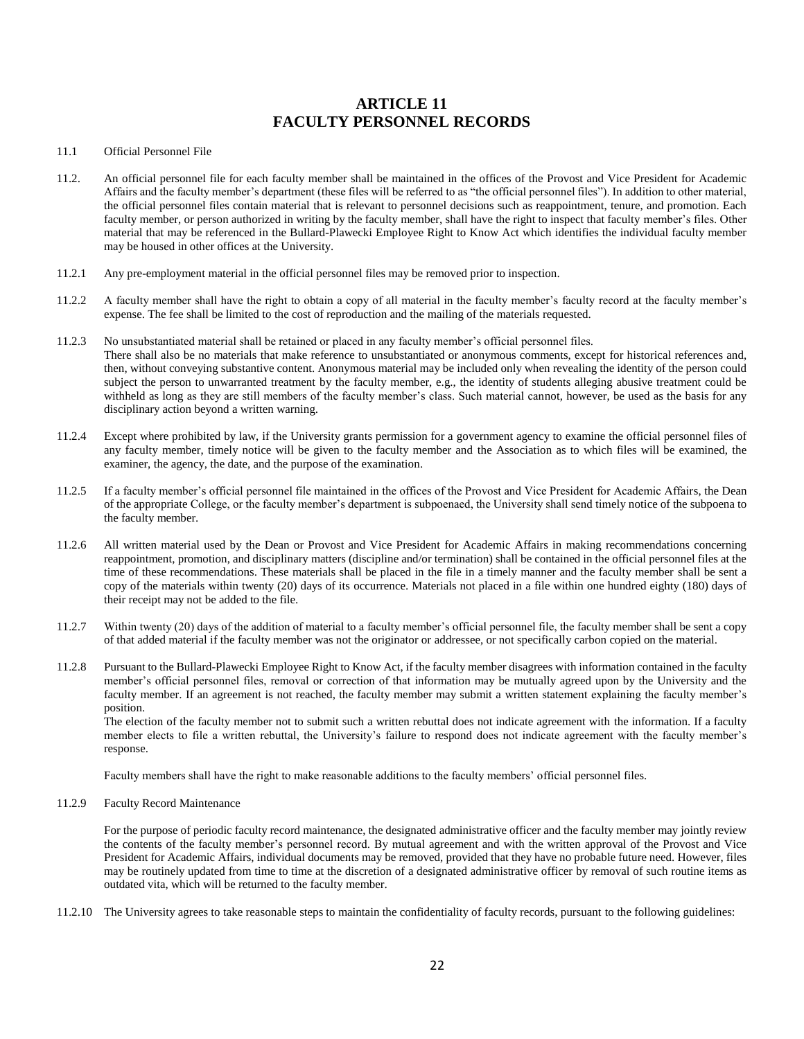## **ARTICLE 11 FACULTY PERSONNEL RECORDS**

### 11.1 Official Personnel File

- 11.2. An official personnel file for each faculty member shall be maintained in the offices of the Provost and Vice President for Academic Affairs and the faculty member's department (these files will be referred to as "the official personnel files"). In addition to other material, the official personnel files contain material that is relevant to personnel decisions such as reappointment, tenure, and promotion. Each faculty member, or person authorized in writing by the faculty member, shall have the right to inspect that faculty member's files. Other material that may be referenced in the Bullard-Plawecki Employee Right to Know Act which identifies the individual faculty member may be housed in other offices at the University.
- 11.2.1 Any pre-employment material in the official personnel files may be removed prior to inspection.
- 11.2.2 A faculty member shall have the right to obtain a copy of all material in the faculty member's faculty record at the faculty member's expense. The fee shall be limited to the cost of reproduction and the mailing of the materials requested.
- 11.2.3 No unsubstantiated material shall be retained or placed in any faculty member's official personnel files. There shall also be no materials that make reference to unsubstantiated or anonymous comments, except for historical references and, then, without conveying substantive content. Anonymous material may be included only when revealing the identity of the person could subject the person to unwarranted treatment by the faculty member, e.g., the identity of students alleging abusive treatment could be withheld as long as they are still members of the faculty member's class. Such material cannot, however, be used as the basis for any disciplinary action beyond a written warning.
- 11.2.4 Except where prohibited by law, if the University grants permission for a government agency to examine the official personnel files of any faculty member, timely notice will be given to the faculty member and the Association as to which files will be examined, the examiner, the agency, the date, and the purpose of the examination.
- 11.2.5 If a faculty member's official personnel file maintained in the offices of the Provost and Vice President for Academic Affairs, the Dean of the appropriate College, or the faculty member's department is subpoenaed, the University shall send timely notice of the subpoena to the faculty member.
- 11.2.6 All written material used by the Dean or Provost and Vice President for Academic Affairs in making recommendations concerning reappointment, promotion, and disciplinary matters (discipline and/or termination) shall be contained in the official personnel files at the time of these recommendations. These materials shall be placed in the file in a timely manner and the faculty member shall be sent a copy of the materials within twenty (20) days of its occurrence. Materials not placed in a file within one hundred eighty (180) days of their receipt may not be added to the file.
- 11.2.7 Within twenty (20) days of the addition of material to a faculty member's official personnel file, the faculty member shall be sent a copy of that added material if the faculty member was not the originator or addressee, or not specifically carbon copied on the material.
- 11.2.8 Pursuant to the Bullard-Plawecki Employee Right to Know Act, if the faculty member disagrees with information contained in the faculty member's official personnel files, removal or correction of that information may be mutually agreed upon by the University and the faculty member. If an agreement is not reached, the faculty member may submit a written statement explaining the faculty member's position.

The election of the faculty member not to submit such a written rebuttal does not indicate agreement with the information. If a faculty member elects to file a written rebuttal, the University's failure to respond does not indicate agreement with the faculty member's response.

Faculty members shall have the right to make reasonable additions to the faculty members' official personnel files.

11.2.9 Faculty Record Maintenance

For the purpose of periodic faculty record maintenance, the designated administrative officer and the faculty member may jointly review the contents of the faculty member's personnel record. By mutual agreement and with the written approval of the Provost and Vice President for Academic Affairs, individual documents may be removed, provided that they have no probable future need. However, files may be routinely updated from time to time at the discretion of a designated administrative officer by removal of such routine items as outdated vita, which will be returned to the faculty member.

11.2.10 The University agrees to take reasonable steps to maintain the confidentiality of faculty records, pursuant to the following guidelines: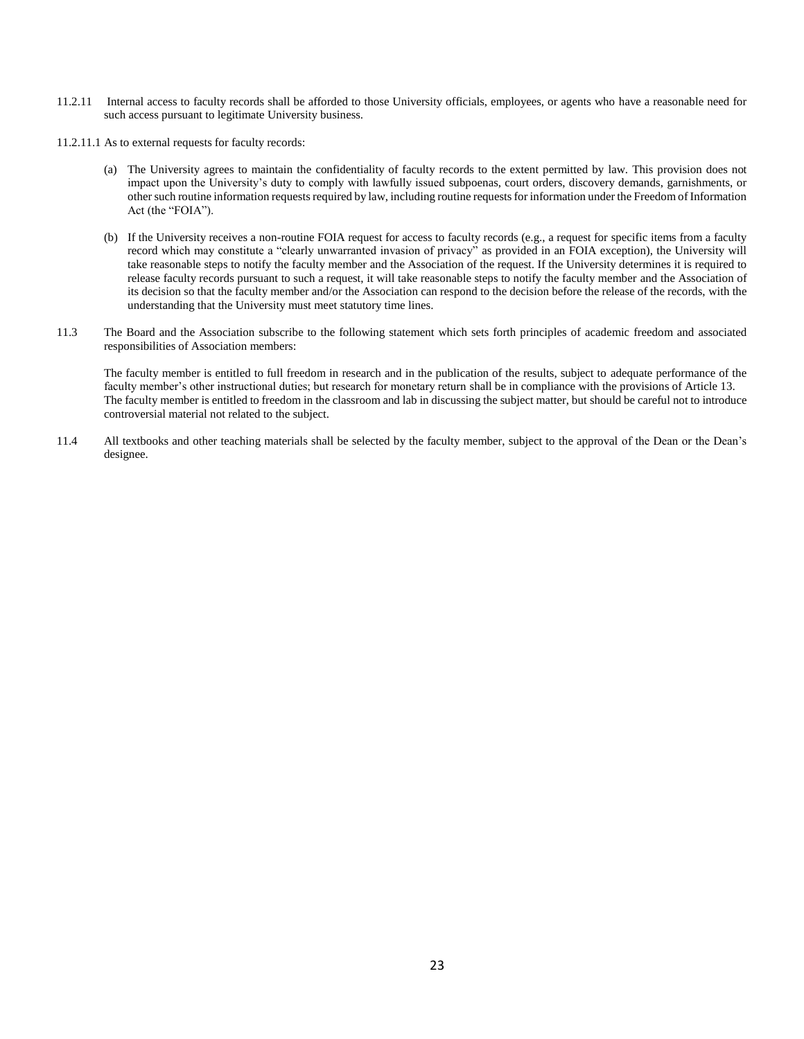- 11.2.11 Internal access to faculty records shall be afforded to those University officials, employees, or agents who have a reasonable need for such access pursuant to legitimate University business.
- 11.2.11.1 As to external requests for faculty records:
	- (a) The University agrees to maintain the confidentiality of faculty records to the extent permitted by law. This provision does not impact upon the University's duty to comply with lawfully issued subpoenas, court orders, discovery demands, garnishments, or other such routine information requests required by law, including routine requests for information under the Freedom of Information Act (the "FOIA").
	- (b) If the University receives a non-routine FOIA request for access to faculty records (e.g., a request for specific items from a faculty record which may constitute a "clearly unwarranted invasion of privacy" as provided in an FOIA exception), the University will take reasonable steps to notify the faculty member and the Association of the request. If the University determines it is required to release faculty records pursuant to such a request, it will take reasonable steps to notify the faculty member and the Association of its decision so that the faculty member and/or the Association can respond to the decision before the release of the records, with the understanding that the University must meet statutory time lines.
- 11.3 The Board and the Association subscribe to the following statement which sets forth principles of academic freedom and associated responsibilities of Association members:

The faculty member is entitled to full freedom in research and in the publication of the results, subject to adequate performance of the faculty member's other instructional duties; but research for monetary return shall be in compliance with the provisions of Article 13. The faculty member is entitled to freedom in the classroom and lab in discussing the subject matter, but should be careful not to introduce controversial material not related to the subject.

11.4 All textbooks and other teaching materials shall be selected by the faculty member, subject to the approval of the Dean or the Dean's designee.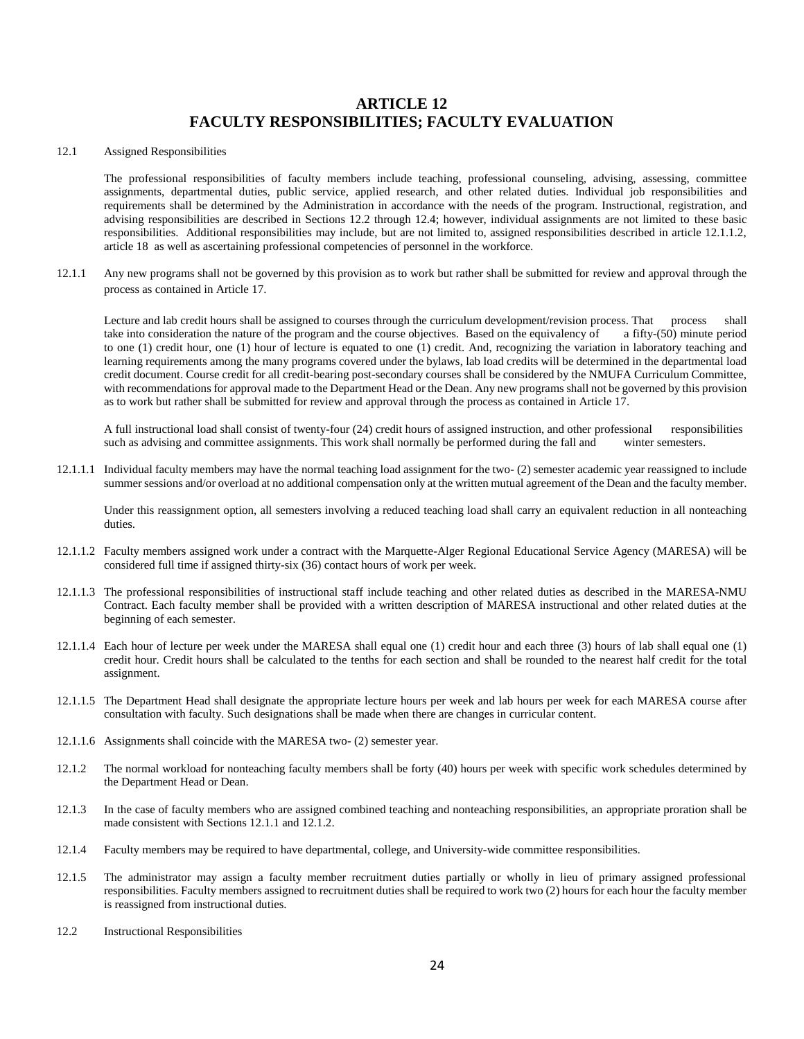## **ARTICLE 12 FACULTY RESPONSIBILITIES; FACULTY EVALUATION**

#### 12.1 Assigned Responsibilities

The professional responsibilities of faculty members include teaching, professional counseling, advising, assessing, committee assignments, departmental duties, public service, applied research, and other related duties. Individual job responsibilities and requirements shall be determined by the Administration in accordance with the needs of the program. Instructional, registration, and advising responsibilities are described in Sections 12.2 through 12.4; however, individual assignments are not limited to these basic responsibilities. Additional responsibilities may include, but are not limited to, assigned responsibilities described in article 12.1.1.2, article 18 as well as ascertaining professional competencies of personnel in the workforce.

12.1.1 Any new programs shall not be governed by this provision as to work but rather shall be submitted for review and approval through the process as contained in Article 17.

Lecture and lab credit hours shall be assigned to courses through the curriculum development/revision process. That process shall take into consideration the nature of the program and the course objectives. Based on the equivalency of a fifty-(50) minute period to one (1) credit hour, one (1) hour of lecture is equated to one (1) credit. And, recognizing the variation in laboratory teaching and learning requirements among the many programs covered under the bylaws, lab load credits will be determined in the departmental load credit document. Course credit for all credit-bearing post-secondary courses shall be considered by the NMUFA Curriculum Committee, with recommendations for approval made to the Department Head or the Dean. Any new programs shall not be governed by this provision as to work but rather shall be submitted for review and approval through the process as contained in Article 17.

A full instructional load shall consist of twenty-four (24) credit hours of assigned instruction, and other professional responsibilities such as advising and committee assignments. This work shall normally be performed during the fall and winter semesters.

12.1.1.1 Individual faculty members may have the normal teaching load assignment for the two- (2) semester academic year reassigned to include summer sessions and/or overload at no additional compensation only at the written mutual agreement of the Dean and the faculty member.

Under this reassignment option, all semesters involving a reduced teaching load shall carry an equivalent reduction in all nonteaching duties.

- 12.1.1.2 Faculty members assigned work under a contract with the Marquette-Alger Regional Educational Service Agency (MARESA) will be considered full time if assigned thirty-six (36) contact hours of work per week.
- 12.1.1.3 The professional responsibilities of instructional staff include teaching and other related duties as described in the MARESA-NMU Contract. Each faculty member shall be provided with a written description of MARESA instructional and other related duties at the beginning of each semester.
- 12.1.1.4 Each hour of lecture per week under the MARESA shall equal one (1) credit hour and each three (3) hours of lab shall equal one (1) credit hour. Credit hours shall be calculated to the tenths for each section and shall be rounded to the nearest half credit for the total assignment.
- 12.1.1.5 The Department Head shall designate the appropriate lecture hours per week and lab hours per week for each MARESA course after consultation with faculty. Such designations shall be made when there are changes in curricular content.
- 12.1.1.6 Assignments shall coincide with the MARESA two- (2) semester year.
- 12.1.2 The normal workload for nonteaching faculty members shall be forty (40) hours per week with specific work schedules determined by the Department Head or Dean.
- 12.1.3 In the case of faculty members who are assigned combined teaching and nonteaching responsibilities, an appropriate proration shall be made consistent with Sections 12.1.1 and 12.1.2.
- 12.1.4 Faculty members may be required to have departmental, college, and University-wide committee responsibilities.
- 12.1.5 The administrator may assign a faculty member recruitment duties partially or wholly in lieu of primary assigned professional responsibilities. Faculty members assigned to recruitment duties shall be required to work two (2) hours for each hour the faculty member is reassigned from instructional duties.
- 12.2 Instructional Responsibilities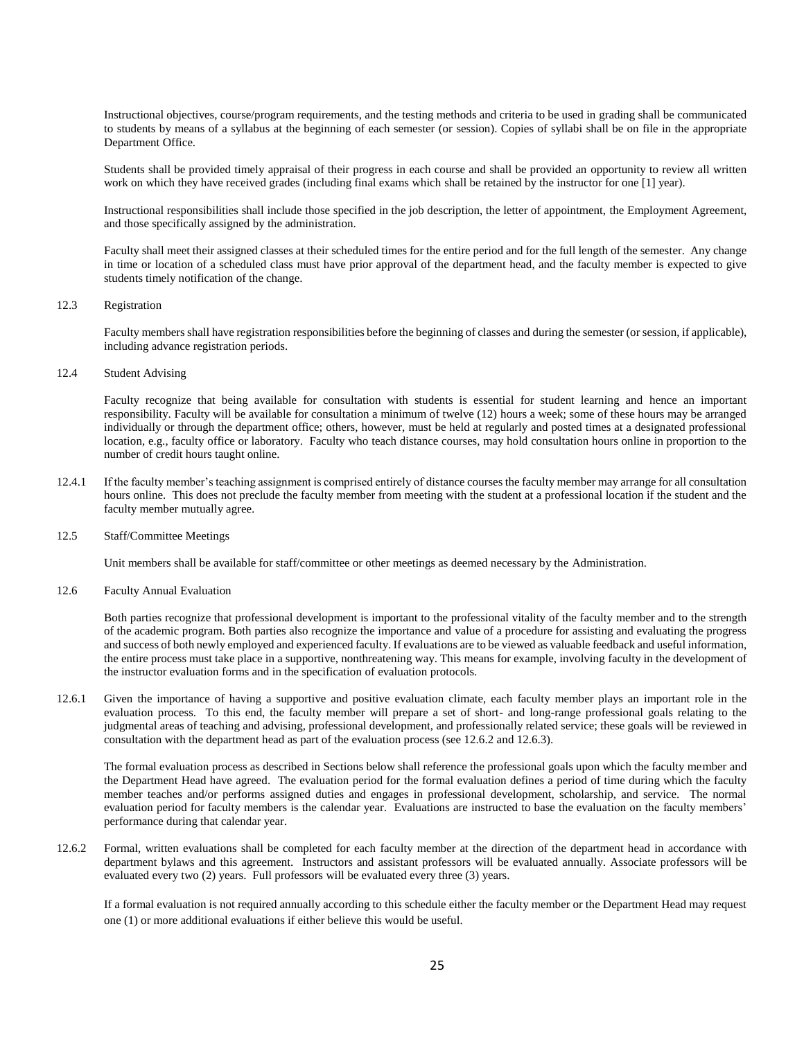Instructional objectives, course/program requirements, and the testing methods and criteria to be used in grading shall be communicated to students by means of a syllabus at the beginning of each semester (or session). Copies of syllabi shall be on file in the appropriate Department Office.

Students shall be provided timely appraisal of their progress in each course and shall be provided an opportunity to review all written work on which they have received grades (including final exams which shall be retained by the instructor for one [1] year).

Instructional responsibilities shall include those specified in the job description, the letter of appointment, the Employment Agreement, and those specifically assigned by the administration.

Faculty shall meet their assigned classes at their scheduled times for the entire period and for the full length of the semester. Any change in time or location of a scheduled class must have prior approval of the department head, and the faculty member is expected to give students timely notification of the change.

### 12.3 Registration

Faculty members shall have registration responsibilities before the beginning of classes and during the semester (or session, if applicable), including advance registration periods.

#### 12.4 Student Advising

Faculty recognize that being available for consultation with students is essential for student learning and hence an important responsibility. Faculty will be available for consultation a minimum of twelve (12) hours a week; some of these hours may be arranged individually or through the department office; others, however, must be held at regularly and posted times at a designated professional location, e.g., faculty office or laboratory. Faculty who teach distance courses, may hold consultation hours online in proportion to the number of credit hours taught online.

- 12.4.1 If the faculty member's teaching assignment is comprised entirely of distance courses the faculty member may arrange for all consultation hours online. This does not preclude the faculty member from meeting with the student at a professional location if the student and the faculty member mutually agree.
- 12.5 Staff/Committee Meetings

Unit members shall be available for staff/committee or other meetings as deemed necessary by the Administration.

12.6 Faculty Annual Evaluation

Both parties recognize that professional development is important to the professional vitality of the faculty member and to the strength of the academic program. Both parties also recognize the importance and value of a procedure for assisting and evaluating the progress and success of both newly employed and experienced faculty. If evaluations are to be viewed as valuable feedback and useful information, the entire process must take place in a supportive, nonthreatening way. This means for example, involving faculty in the development of the instructor evaluation forms and in the specification of evaluation protocols.

12.6.1 Given the importance of having a supportive and positive evaluation climate, each faculty member plays an important role in the evaluation process. To this end, the faculty member will prepare a set of short- and long-range professional goals relating to the judgmental areas of teaching and advising, professional development, and professionally related service; these goals will be reviewed in consultation with the department head as part of the evaluation process (see 12.6.2 and 12.6.3).

The formal evaluation process as described in Sections below shall reference the professional goals upon which the faculty member and the Department Head have agreed. The evaluation period for the formal evaluation defines a period of time during which the faculty member teaches and/or performs assigned duties and engages in professional development, scholarship, and service. The normal evaluation period for faculty members is the calendar year. Evaluations are instructed to base the evaluation on the faculty members' performance during that calendar year.

12.6.2 Formal, written evaluations shall be completed for each faculty member at the direction of the department head in accordance with department bylaws and this agreement. Instructors and assistant professors will be evaluated annually. Associate professors will be evaluated every two (2) years. Full professors will be evaluated every three (3) years.

If a formal evaluation is not required annually according to this schedule either the faculty member or the Department Head may request one (1) or more additional evaluations if either believe this would be useful.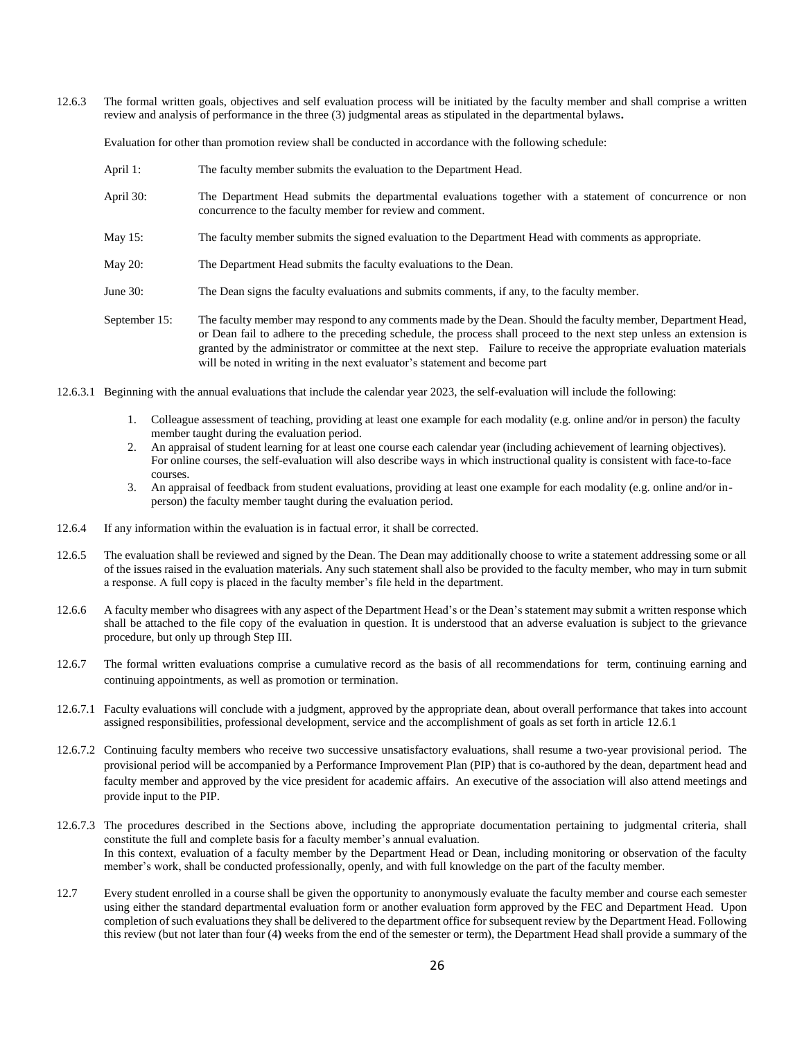12.6.3 The formal written goals, objectives and self evaluation process will be initiated by the faculty member and shall comprise a written review and analysis of performance in the three (3) judgmental areas as stipulated in the departmental bylaws**.** 

Evaluation for other than promotion review shall be conducted in accordance with the following schedule:

- April 1: The faculty member submits the evaluation to the Department Head.
- April 30: The Department Head submits the departmental evaluations together with a statement of concurrence or non concurrence to the faculty member for review and comment.
- May 15: The faculty member submits the signed evaluation to the Department Head with comments as appropriate.
- May 20: The Department Head submits the faculty evaluations to the Dean.
- June 30: The Dean signs the faculty evaluations and submits comments, if any, to the faculty member.
- September 15: The faculty member may respond to any comments made by the Dean. Should the faculty member, Department Head, or Dean fail to adhere to the preceding schedule, the process shall proceed to the next step unless an extension is granted by the administrator or committee at the next step. Failure to receive the appropriate evaluation materials will be noted in writing in the next evaluator's statement and become part
- 12.6.3.1 Beginning with the annual evaluations that include the calendar year 2023, the self-evaluation will include the following:
	- 1. Colleague assessment of teaching, providing at least one example for each modality (e.g. online and/or in person) the faculty member taught during the evaluation period.
	- 2. An appraisal of student learning for at least one course each calendar year (including achievement of learning objectives). For online courses, the self-evaluation will also describe ways in which instructional quality is consistent with face-to-face courses.
	- 3. An appraisal of feedback from student evaluations, providing at least one example for each modality (e.g. online and/or inperson) the faculty member taught during the evaluation period.
- 12.6.4 If any information within the evaluation is in factual error, it shall be corrected.
- 12.6.5 The evaluation shall be reviewed and signed by the Dean. The Dean may additionally choose to write a statement addressing some or all of the issues raised in the evaluation materials. Any such statement shall also be provided to the faculty member, who may in turn submit a response. A full copy is placed in the faculty member's file held in the department.
- 12.6.6 A faculty member who disagrees with any aspect of the Department Head's or the Dean's statement may submit a written response which shall be attached to the file copy of the evaluation in question. It is understood that an adverse evaluation is subject to the grievance procedure, but only up through Step III.
- 12.6.7 The formal written evaluations comprise a cumulative record as the basis of all recommendations for term, continuing earning and continuing appointments, as well as promotion or termination.
- 12.6.7.1 Faculty evaluations will conclude with a judgment, approved by the appropriate dean, about overall performance that takes into account assigned responsibilities, professional development, service and the accomplishment of goals as set forth in article 12.6.1
- 12.6.7.2 Continuing faculty members who receive two successive unsatisfactory evaluations, shall resume a two-year provisional period. The provisional period will be accompanied by a Performance Improvement Plan (PIP) that is co-authored by the dean, department head and faculty member and approved by the vice president for academic affairs. An executive of the association will also attend meetings and provide input to the PIP.
- 12.6.7.3 The procedures described in the Sections above, including the appropriate documentation pertaining to judgmental criteria, shall constitute the full and complete basis for a faculty member's annual evaluation. In this context, evaluation of a faculty member by the Department Head or Dean, including monitoring or observation of the faculty member's work, shall be conducted professionally, openly, and with full knowledge on the part of the faculty member.
- 12.7 Every student enrolled in a course shall be given the opportunity to anonymously evaluate the faculty member and course each semester using either the standard departmental evaluation form or another evaluation form approved by the FEC and Department Head. Upon completion of such evaluations they shall be delivered to the department office for subsequent review by the Department Head. Following this review (but not later than four (4**)** weeks from the end of the semester or term), the Department Head shall provide a summary of the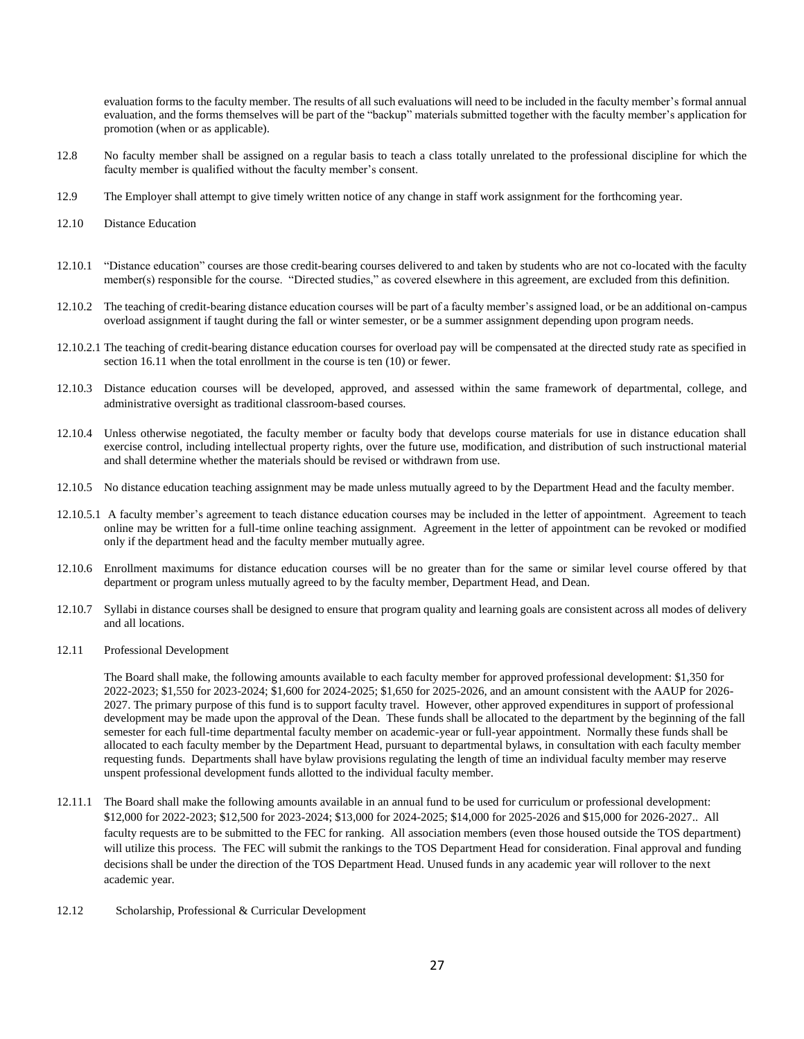evaluation forms to the faculty member. The results of all such evaluations will need to be included in the faculty member's formal annual evaluation, and the forms themselves will be part of the "backup" materials submitted together with the faculty member's application for promotion (when or as applicable).

- 12.8 No faculty member shall be assigned on a regular basis to teach a class totally unrelated to the professional discipline for which the faculty member is qualified without the faculty member's consent.
- 12.9 The Employer shall attempt to give timely written notice of any change in staff work assignment for the forthcoming year.
- 12.10 Distance Education
- 12.10.1 "Distance education" courses are those credit-bearing courses delivered to and taken by students who are not co-located with the faculty member(s) responsible for the course. "Directed studies," as covered elsewhere in this agreement, are excluded from this definition.
- 12.10.2 The teaching of credit-bearing distance education courses will be part of a faculty member's assigned load, or be an additional on-campus overload assignment if taught during the fall or winter semester, or be a summer assignment depending upon program needs.
- 12.10.2.1 The teaching of credit-bearing distance education courses for overload pay will be compensated at the directed study rate as specified in section 16.11 when the total enrollment in the course is ten (10) or fewer.
- 12.10.3 Distance education courses will be developed, approved, and assessed within the same framework of departmental, college, and administrative oversight as traditional classroom-based courses.
- 12.10.4 Unless otherwise negotiated, the faculty member or faculty body that develops course materials for use in distance education shall exercise control, including intellectual property rights, over the future use, modification, and distribution of such instructional material and shall determine whether the materials should be revised or withdrawn from use.
- 12.10.5 No distance education teaching assignment may be made unless mutually agreed to by the Department Head and the faculty member.
- 12.10.5.1 A faculty member's agreement to teach distance education courses may be included in the letter of appointment. Agreement to teach online may be written for a full-time online teaching assignment. Agreement in the letter of appointment can be revoked or modified only if the department head and the faculty member mutually agree.
- 12.10.6 Enrollment maximums for distance education courses will be no greater than for the same or similar level course offered by that department or program unless mutually agreed to by the faculty member, Department Head, and Dean.
- 12.10.7 Syllabi in distance courses shall be designed to ensure that program quality and learning goals are consistent across all modes of delivery and all locations.
- 12.11 Professional Development

The Board shall make, the following amounts available to each faculty member for approved professional development: \$1,350 for 2022-2023; \$1,550 for 2023-2024; \$1,600 for 2024-2025; \$1,650 for 2025-2026, and an amount consistent with the AAUP for 2026- 2027. The primary purpose of this fund is to support faculty travel. However, other approved expenditures in support of professional development may be made upon the approval of the Dean. These funds shall be allocated to the department by the beginning of the fall semester for each full-time departmental faculty member on academic-year or full-year appointment. Normally these funds shall be allocated to each faculty member by the Department Head, pursuant to departmental bylaws, in consultation with each faculty member requesting funds. Departments shall have bylaw provisions regulating the length of time an individual faculty member may reserve unspent professional development funds allotted to the individual faculty member.

- 12.11.1 The Board shall make the following amounts available in an annual fund to be used for curriculum or professional development: \$12,000 for 2022-2023; \$12,500 for 2023-2024; \$13,000 for 2024-2025; \$14,000 for 2025-2026 and \$15,000 for 2026-2027.. All faculty requests are to be submitted to the FEC for ranking. All association members (even those housed outside the TOS department) will utilize this process. The FEC will submit the rankings to the TOS Department Head for consideration. Final approval and funding decisions shall be under the direction of the TOS Department Head. Unused funds in any academic year will rollover to the next academic year.
- 12.12 Scholarship, Professional & Curricular Development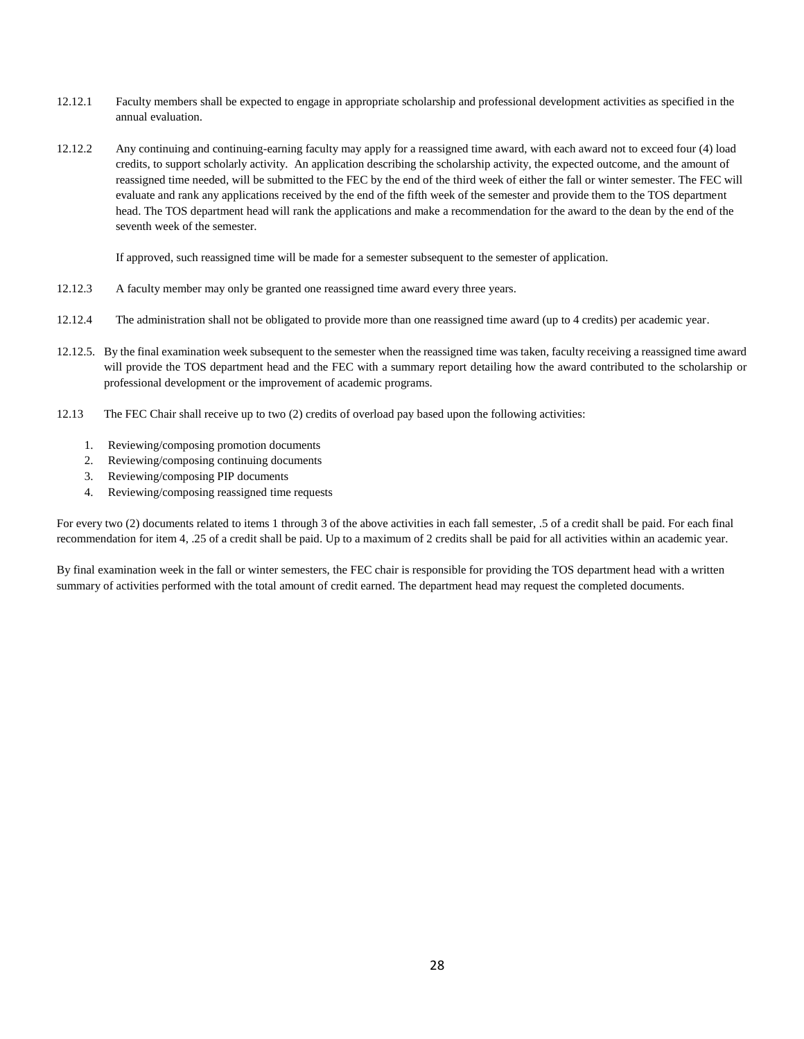- 12.12.1 Faculty members shall be expected to engage in appropriate scholarship and professional development activities as specified in the annual evaluation.
- 12.12.2 Any continuing and continuing-earning faculty may apply for a reassigned time award, with each award not to exceed four (4) load credits, to support scholarly activity. An application describing the scholarship activity, the expected outcome, and the amount of reassigned time needed, will be submitted to the FEC by the end of the third week of either the fall or winter semester. The FEC will evaluate and rank any applications received by the end of the fifth week of the semester and provide them to the TOS department head. The TOS department head will rank the applications and make a recommendation for the award to the dean by the end of the seventh week of the semester.

If approved, such reassigned time will be made for a semester subsequent to the semester of application.

- 12.12.3 A faculty member may only be granted one reassigned time award every three years.
- 12.12.4 The administration shall not be obligated to provide more than one reassigned time award (up to 4 credits) per academic year.
- 12.12.5. By the final examination week subsequent to the semester when the reassigned time was taken, faculty receiving a reassigned time award will provide the TOS department head and the FEC with a summary report detailing how the award contributed to the scholarship or professional development or the improvement of academic programs.
- 12.13 The FEC Chair shall receive up to two (2) credits of overload pay based upon the following activities:
	- 1. Reviewing/composing promotion documents
	- 2. Reviewing/composing continuing documents
	- 3. Reviewing/composing PIP documents
	- 4. Reviewing/composing reassigned time requests

For every two (2) documents related to items 1 through 3 of the above activities in each fall semester, .5 of a credit shall be paid. For each final recommendation for item 4, .25 of a credit shall be paid. Up to a maximum of 2 credits shall be paid for all activities within an academic year.

By final examination week in the fall or winter semesters, the FEC chair is responsible for providing the TOS department head with a written summary of activities performed with the total amount of credit earned. The department head may request the completed documents.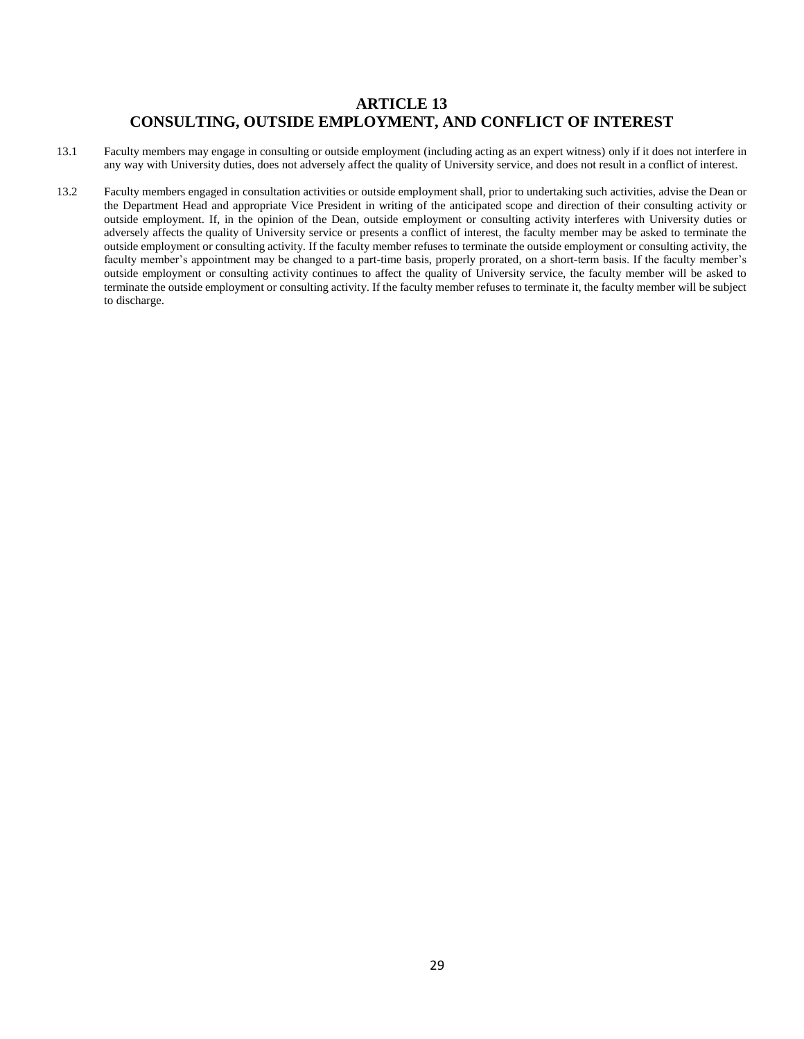## **ARTICLE 13 CONSULTING, OUTSIDE EMPLOYMENT, AND CONFLICT OF INTEREST**

- 13.1 Faculty members may engage in consulting or outside employment (including acting as an expert witness) only if it does not interfere in any way with University duties, does not adversely affect the quality of University service, and does not result in a conflict of interest.
- 13.2 Faculty members engaged in consultation activities or outside employment shall, prior to undertaking such activities, advise the Dean or the Department Head and appropriate Vice President in writing of the anticipated scope and direction of their consulting activity or outside employment. If, in the opinion of the Dean, outside employment or consulting activity interferes with University duties or adversely affects the quality of University service or presents a conflict of interest, the faculty member may be asked to terminate the outside employment or consulting activity. If the faculty member refuses to terminate the outside employment or consulting activity, the faculty member's appointment may be changed to a part-time basis, properly prorated, on a short-term basis. If the faculty member's outside employment or consulting activity continues to affect the quality of University service, the faculty member will be asked to terminate the outside employment or consulting activity. If the faculty member refuses to terminate it, the faculty member will be subject to discharge.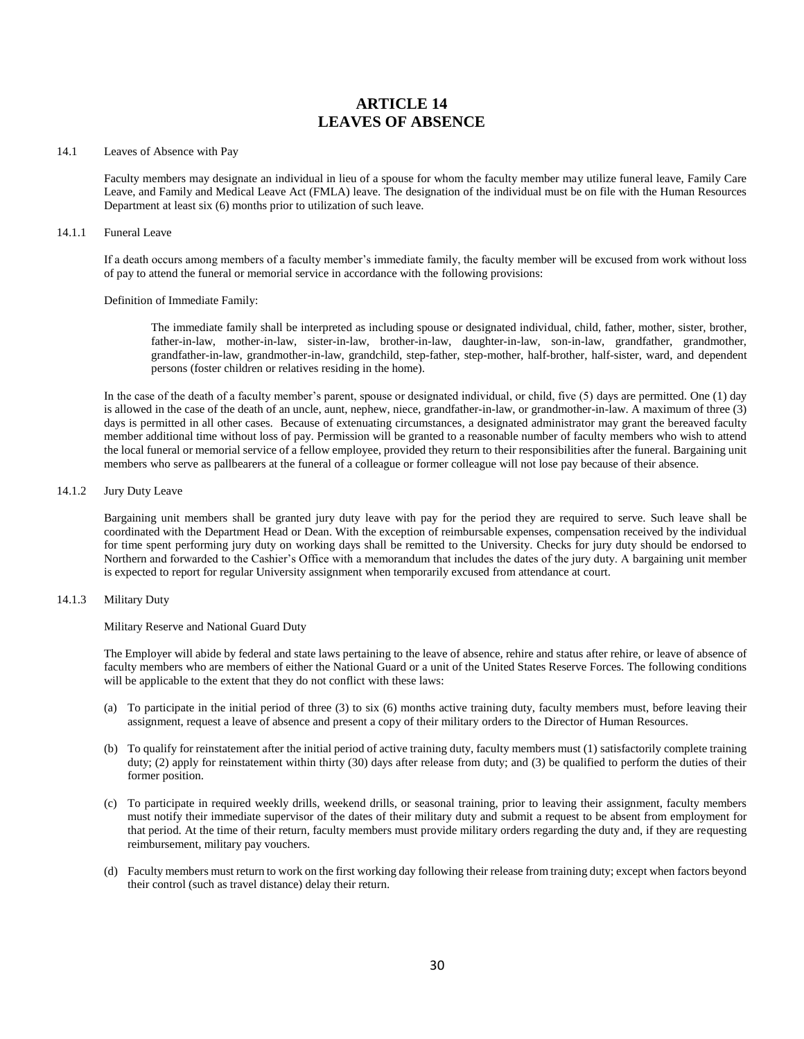## **ARTICLE 14 LEAVES OF ABSENCE**

#### 14.1 Leaves of Absence with Pay

Faculty members may designate an individual in lieu of a spouse for whom the faculty member may utilize funeral leave, Family Care Leave, and Family and Medical Leave Act (FMLA) leave. The designation of the individual must be on file with the Human Resources Department at least six (6) months prior to utilization of such leave.

#### 14.1.1 Funeral Leave

If a death occurs among members of a faculty member's immediate family, the faculty member will be excused from work without loss of pay to attend the funeral or memorial service in accordance with the following provisions:

#### Definition of Immediate Family:

The immediate family shall be interpreted as including spouse or designated individual, child, father, mother, sister, brother, father-in-law, mother-in-law, sister-in-law, brother-in-law, daughter-in-law, son-in-law, grandfather, grandmother, grandfather-in-law, grandmother-in-law, grandchild, step-father, step-mother, half-brother, half-sister, ward, and dependent persons (foster children or relatives residing in the home).

In the case of the death of a faculty member's parent, spouse or designated individual, or child, five (5) days are permitted. One (1) day is allowed in the case of the death of an uncle, aunt, nephew, niece, grandfather-in-law, or grandmother-in-law. A maximum of three (3) days is permitted in all other cases. Because of extenuating circumstances, a designated administrator may grant the bereaved faculty member additional time without loss of pay. Permission will be granted to a reasonable number of faculty members who wish to attend the local funeral or memorial service of a fellow employee, provided they return to their responsibilities after the funeral. Bargaining unit members who serve as pallbearers at the funeral of a colleague or former colleague will not lose pay because of their absence.

### 14.1.2 Jury Duty Leave

Bargaining unit members shall be granted jury duty leave with pay for the period they are required to serve. Such leave shall be coordinated with the Department Head or Dean. With the exception of reimbursable expenses, compensation received by the individual for time spent performing jury duty on working days shall be remitted to the University. Checks for jury duty should be endorsed to Northern and forwarded to the Cashier's Office with a memorandum that includes the dates of the jury duty. A bargaining unit member is expected to report for regular University assignment when temporarily excused from attendance at court.

### 14.1.3 Military Duty

### Military Reserve and National Guard Duty

The Employer will abide by federal and state laws pertaining to the leave of absence, rehire and status after rehire, or leave of absence of faculty members who are members of either the National Guard or a unit of the United States Reserve Forces. The following conditions will be applicable to the extent that they do not conflict with these laws:

- (a) To participate in the initial period of three (3) to six (6) months active training duty, faculty members must, before leaving their assignment, request a leave of absence and present a copy of their military orders to the Director of Human Resources.
- (b) To qualify for reinstatement after the initial period of active training duty, faculty members must (1) satisfactorily complete training duty; (2) apply for reinstatement within thirty (30) days after release from duty; and (3) be qualified to perform the duties of their former position.
- (c) To participate in required weekly drills, weekend drills, or seasonal training, prior to leaving their assignment, faculty members must notify their immediate supervisor of the dates of their military duty and submit a request to be absent from employment for that period. At the time of their return, faculty members must provide military orders regarding the duty and, if they are requesting reimbursement, military pay vouchers.
- (d) Faculty members must return to work on the first working day following their release from training duty; except when factors beyond their control (such as travel distance) delay their return.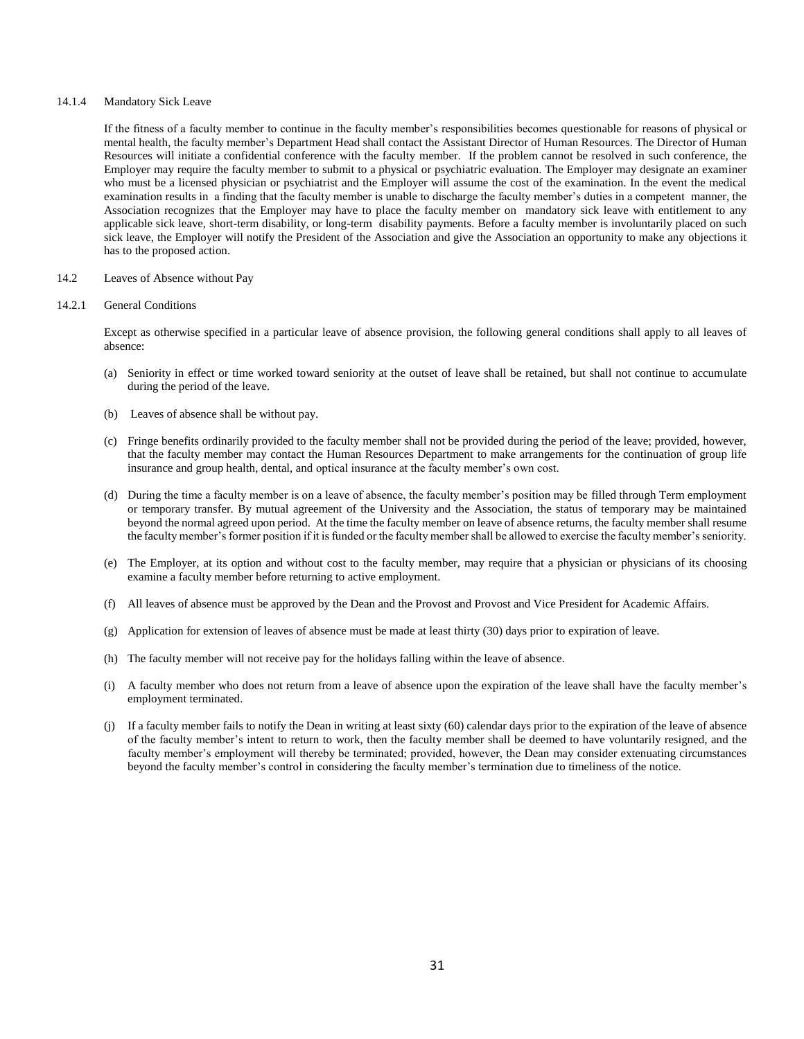### 14.1.4 Mandatory Sick Leave

If the fitness of a faculty member to continue in the faculty member's responsibilities becomes questionable for reasons of physical or mental health, the faculty member's Department Head shall contact the Assistant Director of Human Resources. The Director of Human Resources will initiate a confidential conference with the faculty member. If the problem cannot be resolved in such conference, the Employer may require the faculty member to submit to a physical or psychiatric evaluation. The Employer may designate an examiner who must be a licensed physician or psychiatrist and the Employer will assume the cost of the examination. In the event the medical examination results in a finding that the faculty member is unable to discharge the faculty member's duties in a competent manner, the Association recognizes that the Employer may have to place the faculty member on mandatory sick leave with entitlement to any applicable sick leave, short-term disability, or long-term disability payments. Before a faculty member is involuntarily placed on such sick leave, the Employer will notify the President of the Association and give the Association an opportunity to make any objections it has to the proposed action.

14.2 Leaves of Absence without Pay

#### 14.2.1 General Conditions

Except as otherwise specified in a particular leave of absence provision, the following general conditions shall apply to all leaves of absence:

- (a) Seniority in effect or time worked toward seniority at the outset of leave shall be retained, but shall not continue to accumulate during the period of the leave.
- (b) Leaves of absence shall be without pay.
- (c) Fringe benefits ordinarily provided to the faculty member shall not be provided during the period of the leave; provided, however, that the faculty member may contact the Human Resources Department to make arrangements for the continuation of group life insurance and group health, dental, and optical insurance at the faculty member's own cost.
- (d) During the time a faculty member is on a leave of absence, the faculty member's position may be filled through Term employment or temporary transfer. By mutual agreement of the University and the Association, the status of temporary may be maintained beyond the normal agreed upon period. At the time the faculty member on leave of absence returns, the faculty member shall resume the faculty member's former position if it is funded or the faculty member shall be allowed to exercise the faculty member's seniority.
- (e) The Employer, at its option and without cost to the faculty member, may require that a physician or physicians of its choosing examine a faculty member before returning to active employment.
- (f) All leaves of absence must be approved by the Dean and the Provost and Provost and Vice President for Academic Affairs.
- (g) Application for extension of leaves of absence must be made at least thirty (30) days prior to expiration of leave.
- (h) The faculty member will not receive pay for the holidays falling within the leave of absence.
- (i) A faculty member who does not return from a leave of absence upon the expiration of the leave shall have the faculty member's employment terminated.
- (j) If a faculty member fails to notify the Dean in writing at least sixty (60) calendar days prior to the expiration of the leave of absence of the faculty member's intent to return to work, then the faculty member shall be deemed to have voluntarily resigned, and the faculty member's employment will thereby be terminated; provided, however, the Dean may consider extenuating circumstances beyond the faculty member's control in considering the faculty member's termination due to timeliness of the notice.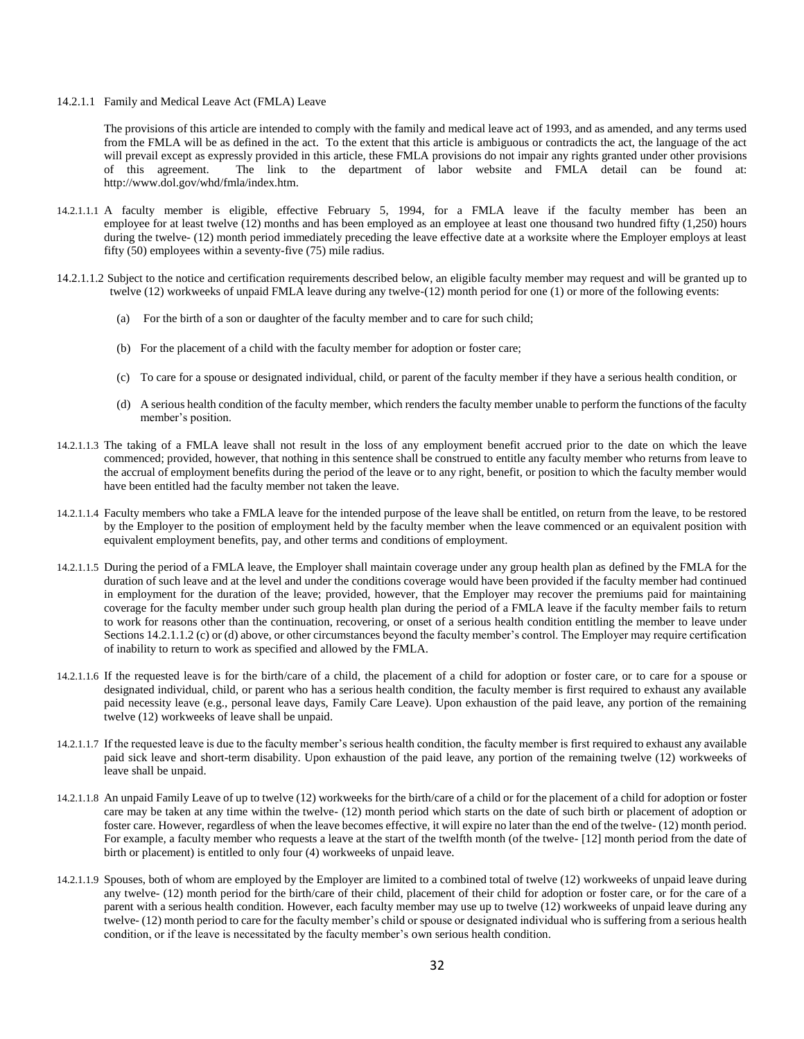14.2.1.1 Family and Medical Leave Act (FMLA) Leave

The provisions of this article are intended to comply with the family and medical leave act of 1993, and as amended, and any terms used from the FMLA will be as defined in the act. To the extent that this article is ambiguous or contradicts the act, the language of the act will prevail except as expressly provided in this article, these FMLA provisions do not impair any rights granted under other provisions of this agreement. The link to the department of labor website and FMLA detail can be found at: [http://www.dol.gov/whd/fmla/index.htm.](http://www.dol.gov/WHD/FMLA/INDEX.HTM)

- 14.2.1.1.1 A faculty member is eligible, effective February 5, 1994, for a FMLA leave if the faculty member has been an employee for at least twelve (12) months and has been employed as an employee at least one thousand two hundred fifty (1,250) hours during the twelve- (12) month period immediately preceding the leave effective date at a worksite where the Employer employs at least fifty (50) employees within a seventy-five (75) mile radius.
- 14.2.1.1.2 Subject to the notice and certification requirements described below, an eligible faculty member may request and will be granted up to twelve (12) workweeks of unpaid FMLA leave during any twelve-(12) month period for one (1) or more of the following events:
	- (a) For the birth of a son or daughter of the faculty member and to care for such child;
	- (b) For the placement of a child with the faculty member for adoption or foster care;
	- (c) To care for a spouse or designated individual, child, or parent of the faculty member if they have a serious health condition, or
	- (d) A serious health condition of the faculty member, which renders the faculty member unable to perform the functions of the faculty member's position.
- 14.2.1.1.3 The taking of a FMLA leave shall not result in the loss of any employment benefit accrued prior to the date on which the leave commenced; provided, however, that nothing in this sentence shall be construed to entitle any faculty member who returns from leave to the accrual of employment benefits during the period of the leave or to any right, benefit, or position to which the faculty member would have been entitled had the faculty member not taken the leave.
- 14.2.1.1.4 Faculty members who take a FMLA leave for the intended purpose of the leave shall be entitled, on return from the leave, to be restored by the Employer to the position of employment held by the faculty member when the leave commenced or an equivalent position with equivalent employment benefits, pay, and other terms and conditions of employment.
- 14.2.1.1.5 During the period of a FMLA leave, the Employer shall maintain coverage under any group health plan as defined by the FMLA for the duration of such leave and at the level and under the conditions coverage would have been provided if the faculty member had continued in employment for the duration of the leave; provided, however, that the Employer may recover the premiums paid for maintaining coverage for the faculty member under such group health plan during the period of a FMLA leave if the faculty member fails to return to work for reasons other than the continuation, recovering, or onset of a serious health condition entitling the member to leave under Sections 14.2.1.1.2 (c) or (d) above, or other circumstances beyond the faculty member's control. The Employer may require certification of inability to return to work as specified and allowed by the FMLA.
- 14.2.1.1.6 If the requested leave is for the birth/care of a child, the placement of a child for adoption or foster care, or to care for a spouse or designated individual, child, or parent who has a serious health condition, the faculty member is first required to exhaust any available paid necessity leave (e.g., personal leave days, Family Care Leave). Upon exhaustion of the paid leave, any portion of the remaining twelve (12) workweeks of leave shall be unpaid.
- 14.2.1.1.7 If the requested leave is due to the faculty member's serious health condition, the faculty member is first required to exhaust any available paid sick leave and short-term disability. Upon exhaustion of the paid leave, any portion of the remaining twelve (12) workweeks of leave shall be unpaid.
- 14.2.1.1.8 An unpaid Family Leave of up to twelve (12) workweeks for the birth/care of a child or for the placement of a child for adoption or foster care may be taken at any time within the twelve- (12) month period which starts on the date of such birth or placement of adoption or foster care. However, regardless of when the leave becomes effective, it will expire no later than the end of the twelve- (12) month period. For example, a faculty member who requests a leave at the start of the twelfth month (of the twelve- [12] month period from the date of birth or placement) is entitled to only four (4) workweeks of unpaid leave.
- 14.2.1.1.9 Spouses, both of whom are employed by the Employer are limited to a combined total of twelve (12) workweeks of unpaid leave during any twelve- (12) month period for the birth/care of their child, placement of their child for adoption or foster care, or for the care of a parent with a serious health condition. However, each faculty member may use up to twelve (12) workweeks of unpaid leave during any twelve- (12) month period to care for the faculty member's child or spouse or designated individual who is suffering from a serious health condition, or if the leave is necessitated by the faculty member's own serious health condition.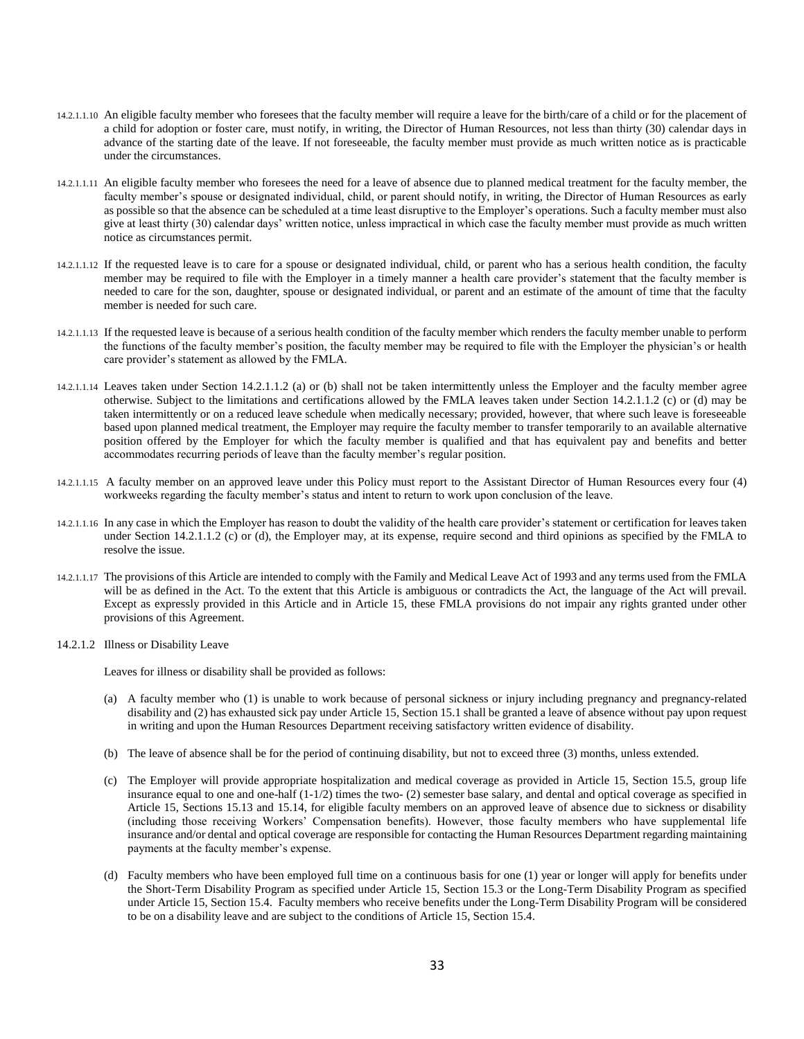- 14.2.1.1.10 An eligible faculty member who foresees that the faculty member will require a leave for the birth/care of a child or for the placement of a child for adoption or foster care, must notify, in writing, the Director of Human Resources, not less than thirty (30) calendar days in advance of the starting date of the leave. If not foreseeable, the faculty member must provide as much written notice as is practicable under the circumstances.
- 14.2.1.1.11 An eligible faculty member who foresees the need for a leave of absence due to planned medical treatment for the faculty member, the faculty member's spouse or designated individual, child, or parent should notify, in writing, the Director of Human Resources as early as possible so that the absence can be scheduled at a time least disruptive to the Employer's operations. Such a faculty member must also give at least thirty (30) calendar days' written notice, unless impractical in which case the faculty member must provide as much written notice as circumstances permit.
- 14.2.1.1.12 If the requested leave is to care for a spouse or designated individual, child, or parent who has a serious health condition, the faculty member may be required to file with the Employer in a timely manner a health care provider's statement that the faculty member is needed to care for the son, daughter, spouse or designated individual, or parent and an estimate of the amount of time that the faculty member is needed for such care.
- 14.2.1.1.13 If the requested leave is because of a serious health condition of the faculty member which renders the faculty member unable to perform the functions of the faculty member's position, the faculty member may be required to file with the Employer the physician's or health care provider's statement as allowed by the FMLA.
- 14.2.1.1.14 Leaves taken under Section 14.2.1.1.2 (a) or (b) shall not be taken intermittently unless the Employer and the faculty member agree otherwise. Subject to the limitations and certifications allowed by the FMLA leaves taken under Section 14.2.1.1.2 (c) or (d) may be taken intermittently or on a reduced leave schedule when medically necessary; provided, however, that where such leave is foreseeable based upon planned medical treatment, the Employer may require the faculty member to transfer temporarily to an available alternative position offered by the Employer for which the faculty member is qualified and that has equivalent pay and benefits and better accommodates recurring periods of leave than the faculty member's regular position.
- 14.2.1.1.15 A faculty member on an approved leave under this Policy must report to the Assistant Director of Human Resources every four (4) workweeks regarding the faculty member's status and intent to return to work upon conclusion of the leave.
- 14.2.1.1.16 In any case in which the Employer has reason to doubt the validity of the health care provider's statement or certification for leaves taken under Section 14.2.1.1.2 (c) or (d), the Employer may, at its expense, require second and third opinions as specified by the FMLA to resolve the issue.
- 14.2.1.1.17 The provisions of this Article are intended to comply with the Family and Medical Leave Act of 1993 and any terms used from the FMLA will be as defined in the Act. To the extent that this Article is ambiguous or contradicts the Act, the language of the Act will prevail. Except as expressly provided in this Article and in Article 15, these FMLA provisions do not impair any rights granted under other provisions of this Agreement.
- 14.2.1.2 Illness or Disability Leave

Leaves for illness or disability shall be provided as follows:

- (a) A faculty member who (1) is unable to work because of personal sickness or injury including pregnancy and pregnancy-related disability and (2) has exhausted sick pay under Article 15, Section 15.1 shall be granted a leave of absence without pay upon request in writing and upon the Human Resources Department receiving satisfactory written evidence of disability.
- (b) The leave of absence shall be for the period of continuing disability, but not to exceed three (3) months, unless extended.
- (c) The Employer will provide appropriate hospitalization and medical coverage as provided in Article 15, Section 15.5, group life insurance equal to one and one-half (1-1/2) times the two- (2) semester base salary, and dental and optical coverage as specified in Article 15, Sections 15.13 and 15.14, for eligible faculty members on an approved leave of absence due to sickness or disability (including those receiving Workers' Compensation benefits). However, those faculty members who have supplemental life insurance and/or dental and optical coverage are responsible for contacting the Human Resources Department regarding maintaining payments at the faculty member's expense.
- (d) Faculty members who have been employed full time on a continuous basis for one (1) year or longer will apply for benefits under the Short-Term Disability Program as specified under Article 15, Section 15.3 or the Long-Term Disability Program as specified under Article 15, Section 15.4. Faculty members who receive benefits under the Long-Term Disability Program will be considered to be on a disability leave and are subject to the conditions of Article 15, Section 15.4.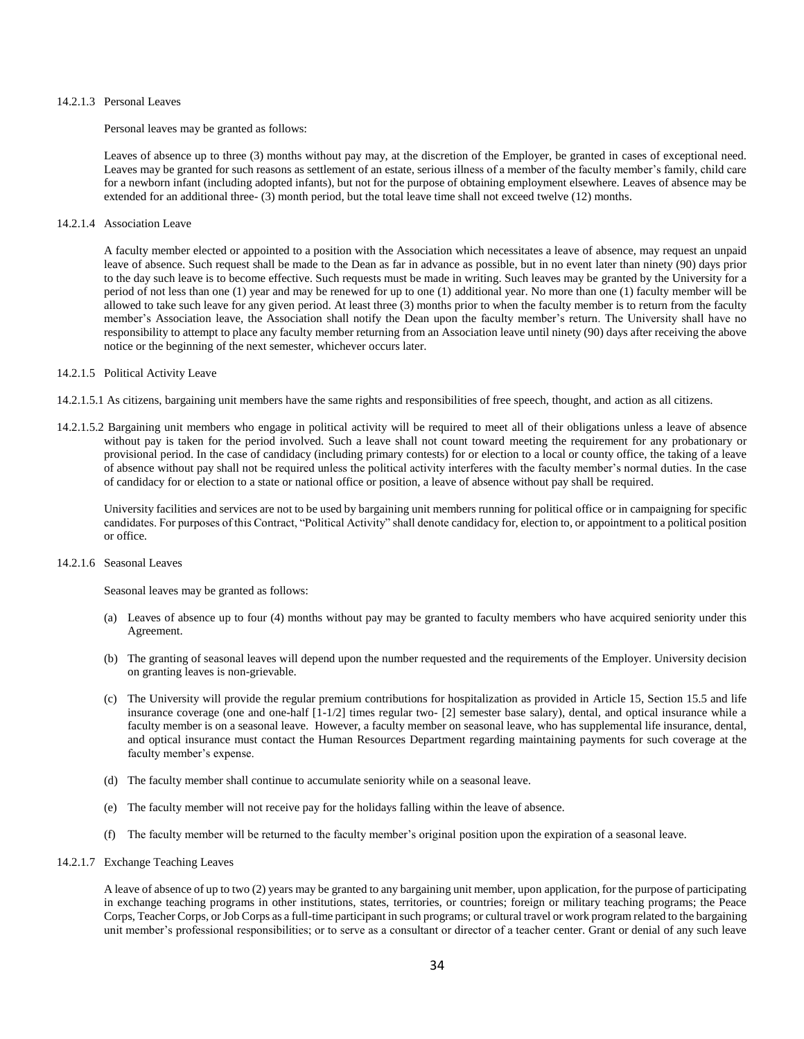### 14.2.1.3 Personal Leaves

Personal leaves may be granted as follows:

Leaves of absence up to three (3) months without pay may, at the discretion of the Employer, be granted in cases of exceptional need. Leaves may be granted for such reasons as settlement of an estate, serious illness of a member of the faculty member's family, child care for a newborn infant (including adopted infants), but not for the purpose of obtaining employment elsewhere. Leaves of absence may be extended for an additional three- (3) month period, but the total leave time shall not exceed twelve (12) months.

#### 14.2.1.4 Association Leave

A faculty member elected or appointed to a position with the Association which necessitates a leave of absence, may request an unpaid leave of absence. Such request shall be made to the Dean as far in advance as possible, but in no event later than ninety (90) days prior to the day such leave is to become effective. Such requests must be made in writing. Such leaves may be granted by the University for a period of not less than one (1) year and may be renewed for up to one (1) additional year. No more than one (1) faculty member will be allowed to take such leave for any given period. At least three (3) months prior to when the faculty member is to return from the faculty member's Association leave, the Association shall notify the Dean upon the faculty member's return. The University shall have no responsibility to attempt to place any faculty member returning from an Association leave until ninety (90) days after receiving the above notice or the beginning of the next semester, whichever occurs later.

14.2.1.5 Political Activity Leave

14.2.1.5.1 As citizens, bargaining unit members have the same rights and responsibilities of free speech, thought, and action as all citizens.

14.2.1.5.2 Bargaining unit members who engage in political activity will be required to meet all of their obligations unless a leave of absence without pay is taken for the period involved. Such a leave shall not count toward meeting the requirement for any probationary or provisional period. In the case of candidacy (including primary contests) for or election to a local or county office, the taking of a leave of absence without pay shall not be required unless the political activity interferes with the faculty member's normal duties. In the case of candidacy for or election to a state or national office or position, a leave of absence without pay shall be required.

University facilities and services are not to be used by bargaining unit members running for political office or in campaigning for specific candidates. For purposes of this Contract, "Political Activity" shall denote candidacy for, election to, or appointment to a political position or office.

## 14.2.1.6 Seasonal Leaves

Seasonal leaves may be granted as follows:

- (a) Leaves of absence up to four (4) months without pay may be granted to faculty members who have acquired seniority under this Agreement.
- (b) The granting of seasonal leaves will depend upon the number requested and the requirements of the Employer. University decision on granting leaves is non-grievable.
- (c) The University will provide the regular premium contributions for hospitalization as provided in Article 15, Section 15.5 and life insurance coverage (one and one-half [1-1/2] times regular two- [2] semester base salary), dental, and optical insurance while a faculty member is on a seasonal leave. However, a faculty member on seasonal leave, who has supplemental life insurance, dental, and optical insurance must contact the Human Resources Department regarding maintaining payments for such coverage at the faculty member's expense.
- (d) The faculty member shall continue to accumulate seniority while on a seasonal leave.
- (e) The faculty member will not receive pay for the holidays falling within the leave of absence.
- (f) The faculty member will be returned to the faculty member's original position upon the expiration of a seasonal leave.
- 14.2.1.7 Exchange Teaching Leaves

A leave of absence of up to two (2) years may be granted to any bargaining unit member, upon application, for the purpose of participating in exchange teaching programs in other institutions, states, territories, or countries; foreign or military teaching programs; the Peace Corps, Teacher Corps, or Job Corps as a full-time participant in such programs; or cultural travel or work program related to the bargaining unit member's professional responsibilities; or to serve as a consultant or director of a teacher center. Grant or denial of any such leave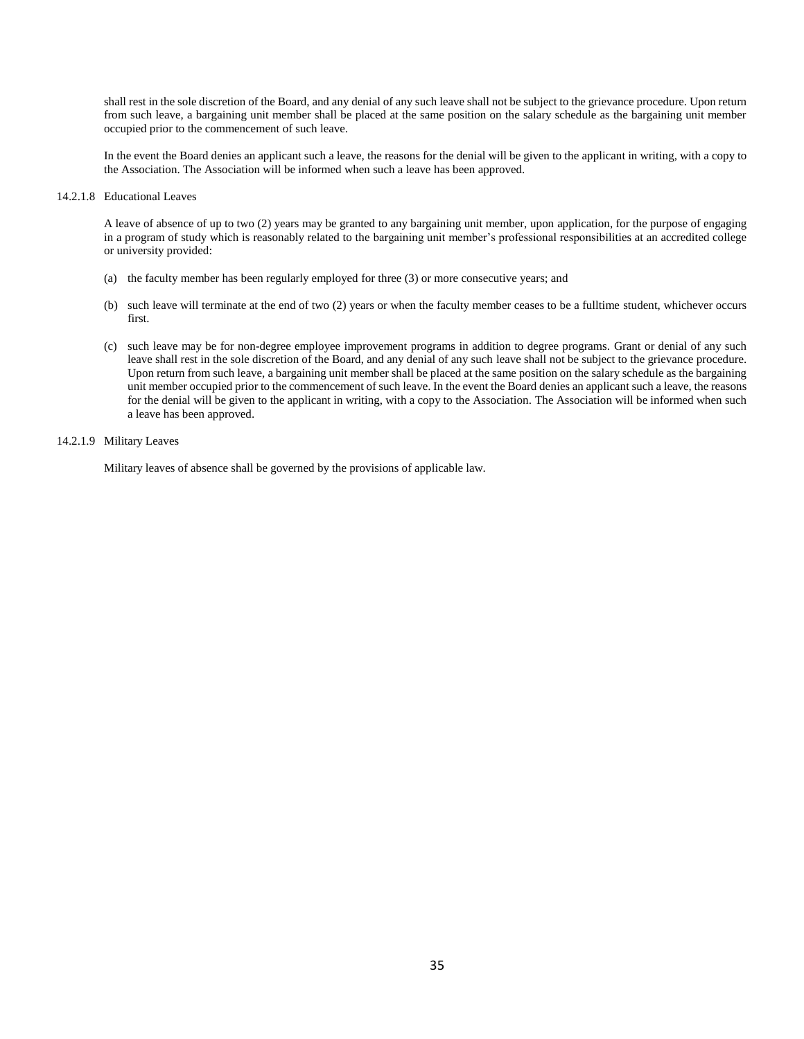shall rest in the sole discretion of the Board, and any denial of any such leave shall not be subject to the grievance procedure. Upon return from such leave, a bargaining unit member shall be placed at the same position on the salary schedule as the bargaining unit member occupied prior to the commencement of such leave.

In the event the Board denies an applicant such a leave, the reasons for the denial will be given to the applicant in writing, with a copy to the Association. The Association will be informed when such a leave has been approved.

14.2.1.8 Educational Leaves

A leave of absence of up to two (2) years may be granted to any bargaining unit member, upon application, for the purpose of engaging in a program of study which is reasonably related to the bargaining unit member's professional responsibilities at an accredited college or university provided:

- (a) the faculty member has been regularly employed for three (3) or more consecutive years; and
- (b) such leave will terminate at the end of two (2) years or when the faculty member ceases to be a fulltime student, whichever occurs first.
- (c) such leave may be for non-degree employee improvement programs in addition to degree programs. Grant or denial of any such leave shall rest in the sole discretion of the Board, and any denial of any such leave shall not be subject to the grievance procedure. Upon return from such leave, a bargaining unit member shall be placed at the same position on the salary schedule as the bargaining unit member occupied prior to the commencement of such leave. In the event the Board denies an applicant such a leave, the reasons for the denial will be given to the applicant in writing, with a copy to the Association. The Association will be informed when such a leave has been approved.

#### 14.2.1.9 Military Leaves

Military leaves of absence shall be governed by the provisions of applicable law.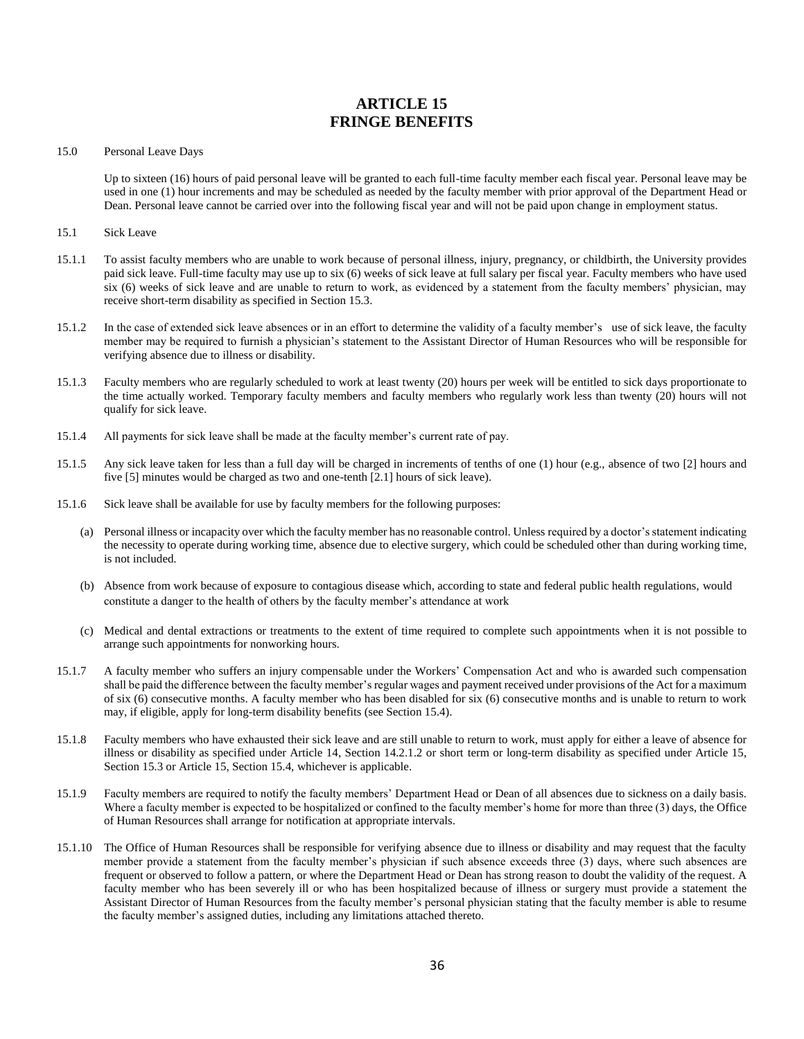## **ARTICLE 15 FRINGE BENEFITS**

#### 15.0 Personal Leave Days

Up to sixteen (16) hours of paid personal leave will be granted to each full-time faculty member each fiscal year. Personal leave may be used in one (1) hour increments and may be scheduled as needed by the faculty member with prior approval of the Department Head or Dean. Personal leave cannot be carried over into the following fiscal year and will not be paid upon change in employment status.

#### 15.1 Sick Leave

- 15.1.1 To assist faculty members who are unable to work because of personal illness, injury, pregnancy, or childbirth, the University provides paid sick leave. Full-time faculty may use up to six (6) weeks of sick leave at full salary per fiscal year. Faculty members who have used six (6) weeks of sick leave and are unable to return to work, as evidenced by a statement from the faculty members' physician, may receive short-term disability as specified in Section 15.3.
- 15.1.2 In the case of extended sick leave absences or in an effort to determine the validity of a faculty member's use of sick leave, the faculty member may be required to furnish a physician's statement to the Assistant Director of Human Resources who will be responsible for verifying absence due to illness or disability.
- 15.1.3 Faculty members who are regularly scheduled to work at least twenty (20) hours per week will be entitled to sick days proportionate to the time actually worked. Temporary faculty members and faculty members who regularly work less than twenty (20) hours will not qualify for sick leave.
- 15.1.4 All payments for sick leave shall be made at the faculty member's current rate of pay.
- 15.1.5 Any sick leave taken for less than a full day will be charged in increments of tenths of one (1) hour (e.g., absence of two [2] hours and five [5] minutes would be charged as two and one-tenth [2.1] hours of sick leave).
- 15.1.6 Sick leave shall be available for use by faculty members for the following purposes:
	- (a) Personal illness or incapacity over which the faculty member has no reasonable control. Unless required by a doctor's statement indicating the necessity to operate during working time, absence due to elective surgery, which could be scheduled other than during working time, is not included.
	- (b) Absence from work because of exposure to contagious disease which, according to state and federal public health regulations, would constitute a danger to the health of others by the faculty member's attendance at work
	- (c) Medical and dental extractions or treatments to the extent of time required to complete such appointments when it is not possible to arrange such appointments for nonworking hours.
- 15.1.7 A faculty member who suffers an injury compensable under the Workers' Compensation Act and who is awarded such compensation shall be paid the difference between the faculty member's regular wages and payment received under provisions of the Act for a maximum of six (6) consecutive months. A faculty member who has been disabled for six (6) consecutive months and is unable to return to work may, if eligible, apply for long-term disability benefits (see Section 15.4).
- 15.1.8 Faculty members who have exhausted their sick leave and are still unable to return to work, must apply for either a leave of absence for illness or disability as specified under Article 14, Section 14.2.1.2 or short term or long-term disability as specified under Article 15, Section 15.3 or Article 15, Section 15.4, whichever is applicable.
- 15.1.9 Faculty members are required to notify the faculty members' Department Head or Dean of all absences due to sickness on a daily basis. Where a faculty member is expected to be hospitalized or confined to the faculty member's home for more than three (3) days, the Office of Human Resources shall arrange for notification at appropriate intervals.
- 15.1.10 The Office of Human Resources shall be responsible for verifying absence due to illness or disability and may request that the faculty member provide a statement from the faculty member's physician if such absence exceeds three (3) days, where such absences are frequent or observed to follow a pattern, or where the Department Head or Dean has strong reason to doubt the validity of the request. A faculty member who has been severely ill or who has been hospitalized because of illness or surgery must provide a statement the Assistant Director of Human Resources from the faculty member's personal physician stating that the faculty member is able to resume the faculty member's assigned duties, including any limitations attached thereto.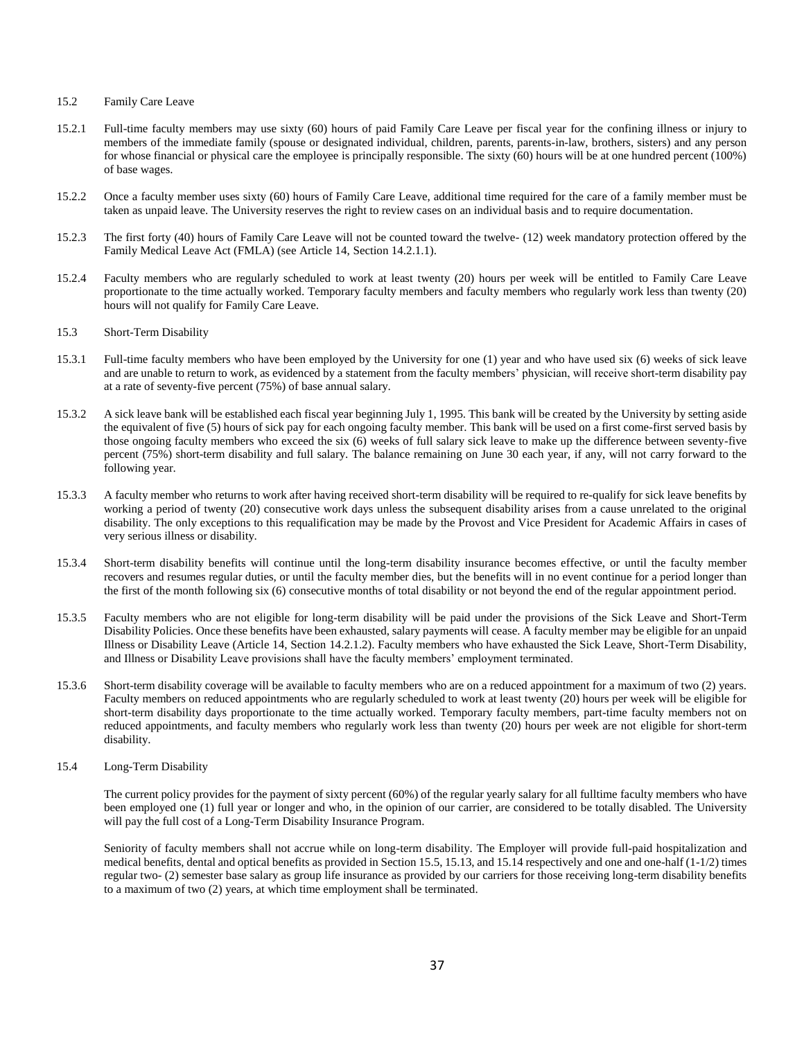### 15.2 Family Care Leave

- 15.2.1 Full-time faculty members may use sixty (60) hours of paid Family Care Leave per fiscal year for the confining illness or injury to members of the immediate family (spouse or designated individual, children, parents, parents-in-law, brothers, sisters) and any person for whose financial or physical care the employee is principally responsible. The sixty (60) hours will be at one hundred percent (100%) of base wages.
- 15.2.2 Once a faculty member uses sixty (60) hours of Family Care Leave, additional time required for the care of a family member must be taken as unpaid leave. The University reserves the right to review cases on an individual basis and to require documentation.
- 15.2.3 The first forty (40) hours of Family Care Leave will not be counted toward the twelve- (12) week mandatory protection offered by the Family Medical Leave Act (FMLA) (see Article 14, Section 14.2.1.1).
- 15.2.4 Faculty members who are regularly scheduled to work at least twenty (20) hours per week will be entitled to Family Care Leave proportionate to the time actually worked. Temporary faculty members and faculty members who regularly work less than twenty (20) hours will not qualify for Family Care Leave.
- 15.3 Short-Term Disability
- 15.3.1 Full-time faculty members who have been employed by the University for one (1) year and who have used six (6) weeks of sick leave and are unable to return to work, as evidenced by a statement from the faculty members' physician, will receive short-term disability pay at a rate of seventy-five percent (75%) of base annual salary.
- 15.3.2 A sick leave bank will be established each fiscal year beginning July 1, 1995. This bank will be created by the University by setting aside the equivalent of five (5) hours of sick pay for each ongoing faculty member. This bank will be used on a first come-first served basis by those ongoing faculty members who exceed the six (6) weeks of full salary sick leave to make up the difference between seventy-five percent (75%) short-term disability and full salary. The balance remaining on June 30 each year, if any, will not carry forward to the following year.
- 15.3.3 A faculty member who returns to work after having received short-term disability will be required to re-qualify for sick leave benefits by working a period of twenty (20) consecutive work days unless the subsequent disability arises from a cause unrelated to the original disability. The only exceptions to this requalification may be made by the Provost and Vice President for Academic Affairs in cases of very serious illness or disability.
- 15.3.4 Short-term disability benefits will continue until the long-term disability insurance becomes effective, or until the faculty member recovers and resumes regular duties, or until the faculty member dies, but the benefits will in no event continue for a period longer than the first of the month following six (6) consecutive months of total disability or not beyond the end of the regular appointment period.
- 15.3.5 Faculty members who are not eligible for long-term disability will be paid under the provisions of the Sick Leave and Short-Term Disability Policies. Once these benefits have been exhausted, salary payments will cease. A faculty member may be eligible for an unpaid Illness or Disability Leave (Article 14, Section 14.2.1.2). Faculty members who have exhausted the Sick Leave, Short-Term Disability, and Illness or Disability Leave provisions shall have the faculty members' employment terminated.
- 15.3.6 Short-term disability coverage will be available to faculty members who are on a reduced appointment for a maximum of two (2) years. Faculty members on reduced appointments who are regularly scheduled to work at least twenty (20) hours per week will be eligible for short-term disability days proportionate to the time actually worked. Temporary faculty members, part-time faculty members not on reduced appointments, and faculty members who regularly work less than twenty (20) hours per week are not eligible for short-term disability.
- 15.4 Long-Term Disability

The current policy provides for the payment of sixty percent (60%) of the regular yearly salary for all fulltime faculty members who have been employed one (1) full year or longer and who, in the opinion of our carrier, are considered to be totally disabled. The University will pay the full cost of a Long-Term Disability Insurance Program.

Seniority of faculty members shall not accrue while on long-term disability. The Employer will provide full-paid hospitalization and medical benefits, dental and optical benefits as provided in Section 15.5, 15.13, and 15.14 respectively and one and one-half (1-1/2) times regular two- (2) semester base salary as group life insurance as provided by our carriers for those receiving long-term disability benefits to a maximum of two (2) years, at which time employment shall be terminated.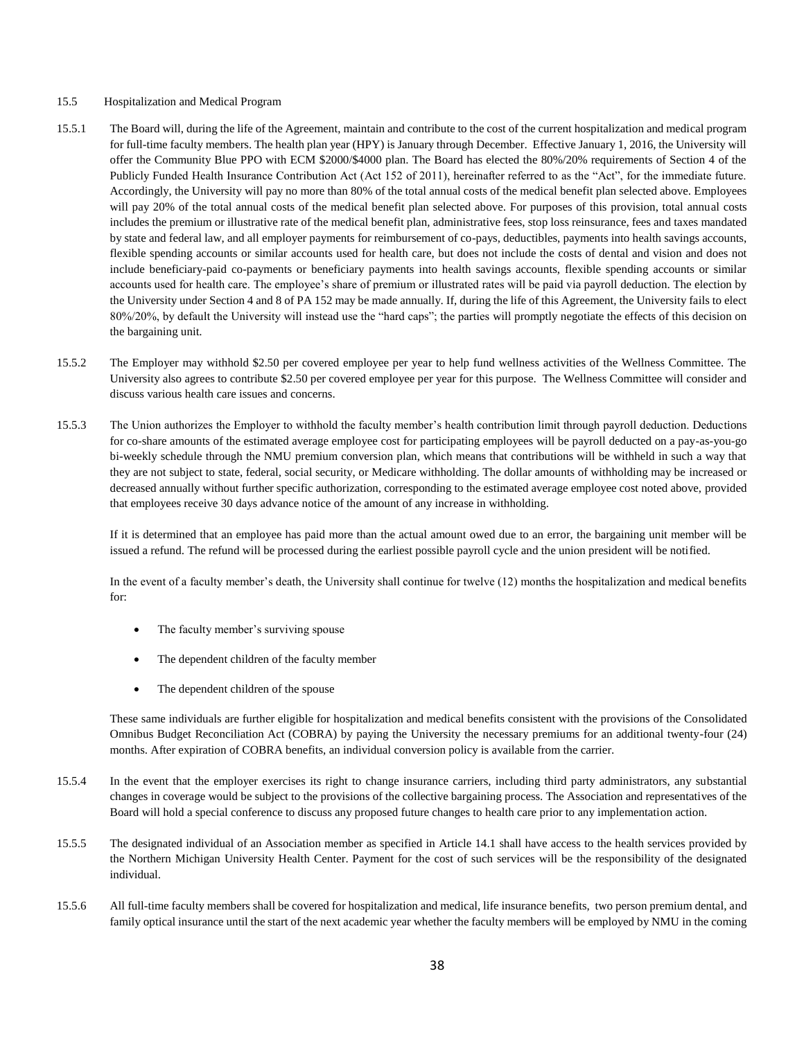### 15.5 Hospitalization and Medical Program

- 15.5.1 The Board will, during the life of the Agreement, maintain and contribute to the cost of the current hospitalization and medical program for full-time faculty members. The health plan year (HPY) is January through December. Effective January 1, 2016, the University will offer the Community Blue PPO with ECM \$2000/\$4000 plan. The Board has elected the 80%/20% requirements of Section 4 of the Publicly Funded Health Insurance Contribution Act (Act 152 of 2011), hereinafter referred to as the "Act", for the immediate future. Accordingly, the University will pay no more than 80% of the total annual costs of the medical benefit plan selected above. Employees will pay 20% of the total annual costs of the medical benefit plan selected above. For purposes of this provision, total annual costs includes the premium or illustrative rate of the medical benefit plan, administrative fees, stop loss reinsurance, fees and taxes mandated by state and federal law, and all employer payments for reimbursement of co-pays, deductibles, payments into health savings accounts, flexible spending accounts or similar accounts used for health care, but does not include the costs of dental and vision and does not include beneficiary-paid co-payments or beneficiary payments into health savings accounts, flexible spending accounts or similar accounts used for health care. The employee's share of premium or illustrated rates will be paid via payroll deduction. The election by the University under Section 4 and 8 of PA 152 may be made annually. If, during the life of this Agreement, the University fails to elect 80%/20%, by default the University will instead use the "hard caps"; the parties will promptly negotiate the effects of this decision on the bargaining unit.
- 15.5.2 The Employer may withhold \$2.50 per covered employee per year to help fund wellness activities of the Wellness Committee. The University also agrees to contribute \$2.50 per covered employee per year for this purpose. The Wellness Committee will consider and discuss various health care issues and concerns.
- 15.5.3 The Union authorizes the Employer to withhold the faculty member's health contribution limit through payroll deduction. Deductions for co-share amounts of the estimated average employee cost for participating employees will be payroll deducted on a pay-as-you-go bi-weekly schedule through the NMU premium conversion plan, which means that contributions will be withheld in such a way that they are not subject to state, federal, social security, or Medicare withholding. The dollar amounts of withholding may be increased or decreased annually without further specific authorization, corresponding to the estimated average employee cost noted above, provided that employees receive 30 days advance notice of the amount of any increase in withholding.

If it is determined that an employee has paid more than the actual amount owed due to an error, the bargaining unit member will be issued a refund. The refund will be processed during the earliest possible payroll cycle and the union president will be notified.

In the event of a faculty member's death, the University shall continue for twelve (12) months the hospitalization and medical benefits for:

- The faculty member's surviving spouse
- The dependent children of the faculty member
- The dependent children of the spouse

These same individuals are further eligible for hospitalization and medical benefits consistent with the provisions of the Consolidated Omnibus Budget Reconciliation Act (COBRA) by paying the University the necessary premiums for an additional twenty-four (24) months. After expiration of COBRA benefits, an individual conversion policy is available from the carrier.

- 15.5.4 In the event that the employer exercises its right to change insurance carriers, including third party administrators, any substantial changes in coverage would be subject to the provisions of the collective bargaining process. The Association and representatives of the Board will hold a special conference to discuss any proposed future changes to health care prior to any implementation action.
- 15.5.5 The designated individual of an Association member as specified in Article 14.1 shall have access to the health services provided by the Northern Michigan University Health Center. Payment for the cost of such services will be the responsibility of the designated individual.
- 15.5.6 All full-time faculty members shall be covered for hospitalization and medical, life insurance benefits, two person premium dental, and family optical insurance until the start of the next academic year whether the faculty members will be employed by NMU in the coming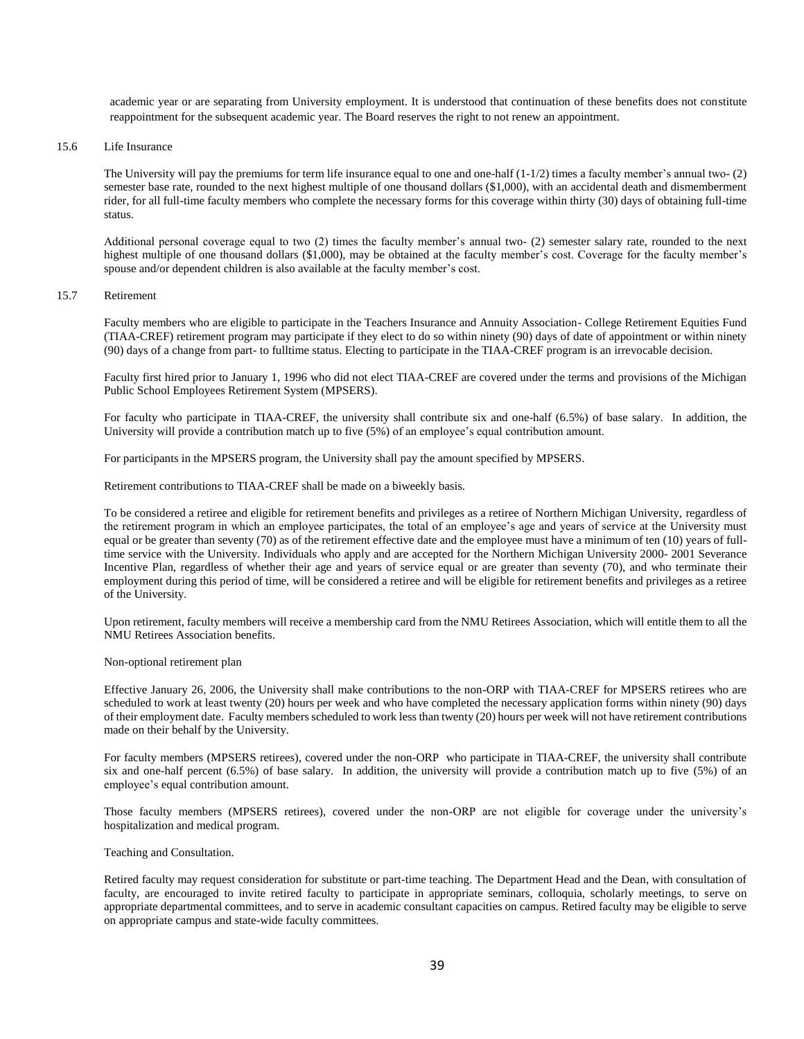academic year or are separating from University employment. It is understood that continuation of these benefits does not constitute reappointment for the subsequent academic year. The Board reserves the right to not renew an appointment.

#### 15.6 Life Insurance

The University will pay the premiums for term life insurance equal to one and one-half (1-1/2) times a faculty member's annual two- (2) semester base rate, rounded to the next highest multiple of one thousand dollars (\$1,000), with an accidental death and dismemberment rider, for all full-time faculty members who complete the necessary forms for this coverage within thirty (30) days of obtaining full-time status.

Additional personal coverage equal to two (2) times the faculty member's annual two- (2) semester salary rate, rounded to the next highest multiple of one thousand dollars (\$1,000), may be obtained at the faculty member's cost. Coverage for the faculty member's spouse and/or dependent children is also available at the faculty member's cost.

### 15.7 Retirement

Faculty members who are eligible to participate in the Teachers Insurance and Annuity Association- College Retirement Equities Fund (TIAA-CREF) retirement program may participate if they elect to do so within ninety (90) days of date of appointment or within ninety (90) days of a change from part- to fulltime status. Electing to participate in the TIAA-CREF program is an irrevocable decision.

Faculty first hired prior to January 1, 1996 who did not elect TIAA-CREF are covered under the terms and provisions of the Michigan Public School Employees Retirement System (MPSERS).

For faculty who participate in TIAA-CREF, the university shall contribute six and one-half (6.5%) of base salary. In addition, the University will provide a contribution match up to five (5%) of an employee's equal contribution amount.

For participants in the MPSERS program, the University shall pay the amount specified by MPSERS.

Retirement contributions to TIAA-CREF shall be made on a biweekly basis.

To be considered a retiree and eligible for retirement benefits and privileges as a retiree of Northern Michigan University, regardless of the retirement program in which an employee participates, the total of an employee's age and years of service at the University must equal or be greater than seventy (70) as of the retirement effective date and the employee must have a minimum of ten (10) years of fulltime service with the University. Individuals who apply and are accepted for the Northern Michigan University 2000- 2001 Severance Incentive Plan, regardless of whether their age and years of service equal or are greater than seventy (70), and who terminate their employment during this period of time, will be considered a retiree and will be eligible for retirement benefits and privileges as a retiree of the University.

Upon retirement, faculty members will receive a membership card from the NMU Retirees Association, which will entitle them to all the NMU Retirees Association benefits.

### Non-optional retirement plan

Effective January 26, 2006, the University shall make contributions to the non-ORP with TIAA-CREF for MPSERS retirees who are scheduled to work at least twenty (20) hours per week and who have completed the necessary application forms within ninety (90) days of their employment date. Faculty members scheduled to work less than twenty (20) hours per week will not have retirement contributions made on their behalf by the University.

For faculty members (MPSERS retirees), covered under the non-ORP who participate in TIAA-CREF, the university shall contribute six and one-half percent (6.5%) of base salary. In addition, the university will provide a contribution match up to five (5%) of an employee's equal contribution amount.

Those faculty members (MPSERS retirees), covered under the non-ORP are not eligible for coverage under the university's hospitalization and medical program.

### Teaching and Consultation.

Retired faculty may request consideration for substitute or part-time teaching. The Department Head and the Dean, with consultation of faculty, are encouraged to invite retired faculty to participate in appropriate seminars, colloquia, scholarly meetings, to serve on appropriate departmental committees, and to serve in academic consultant capacities on campus. Retired faculty may be eligible to serve on appropriate campus and state-wide faculty committees.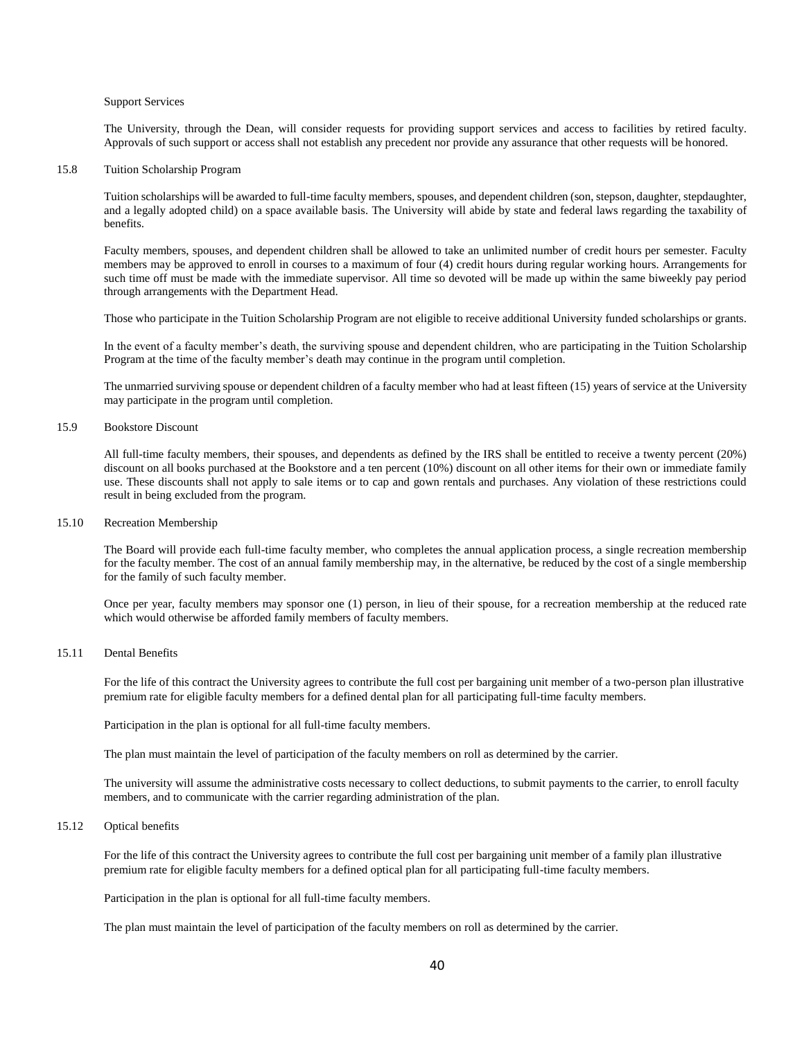#### Support Services

The University, through the Dean, will consider requests for providing support services and access to facilities by retired faculty. Approvals of such support or access shall not establish any precedent nor provide any assurance that other requests will be honored.

#### 15.8 Tuition Scholarship Program

Tuition scholarships will be awarded to full-time faculty members, spouses, and dependent children (son, stepson, daughter, stepdaughter, and a legally adopted child) on a space available basis. The University will abide by state and federal laws regarding the taxability of benefits.

Faculty members, spouses, and dependent children shall be allowed to take an unlimited number of credit hours per semester. Faculty members may be approved to enroll in courses to a maximum of four (4) credit hours during regular working hours. Arrangements for such time off must be made with the immediate supervisor. All time so devoted will be made up within the same biweekly pay period through arrangements with the Department Head.

Those who participate in the Tuition Scholarship Program are not eligible to receive additional University funded scholarships or grants.

In the event of a faculty member's death, the surviving spouse and dependent children, who are participating in the Tuition Scholarship Program at the time of the faculty member's death may continue in the program until completion.

The unmarried surviving spouse or dependent children of a faculty member who had at least fifteen (15) years of service at the University may participate in the program until completion.

### 15.9 Bookstore Discount

All full-time faculty members, their spouses, and dependents as defined by the IRS shall be entitled to receive a twenty percent (20%) discount on all books purchased at the Bookstore and a ten percent (10%) discount on all other items for their own or immediate family use. These discounts shall not apply to sale items or to cap and gown rentals and purchases. Any violation of these restrictions could result in being excluded from the program.

#### 15.10 Recreation Membership

The Board will provide each full-time faculty member, who completes the annual application process, a single recreation membership for the faculty member. The cost of an annual family membership may, in the alternative, be reduced by the cost of a single membership for the family of such faculty member.

Once per year, faculty members may sponsor one (1) person, in lieu of their spouse, for a recreation membership at the reduced rate which would otherwise be afforded family members of faculty members.

### 15.11 Dental Benefits

For the life of this contract the University agrees to contribute the full cost per bargaining unit member of a two-person plan illustrative premium rate for eligible faculty members for a defined dental plan for all participating full-time faculty members.

Participation in the plan is optional for all full-time faculty members.

The plan must maintain the level of participation of the faculty members on roll as determined by the carrier.

The university will assume the administrative costs necessary to collect deductions, to submit payments to the carrier, to enroll faculty members, and to communicate with the carrier regarding administration of the plan.

### 15.12 Optical benefits

For the life of this contract the University agrees to contribute the full cost per bargaining unit member of a family plan illustrative premium rate for eligible faculty members for a defined optical plan for all participating full-time faculty members.

Participation in the plan is optional for all full-time faculty members.

The plan must maintain the level of participation of the faculty members on roll as determined by the carrier.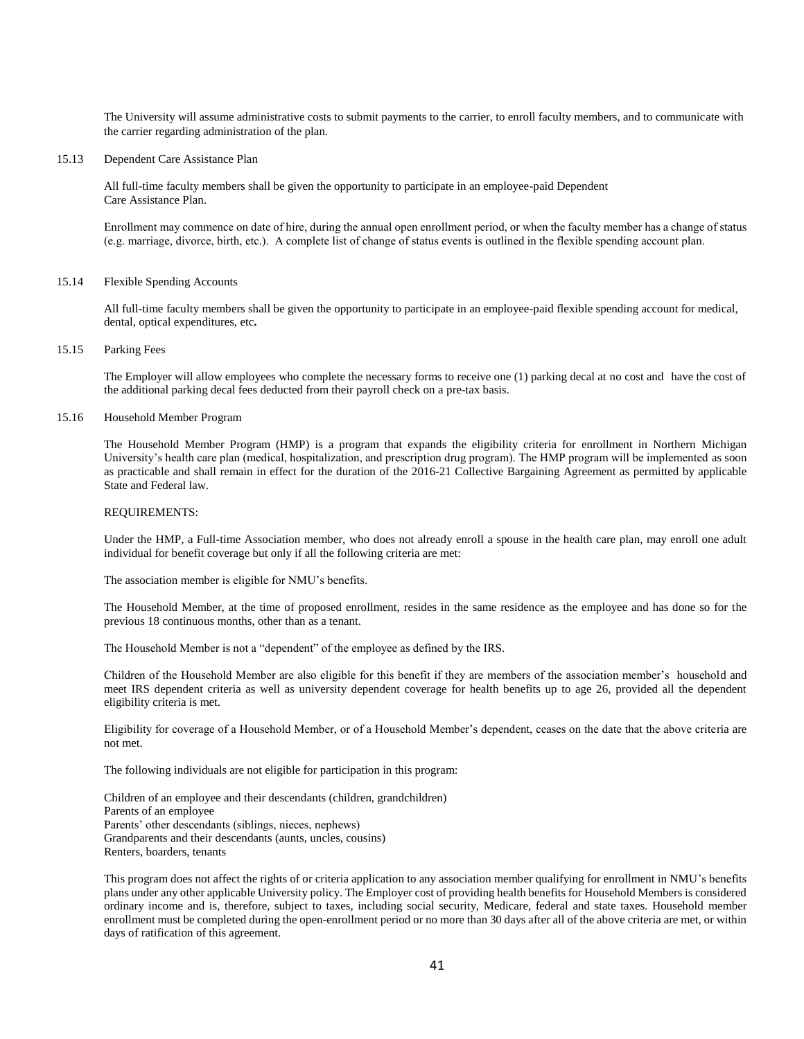The University will assume administrative costs to submit payments to the carrier, to enroll faculty members, and to communicate with the carrier regarding administration of the plan.

### 15.13 Dependent Care Assistance Plan

All full-time faculty members shall be given the opportunity to participate in an employee-paid Dependent Care Assistance Plan.

Enrollment may commence on date of hire, during the annual open enrollment period, or when the faculty member has a change of status (e.g. marriage, divorce, birth, etc.). A complete list of change of status events is outlined in the flexible spending account plan.

#### 15.14 Flexible Spending Accounts

All full-time faculty members shall be given the opportunity to participate in an employee-paid flexible spending account for medical, dental, optical expenditures, etc**.**

#### 15.15 Parking Fees

The Employer will allow employees who complete the necessary forms to receive one (1) parking decal at no cost and have the cost of the additional parking decal fees deducted from their payroll check on a pre-tax basis.

### 15.16 Household Member Program

The Household Member Program (HMP) is a program that expands the eligibility criteria for enrollment in Northern Michigan University's health care plan (medical, hospitalization, and prescription drug program). The HMP program will be implemented as soon as practicable and shall remain in effect for the duration of the 2016-21 Collective Bargaining Agreement as permitted by applicable State and Federal law.

### REQUIREMENTS:

Under the HMP, a Full-time Association member, who does not already enroll a spouse in the health care plan, may enroll one adult individual for benefit coverage but only if all the following criteria are met:

The association member is eligible for NMU's benefits.

The Household Member, at the time of proposed enrollment, resides in the same residence as the employee and has done so for the previous 18 continuous months, other than as a tenant.

The Household Member is not a "dependent" of the employee as defined by the IRS.

Children of the Household Member are also eligible for this benefit if they are members of the association member's household and meet IRS dependent criteria as well as university dependent coverage for health benefits up to age 26, provided all the dependent eligibility criteria is met.

Eligibility for coverage of a Household Member, or of a Household Member's dependent, ceases on the date that the above criteria are not met.

The following individuals are not eligible for participation in this program:

Children of an employee and their descendants (children, grandchildren) Parents of an employee Parents' other descendants (siblings, nieces, nephews) Grandparents and their descendants (aunts, uncles, cousins) Renters, boarders, tenants

This program does not affect the rights of or criteria application to any association member qualifying for enrollment in NMU's benefits plans under any other applicable University policy. The Employer cost of providing health benefits for Household Members is considered ordinary income and is, therefore, subject to taxes, including social security, Medicare, federal and state taxes. Household member enrollment must be completed during the open-enrollment period or no more than 30 days after all of the above criteria are met, or within days of ratification of this agreement.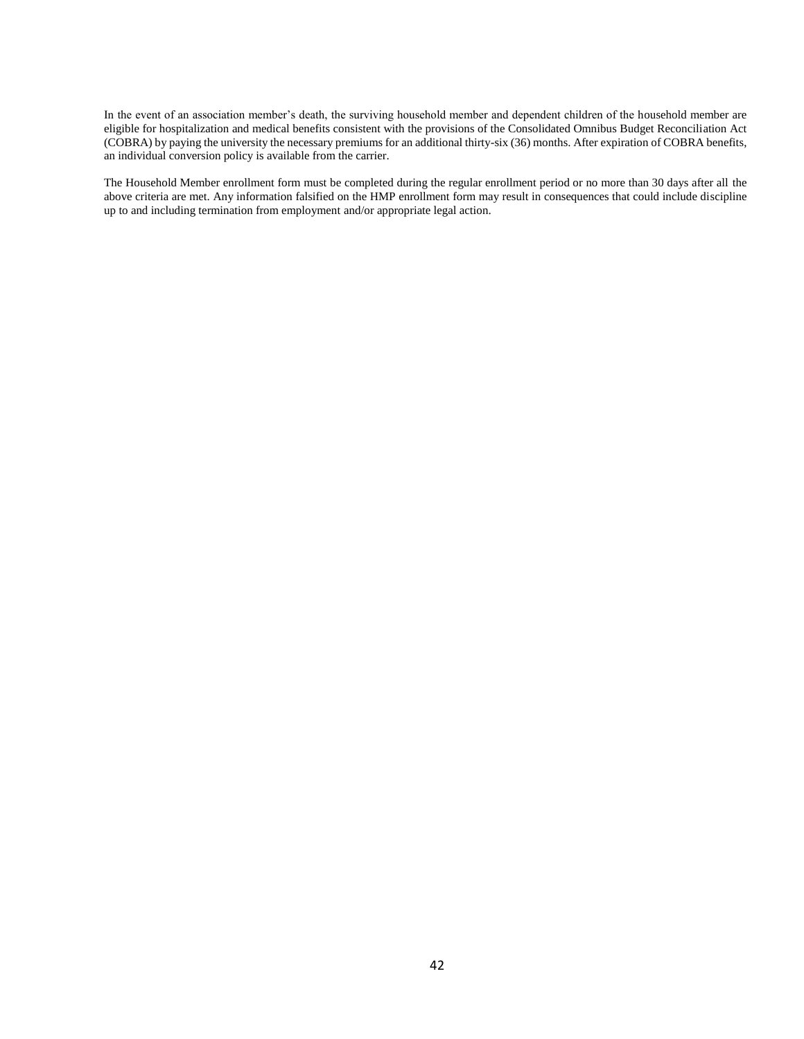In the event of an association member's death, the surviving household member and dependent children of the household member are eligible for hospitalization and medical benefits consistent with the provisions of the Consolidated Omnibus Budget Reconciliation Act (COBRA) by paying the university the necessary premiums for an additional thirty-six (36) months. After expiration of COBRA benefits, an individual conversion policy is available from the carrier.

The Household Member enrollment form must be completed during the regular enrollment period or no more than 30 days after all the above criteria are met. Any information falsified on the HMP enrollment form may result in consequences that could include discipline up to and including termination from employment and/or appropriate legal action.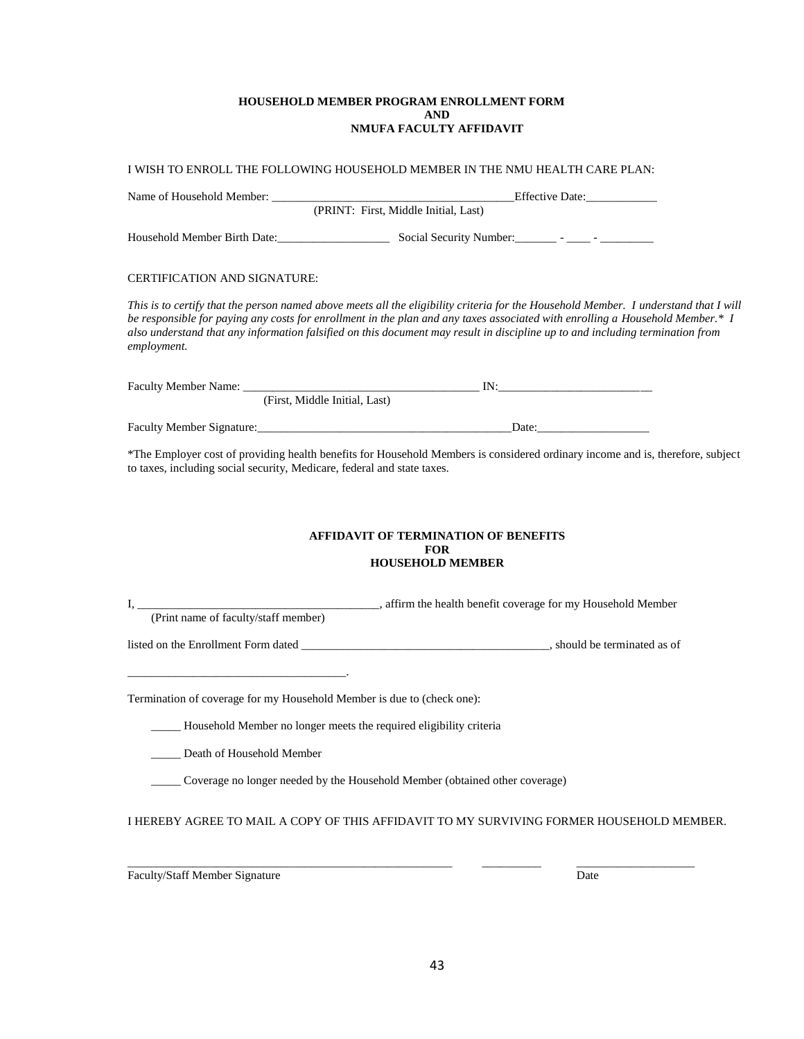## **HOUSEHOLD MEMBER PROGRAM ENROLLMENT FORM AND NMUFA FACULTY AFFIDAVIT**

|                                                                                                                                                                                                 | I WISH TO ENROLL THE FOLLOWING HOUSEHOLD MEMBER IN THE NMU HEALTH CARE PLAN:                                                                                                                                                                                                                                                                                                                           |  |  |  |  |
|-------------------------------------------------------------------------------------------------------------------------------------------------------------------------------------------------|--------------------------------------------------------------------------------------------------------------------------------------------------------------------------------------------------------------------------------------------------------------------------------------------------------------------------------------------------------------------------------------------------------|--|--|--|--|
|                                                                                                                                                                                                 |                                                                                                                                                                                                                                                                                                                                                                                                        |  |  |  |  |
|                                                                                                                                                                                                 | (PRINT: First, Middle Initial, Last)                                                                                                                                                                                                                                                                                                                                                                   |  |  |  |  |
|                                                                                                                                                                                                 |                                                                                                                                                                                                                                                                                                                                                                                                        |  |  |  |  |
| <b>CERTIFICATION AND SIGNATURE:</b>                                                                                                                                                             |                                                                                                                                                                                                                                                                                                                                                                                                        |  |  |  |  |
| employment.                                                                                                                                                                                     | This is to certify that the person named above meets all the eligibility criteria for the Household Member. I understand that I will<br>be responsible for paying any costs for enrollment in the plan and any taxes associated with enrolling a Household Member.* I<br>also understand that any information falsified on this document may result in discipline up to and including termination from |  |  |  |  |
|                                                                                                                                                                                                 |                                                                                                                                                                                                                                                                                                                                                                                                        |  |  |  |  |
| (First, Middle Initial, Last)                                                                                                                                                                   |                                                                                                                                                                                                                                                                                                                                                                                                        |  |  |  |  |
|                                                                                                                                                                                                 | Faculty Member Signature: Contact Contact Contact Contact Contact Contact Contact Contact Contact Contact Contact Contact Contact Contact Contact Contact Contact Contact Contact Contact Contact Contact Contact Contact Cont                                                                                                                                                                         |  |  |  |  |
| to taxes, including social security, Medicare, federal and state taxes.                                                                                                                         | *The Employer cost of providing health benefits for Household Members is considered ordinary income and is, therefore, subject                                                                                                                                                                                                                                                                         |  |  |  |  |
|                                                                                                                                                                                                 | <b>AFFIDAVIT OF TERMINATION OF BENEFITS</b><br><b>FOR</b><br><b>HOUSEHOLD MEMBER</b>                                                                                                                                                                                                                                                                                                                   |  |  |  |  |
|                                                                                                                                                                                                 | (Print name of faculty/staff member) affirm the health benefit coverage for my Household Member                                                                                                                                                                                                                                                                                                        |  |  |  |  |
|                                                                                                                                                                                                 |                                                                                                                                                                                                                                                                                                                                                                                                        |  |  |  |  |
|                                                                                                                                                                                                 |                                                                                                                                                                                                                                                                                                                                                                                                        |  |  |  |  |
| <u> 1989 - Johann John Stone, meil er fan de ferske fan de ferske fan de ferske fan de ferske fan de ferske fan d</u><br>Termination of coverage for my Household Member is due to (check one): |                                                                                                                                                                                                                                                                                                                                                                                                        |  |  |  |  |
| _____ Household Member no longer meets the required eligibility criteria                                                                                                                        |                                                                                                                                                                                                                                                                                                                                                                                                        |  |  |  |  |
| Death of Household Member                                                                                                                                                                       |                                                                                                                                                                                                                                                                                                                                                                                                        |  |  |  |  |
|                                                                                                                                                                                                 | Coverage no longer needed by the Household Member (obtained other coverage)                                                                                                                                                                                                                                                                                                                            |  |  |  |  |
|                                                                                                                                                                                                 | I HEREBY AGREE TO MAIL A COPY OF THIS AFFIDAVIT TO MY SURVIVING FORMER HOUSEHOLD MEMBER.                                                                                                                                                                                                                                                                                                               |  |  |  |  |
| Faculty/Staff Member Signature                                                                                                                                                                  | Date                                                                                                                                                                                                                                                                                                                                                                                                   |  |  |  |  |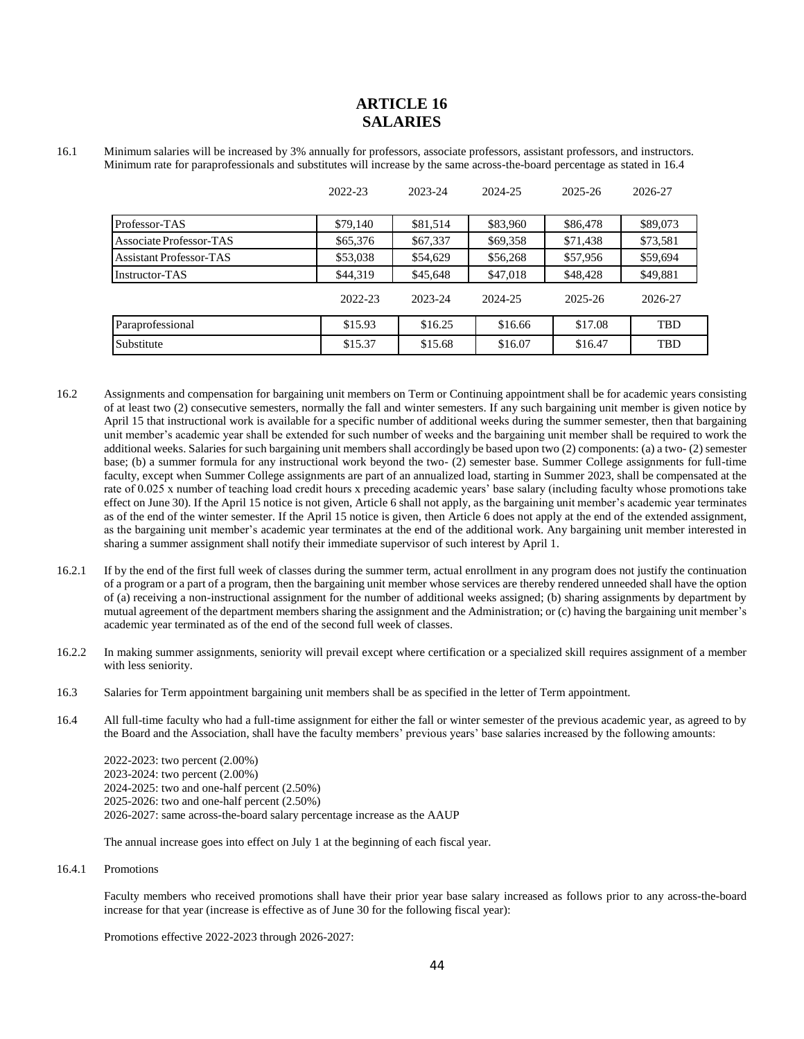## **ARTICLE 16 SALARIES**

16.1 Minimum salaries will be increased by 3% annually for professors, associate professors, assistant professors, and instructors. Minimum rate for paraprofessionals and substitutes will increase by the same across-the-board percentage as stated in 16.4

|                                | 2022-23  | 2023-24  | 2024-25  | 2025-26     | 2026-27    |
|--------------------------------|----------|----------|----------|-------------|------------|
| Professor-TAS                  | \$79,140 | \$81,514 | \$83,960 | \$86,478    | \$89,073   |
| Associate Professor-TAS        | \$65,376 | \$67,337 | \$69,358 | \$71,438    | \$73,581   |
| <b>Assistant Professor-TAS</b> | \$53,038 | \$54,629 | \$56,268 | \$57,956    | \$59,694   |
| Instructor-TAS                 | \$44,319 | \$45,648 | \$47,018 | \$48,428    | \$49,881   |
|                                | 2022-23  | 2023-24  | 2024-25  | $2025 - 26$ | 2026-27    |
| Paraprofessional               | \$15.93  | \$16.25  | \$16.66  | \$17.08     | <b>TBD</b> |
| Substitute                     | \$15.37  | \$15.68  | \$16.07  | \$16.47     | TBD        |

- 16.2 Assignments and compensation for bargaining unit members on Term or Continuing appointment shall be for academic years consisting of at least two (2) consecutive semesters, normally the fall and winter semesters. If any such bargaining unit member is given notice by April 15 that instructional work is available for a specific number of additional weeks during the summer semester, then that bargaining unit member's academic year shall be extended for such number of weeks and the bargaining unit member shall be required to work the additional weeks. Salaries for such bargaining unit members shall accordingly be based upon two (2) components: (a) a two- (2) semester base; (b) a summer formula for any instructional work beyond the two- (2) semester base. Summer College assignments for full-time faculty, except when Summer College assignments are part of an annualized load, starting in Summer 2023, shall be compensated at the rate of 0.025 x number of teaching load credit hours x preceding academic years' base salary (including faculty whose promotions take effect on June 30). If the April 15 notice is not given, Article 6 shall not apply, as the bargaining unit member's academic year terminates as of the end of the winter semester. If the April 15 notice is given, then Article 6 does not apply at the end of the extended assignment, as the bargaining unit member's academic year terminates at the end of the additional work. Any bargaining unit member interested in sharing a summer assignment shall notify their immediate supervisor of such interest by April 1.
- 16.2.1 If by the end of the first full week of classes during the summer term, actual enrollment in any program does not justify the continuation of a program or a part of a program, then the bargaining unit member whose services are thereby rendered unneeded shall have the option of (a) receiving a non-instructional assignment for the number of additional weeks assigned; (b) sharing assignments by department by mutual agreement of the department members sharing the assignment and the Administration; or (c) having the bargaining unit member's academic year terminated as of the end of the second full week of classes.
- 16.2.2 In making summer assignments, seniority will prevail except where certification or a specialized skill requires assignment of a member with less seniority.
- 16.3 Salaries for Term appointment bargaining unit members shall be as specified in the letter of Term appointment.
- 16.4 All full-time faculty who had a full-time assignment for either the fall or winter semester of the previous academic year, as agreed to by the Board and the Association, shall have the faculty members' previous years' base salaries increased by the following amounts:

2022-2023: two percent (2.00%) 2023-2024: two percent (2.00%) 2024-2025: two and one-half percent (2.50%) 2025-2026: two and one-half percent (2.50%) 2026-2027: same across-the-board salary percentage increase as the AAUP

The annual increase goes into effect on July 1 at the beginning of each fiscal year.

16.4.1 Promotions

Faculty members who received promotions shall have their prior year base salary increased as follows prior to any across-the-board increase for that year (increase is effective as of June 30 for the following fiscal year):

Promotions effective 2022-2023 through 2026-2027: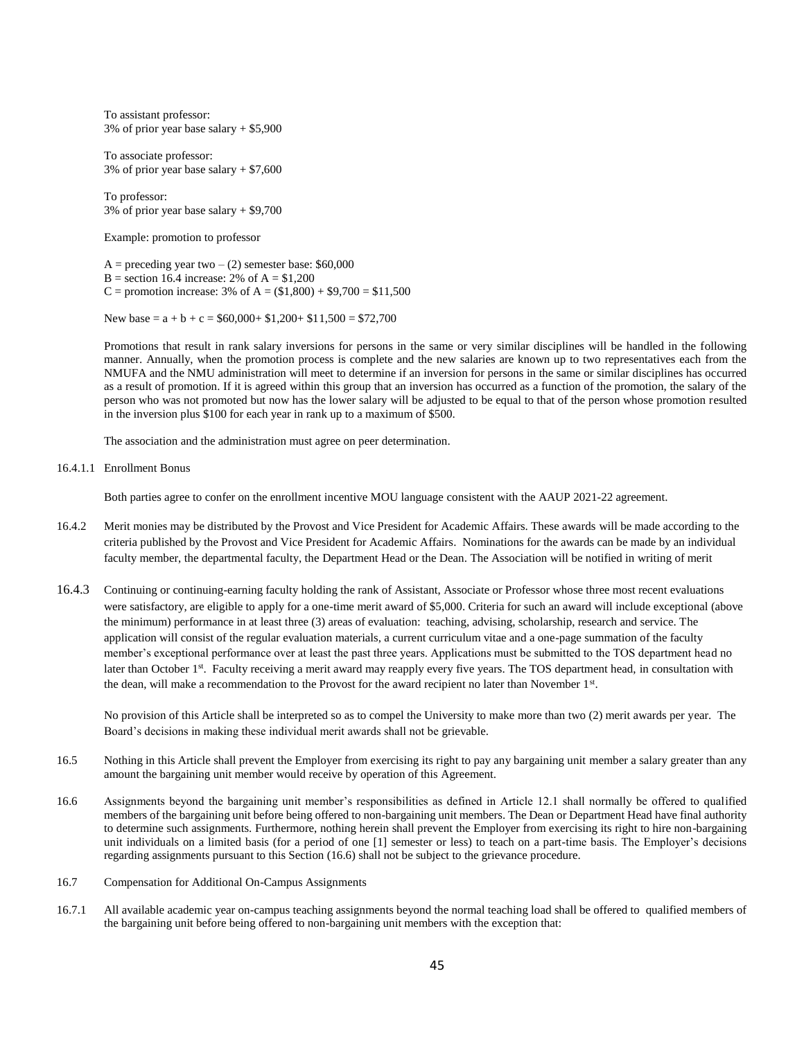To assistant professor: 3% of prior year base salary + \$5,900

To associate professor: 3% of prior year base salary + \$7,600

To professor: 3% of prior year base salary + \$9,700

Example: promotion to professor

A = preceding year two  $-$  (2) semester base: \$60,000 B = section 16.4 increase:  $2\%$  of A = \$1,200 C = promotion increase:  $3\%$  of A =  $(\$1,800) + \$9,700 = \$11,500$ 

New base =  $a + b + c = $60,000+ $1,200+ $11,500 = $72,700$ 

Promotions that result in rank salary inversions for persons in the same or very similar disciplines will be handled in the following manner. Annually, when the promotion process is complete and the new salaries are known up to two representatives each from the NMUFA and the NMU administration will meet to determine if an inversion for persons in the same or similar disciplines has occurred as a result of promotion. If it is agreed within this group that an inversion has occurred as a function of the promotion, the salary of the person who was not promoted but now has the lower salary will be adjusted to be equal to that of the person whose promotion resulted in the inversion plus \$100 for each year in rank up to a maximum of \$500.

The association and the administration must agree on peer determination.

16.4.1.1 Enrollment Bonus

Both parties agree to confer on the enrollment incentive MOU language consistent with the AAUP 2021-22 agreement.

- 16.4.2 Merit monies may be distributed by the Provost and Vice President for Academic Affairs. These awards will be made according to the criteria published by the Provost and Vice President for Academic Affairs. Nominations for the awards can be made by an individual faculty member, the departmental faculty, the Department Head or the Dean. The Association will be notified in writing of merit
- 16.4.3 Continuing or continuing-earning faculty holding the rank of Assistant, Associate or Professor whose three most recent evaluations were satisfactory, are eligible to apply for a one-time merit award of \$5,000. Criteria for such an award will include exceptional (above the minimum) performance in at least three (3) areas of evaluation: teaching, advising, scholarship, research and service. The application will consist of the regular evaluation materials, a current curriculum vitae and a one-page summation of the faculty member's exceptional performance over at least the past three years. Applications must be submitted to the TOS department head no later than October 1st. Faculty receiving a merit award may reapply every five years. The TOS department head, in consultation with the dean, will make a recommendation to the Provost for the award recipient no later than November 1<sup>st</sup>.

No provision of this Article shall be interpreted so as to compel the University to make more than two (2) merit awards per year. The Board's decisions in making these individual merit awards shall not be grievable.

- 16.5 Nothing in this Article shall prevent the Employer from exercising its right to pay any bargaining unit member a salary greater than any amount the bargaining unit member would receive by operation of this Agreement.
- 16.6 Assignments beyond the bargaining unit member's responsibilities as defined in Article 12.1 shall normally be offered to qualified members of the bargaining unit before being offered to non-bargaining unit members. The Dean or Department Head have final authority to determine such assignments. Furthermore, nothing herein shall prevent the Employer from exercising its right to hire non-bargaining unit individuals on a limited basis (for a period of one [1] semester or less) to teach on a part-time basis. The Employer's decisions regarding assignments pursuant to this Section (16.6) shall not be subject to the grievance procedure.
- 16.7 Compensation for Additional On-Campus Assignments
- 16.7.1 All available academic year on-campus teaching assignments beyond the normal teaching load shall be offered to qualified members of the bargaining unit before being offered to non-bargaining unit members with the exception that: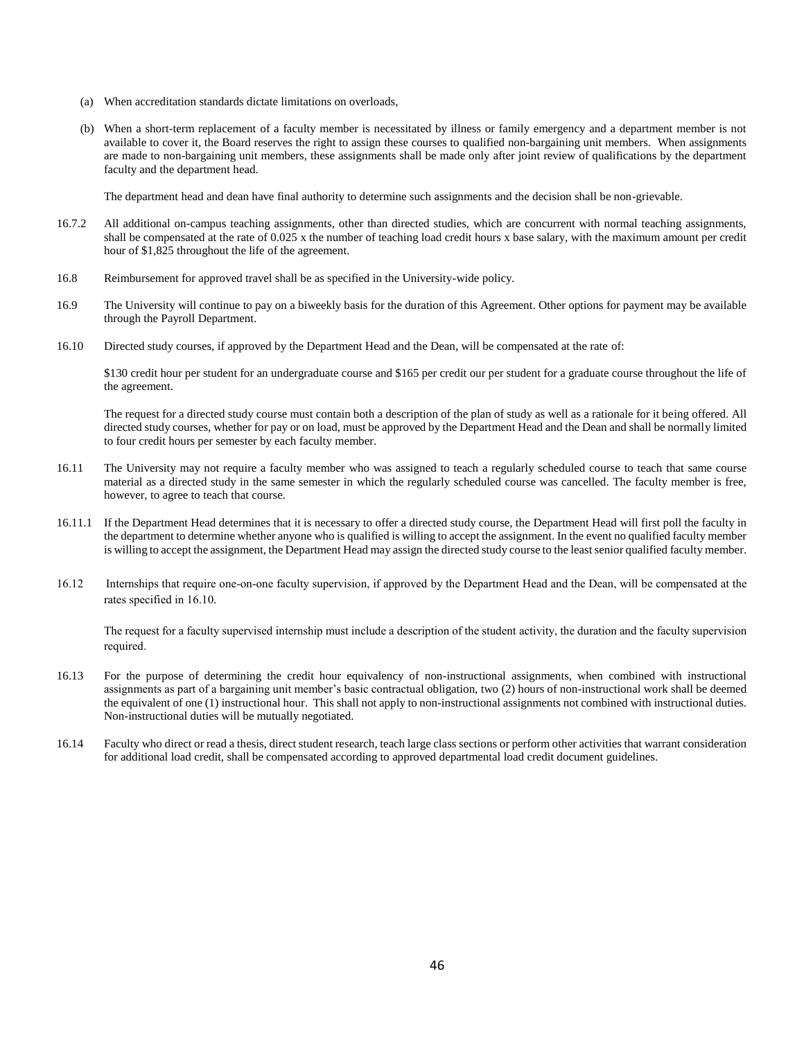- (a) When accreditation standards dictate limitations on overloads,
- (b) When a short-term replacement of a faculty member is necessitated by illness or family emergency and a department member is not available to cover it, the Board reserves the right to assign these courses to qualified non-bargaining unit members. When assignments are made to non-bargaining unit members, these assignments shall be made only after joint review of qualifications by the department faculty and the department head.

The department head and dean have final authority to determine such assignments and the decision shall be non-grievable.

- 16.7.2 All additional on-campus teaching assignments, other than directed studies, which are concurrent with normal teaching assignments, shall be compensated at the rate of 0.025 x the number of teaching load credit hours x base salary, with the maximum amount per credit hour of \$1,825 throughout the life of the agreement.
- 16.8 Reimbursement for approved travel shall be as specified in the University-wide policy.
- 16.9 The University will continue to pay on a biweekly basis for the duration of this Agreement. Other options for payment may be available through the Payroll Department.
- 16.10 Directed study courses, if approved by the Department Head and the Dean, will be compensated at the rate of:

\$130 credit hour per student for an undergraduate course and \$165 per credit our per student for a graduate course throughout the life of the agreement.

The request for a directed study course must contain both a description of the plan of study as well as a rationale for it being offered. All directed study courses, whether for pay or on load, must be approved by the Department Head and the Dean and shall be normally limited to four credit hours per semester by each faculty member.

- 16.11 The University may not require a faculty member who was assigned to teach a regularly scheduled course to teach that same course material as a directed study in the same semester in which the regularly scheduled course was cancelled. The faculty member is free, however, to agree to teach that course.
- 16.11.1 If the Department Head determines that it is necessary to offer a directed study course, the Department Head will first poll the faculty in the department to determine whether anyone who is qualified is willing to accept the assignment. In the event no qualified faculty member is willing to accept the assignment, the Department Head may assign the directed study course to the least senior qualified faculty member.
- 16.12 Internships that require one-on-one faculty supervision, if approved by the Department Head and the Dean, will be compensated at the rates specified in 16.10.

The request for a faculty supervised internship must include a description of the student activity, the duration and the faculty supervision required.

- 16.13 For the purpose of determining the credit hour equivalency of non-instructional assignments, when combined with instructional assignments as part of a bargaining unit member's basic contractual obligation, two (2) hours of non-instructional work shall be deemed the equivalent of one (1) instructional hour. This shall not apply to non-instructional assignments not combined with instructional duties. Non-instructional duties will be mutually negotiated.
- 16.14 Faculty who direct or read a thesis, direct student research, teach large class sections or perform other activities that warrant consideration for additional load credit, shall be compensated according to approved departmental load credit document guidelines.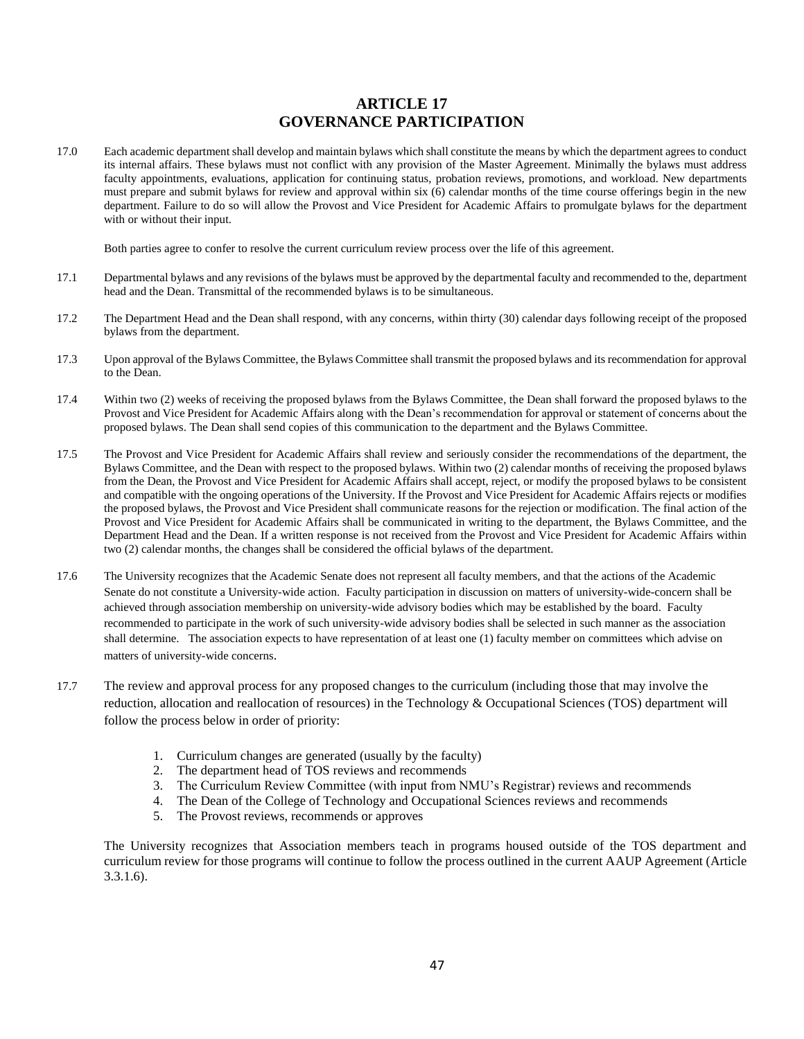## **ARTICLE 17 GOVERNANCE PARTICIPATION**

17.0 Each academic department shall develop and maintain bylaws which shall constitute the means by which the department agrees to conduct its internal affairs. These bylaws must not conflict with any provision of the Master Agreement. Minimally the bylaws must address faculty appointments, evaluations, application for continuing status, probation reviews, promotions, and workload. New departments must prepare and submit bylaws for review and approval within six (6) calendar months of the time course offerings begin in the new department. Failure to do so will allow the Provost and Vice President for Academic Affairs to promulgate bylaws for the department with or without their input.

Both parties agree to confer to resolve the current curriculum review process over the life of this agreement.

- 17.1 Departmental bylaws and any revisions of the bylaws must be approved by the departmental faculty and recommended to the, department head and the Dean. Transmittal of the recommended bylaws is to be simultaneous.
- 17.2 The Department Head and the Dean shall respond, with any concerns, within thirty (30) calendar days following receipt of the proposed bylaws from the department.
- 17.3 Upon approval of the Bylaws Committee, the Bylaws Committee shall transmit the proposed bylaws and its recommendation for approval to the Dean.
- 17.4 Within two (2) weeks of receiving the proposed bylaws from the Bylaws Committee, the Dean shall forward the proposed bylaws to the Provost and Vice President for Academic Affairs along with the Dean's recommendation for approval or statement of concerns about the proposed bylaws. The Dean shall send copies of this communication to the department and the Bylaws Committee.
- 17.5 The Provost and Vice President for Academic Affairs shall review and seriously consider the recommendations of the department, the Bylaws Committee, and the Dean with respect to the proposed bylaws. Within two (2) calendar months of receiving the proposed bylaws from the Dean, the Provost and Vice President for Academic Affairs shall accept, reject, or modify the proposed bylaws to be consistent and compatible with the ongoing operations of the University. If the Provost and Vice President for Academic Affairs rejects or modifies the proposed bylaws, the Provost and Vice President shall communicate reasons for the rejection or modification. The final action of the Provost and Vice President for Academic Affairs shall be communicated in writing to the department, the Bylaws Committee, and the Department Head and the Dean. If a written response is not received from the Provost and Vice President for Academic Affairs within two (2) calendar months, the changes shall be considered the official bylaws of the department.
- 17.6 The University recognizes that the Academic Senate does not represent all faculty members, and that the actions of the Academic Senate do not constitute a University-wide action. Faculty participation in discussion on matters of university-wide-concern shall be achieved through association membership on university-wide advisory bodies which may be established by the board. Faculty recommended to participate in the work of such university-wide advisory bodies shall be selected in such manner as the association shall determine. The association expects to have representation of at least one (1) faculty member on committees which advise on matters of university-wide concerns.
- 17.7 The review and approval process for any proposed changes to the curriculum (including those that may involve the reduction, allocation and reallocation of resources) in the Technology & Occupational Sciences (TOS) department will follow the process below in order of priority:
	- 1. Curriculum changes are generated (usually by the faculty)
	- 2. The department head of TOS reviews and recommends
	- 3. The Curriculum Review Committee (with input from NMU's Registrar) reviews and recommends
	- 4. The Dean of the College of Technology and Occupational Sciences reviews and recommends
	- 5. The Provost reviews, recommends or approves

The University recognizes that Association members teach in programs housed outside of the TOS department and curriculum review for those programs will continue to follow the process outlined in the current AAUP Agreement (Article 3.3.1.6).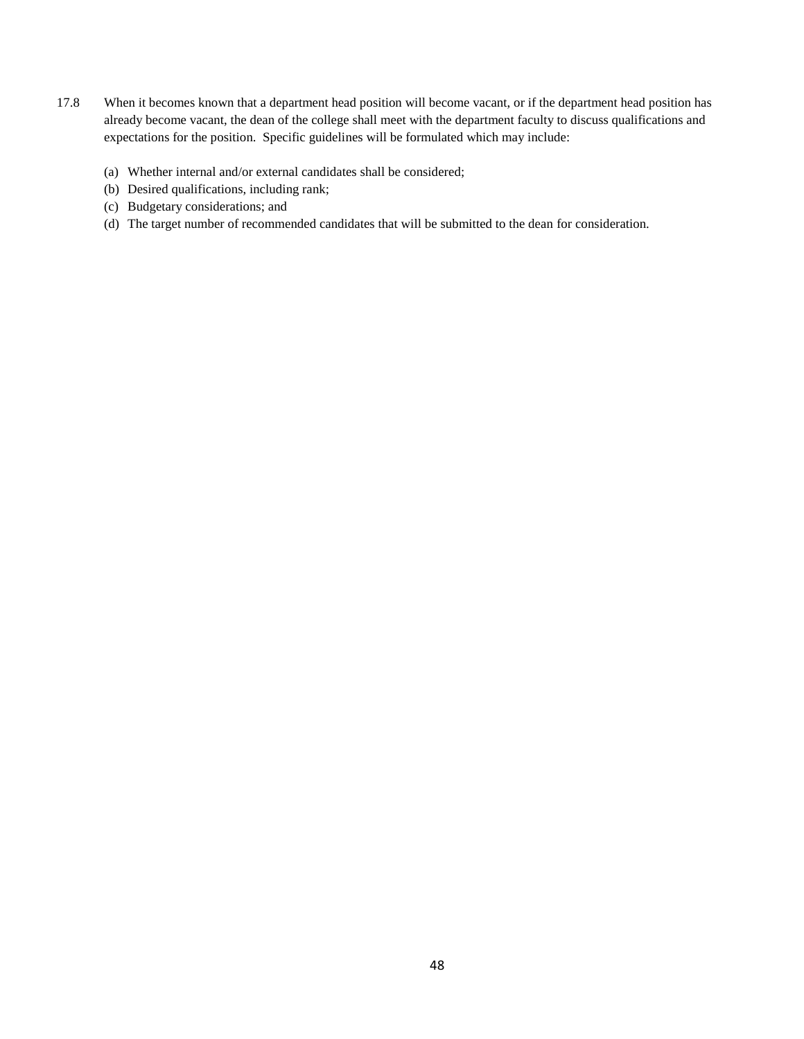- 17.8 When it becomes known that a department head position will become vacant, or if the department head position has already become vacant, the dean of the college shall meet with the department faculty to discuss qualifications and expectations for the position. Specific guidelines will be formulated which may include:
	- (a) Whether internal and/or external candidates shall be considered;
	- (b) Desired qualifications, including rank;
	- (c) Budgetary considerations; and
	- (d) The target number of recommended candidates that will be submitted to the dean for consideration.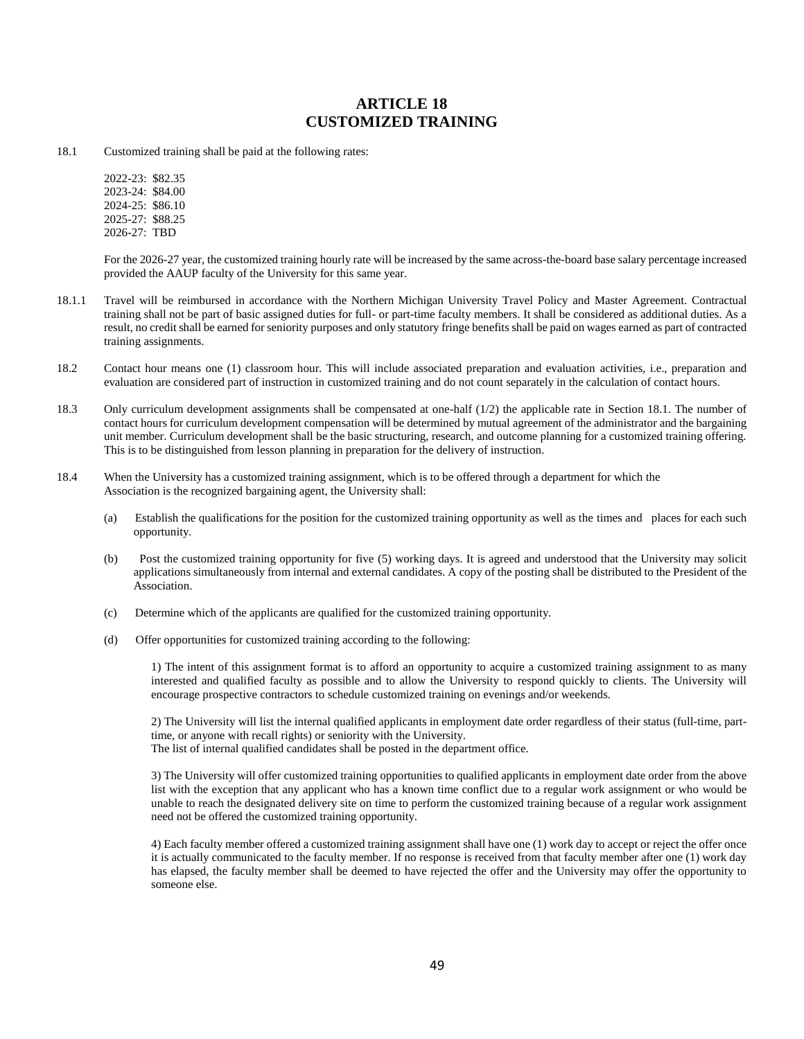## **ARTICLE 18 CUSTOMIZED TRAINING**

- 18.1 Customized training shall be paid at the following rates:
	- 2022-23: \$82.35 2023-24: \$84.00 2024-25: \$86.10 2025-27: \$88.25 2026-27: TBD

For the 2026-27 year, the customized training hourly rate will be increased by the same across-the-board base salary percentage increased provided the AAUP faculty of the University for this same year.

- 18.1.1 Travel will be reimbursed in accordance with the Northern Michigan University Travel Policy and Master Agreement. Contractual training shall not be part of basic assigned duties for full- or part-time faculty members. It shall be considered as additional duties. As a result, no credit shall be earned for seniority purposes and only statutory fringe benefits shall be paid on wages earned as part of contracted training assignments.
- 18.2 Contact hour means one (1) classroom hour. This will include associated preparation and evaluation activities, i.e., preparation and evaluation are considered part of instruction in customized training and do not count separately in the calculation of contact hours.
- 18.3 Only curriculum development assignments shall be compensated at one-half (1/2) the applicable rate in Section 18.1. The number of contact hours for curriculum development compensation will be determined by mutual agreement of the administrator and the bargaining unit member. Curriculum development shall be the basic structuring, research, and outcome planning for a customized training offering. This is to be distinguished from lesson planning in preparation for the delivery of instruction.
- 18.4 When the University has a customized training assignment, which is to be offered through a department for which the Association is the recognized bargaining agent, the University shall:
	- (a) Establish the qualifications for the position for the customized training opportunity as well as the times and places for each such opportunity.
	- (b) Post the customized training opportunity for five (5) working days. It is agreed and understood that the University may solicit applications simultaneously from internal and external candidates. A copy of the posting shall be distributed to the President of the Association.
	- (c) Determine which of the applicants are qualified for the customized training opportunity.
	- (d) Offer opportunities for customized training according to the following:

1) The intent of this assignment format is to afford an opportunity to acquire a customized training assignment to as many interested and qualified faculty as possible and to allow the University to respond quickly to clients. The University will encourage prospective contractors to schedule customized training on evenings and/or weekends.

2) The University will list the internal qualified applicants in employment date order regardless of their status (full-time, parttime, or anyone with recall rights) or seniority with the University. The list of internal qualified candidates shall be posted in the department office.

3) The University will offer customized training opportunities to qualified applicants in employment date order from the above list with the exception that any applicant who has a known time conflict due to a regular work assignment or who would be unable to reach the designated delivery site on time to perform the customized training because of a regular work assignment need not be offered the customized training opportunity.

4) Each faculty member offered a customized training assignment shall have one (1) work day to accept or reject the offer once it is actually communicated to the faculty member. If no response is received from that faculty member after one (1) work day has elapsed, the faculty member shall be deemed to have rejected the offer and the University may offer the opportunity to someone else.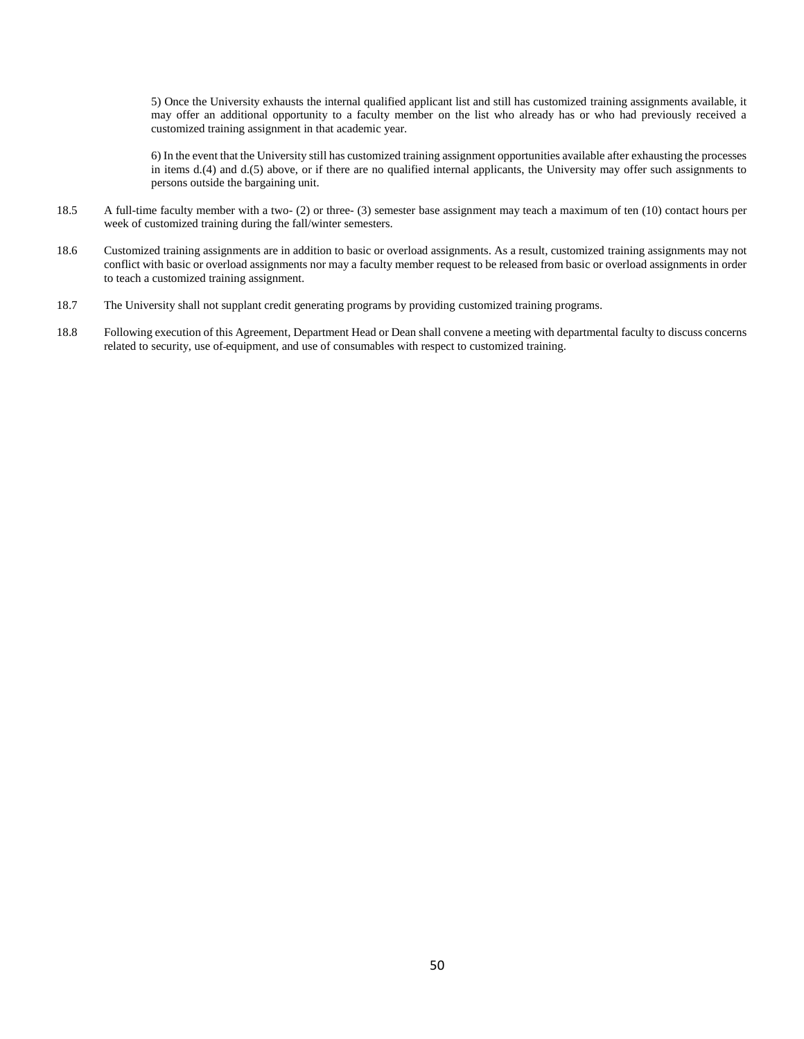5) Once the University exhausts the internal qualified applicant list and still has customized training assignments available, it may offer an additional opportunity to a faculty member on the list who already has or who had previously received a customized training assignment in that academic year.

6) In the event that the University still has customized training assignment opportunities available after exhausting the processes in items d.(4) and d.(5) above, or if there are no qualified internal applicants, the University may offer such assignments to persons outside the bargaining unit.

- 18.5 A full-time faculty member with a two- (2) or three- (3) semester base assignment may teach a maximum of ten (10) contact hours per week of customized training during the fall/winter semesters.
- 18.6 Customized training assignments are in addition to basic or overload assignments. As a result, customized training assignments may not conflict with basic or overload assignments nor may a faculty member request to be released from basic or overload assignments in order to teach a customized training assignment.
- 18.7 The University shall not supplant credit generating programs by providing customized training programs.
- 18.8 Following execution of this Agreement, Department Head or Dean shall convene a meeting with departmental faculty to discuss concerns related to security, use of equipment, and use of consumables with respect to customized training.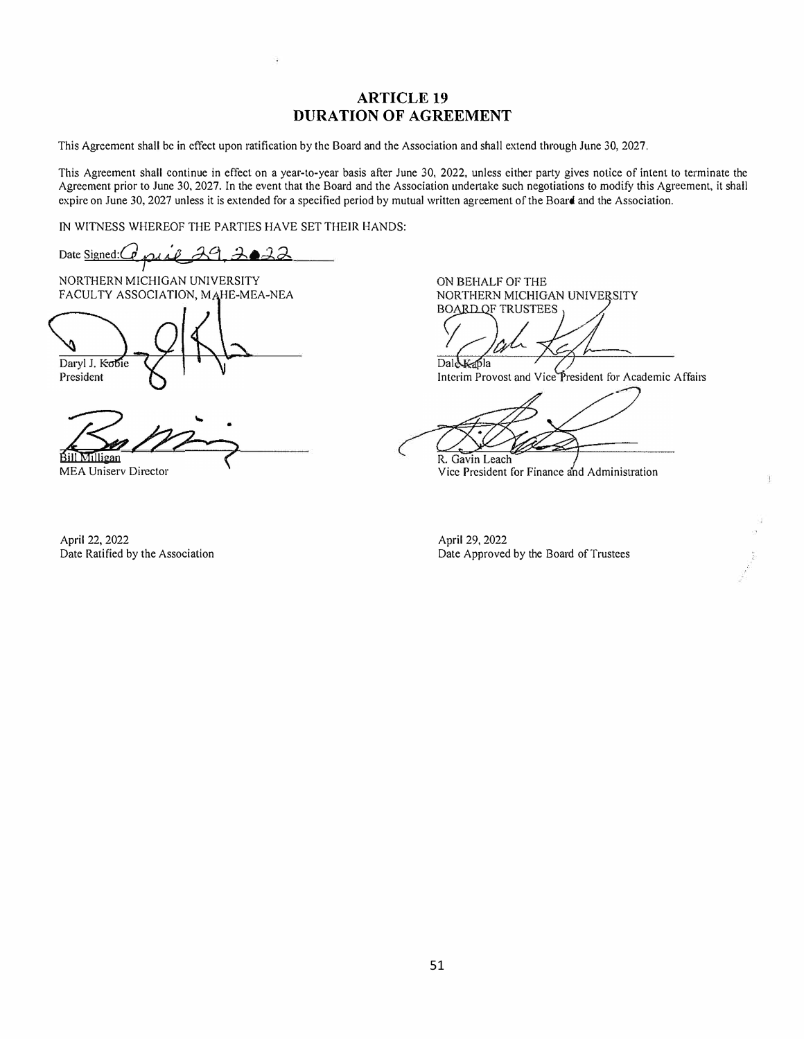## **ARTICLE 19 DURATION OF AGREEMENT**

This Agreement shall be in effect upon ratification by the Board and the Association and shall extend through June 30, 2027.

This Agreement shall continue in effect on a year-to-year basis after June 30, 2022, unless either party gives notice of intent to terminate the Agreement prior to June 30, 2027. In the event that the Board and the Association undertake such negotiations to modify this Agreement, it shall expire on June 30, 2027 unless it is extended for a specified period by mutual written agreement of the Board and the Association.

IN WITNESS WHEREOF THE PARTIES HAVE SET THEIR HANDS:

Date Signed:

NORTHERN MICHIGAN UNIVERSITY FACULTY ASSOCIATION, MAHE-MEA-NEA

Daryl J. Kobie President

Milligan

MEA Uniserv Director

April 22, 2022 Date Ratified by the Association

ON BEHALF OF THE NORTHERN MICHIGAN UNIVERSITY **BOARD OF TRUSTEES** 

Dale Kapla

Interim Provost and Vice President for Academic Affairs

R. Gavin Leach

Vice President for Finance and Administration

April 29, 2022 Date Approved by the Board of Trustees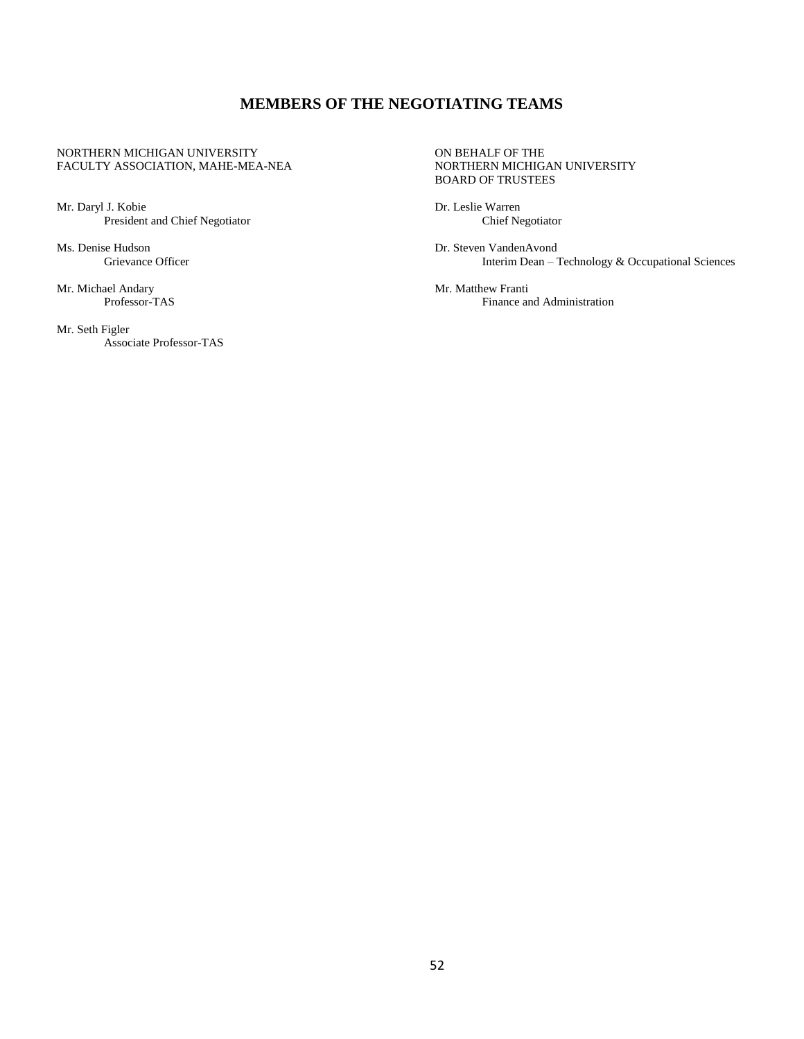## **MEMBERS OF THE NEGOTIATING TEAMS**

### NORTHERN MICHIGAN UNIVERSITY ON BEHALF OF THE FACULTY ASSOCIATION, MAHE-MEA-NEA

Mr. Daryl J. Kobie Dr. Leslie Warren President and Chief Negotiator Chief Negotiator Chief Negotiator

Ms. Denise Hudson Dr. Steven VandenAvond Dr. Steven VandenAvond Dr. Steven VandenAvond Dr. Steven VandenAvond Dr. Steven VandenAvond Dr. Steven VandenAvond Dr. Steven VandenAvond Dr. Steven VandenAvond Dr. Steven VandenAvo

Mr. Michael Andary Mr. Matthew Franti<br>Professor-TAS Finance are a set of the set of the set of the set of the set of the set of the set of the set of the set of the set of the set of the set of the set of the set of the se

Mr. Seth Figler Associate Professor-TAS BOARD OF TRUSTEES

Interim Dean – Technology & Occupational Sciences

Finance and Administration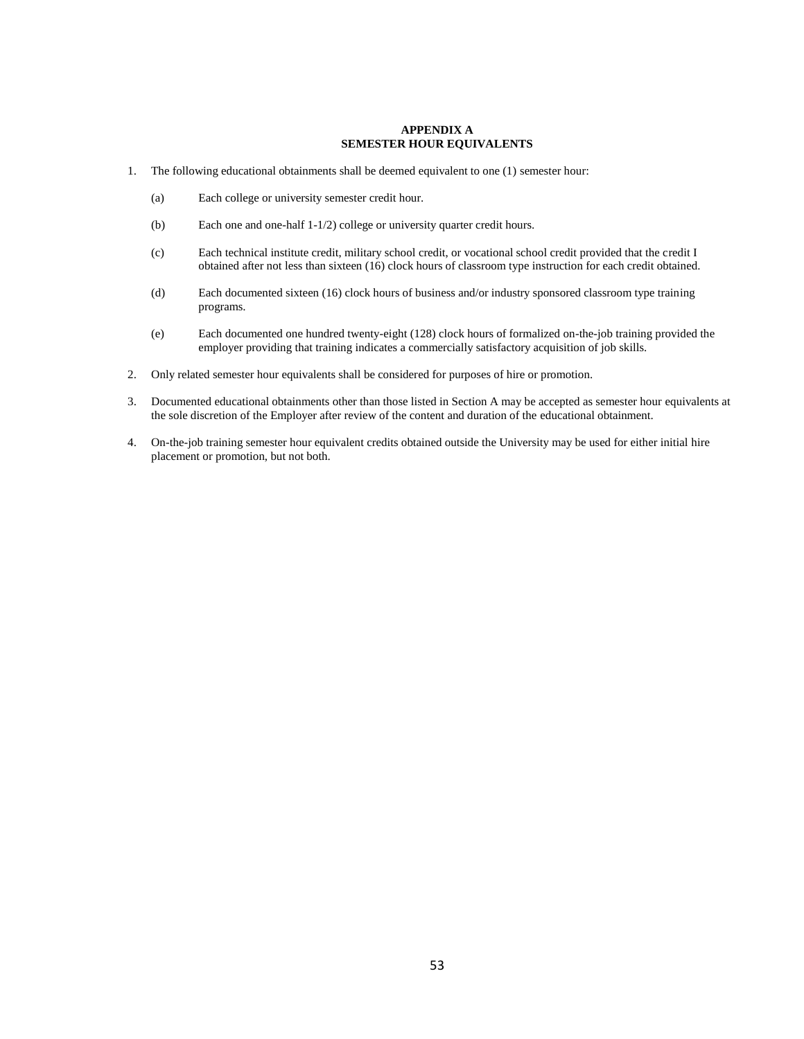### **APPENDIX A SEMESTER HOUR EQUIVALENTS**

- 1. The following educational obtainments shall be deemed equivalent to one (1) semester hour:
	- (a) Each college or university semester credit hour.
	- (b) Each one and one-half 1-1/2) college or university quarter credit hours.
	- (c) Each technical institute credit, military school credit, or vocational school credit provided that the credit I obtained after not less than sixteen (16) clock hours of classroom type instruction for each credit obtained.
	- (d) Each documented sixteen (16) clock hours of business and/or industry sponsored classroom type training programs.
	- (e) Each documented one hundred twenty-eight (128) clock hours of formalized on-the-job training provided the employer providing that training indicates a commercially satisfactory acquisition of job skills.
- 2. Only related semester hour equivalents shall be considered for purposes of hire or promotion.
- 3. Documented educational obtainments other than those listed in Section A may be accepted as semester hour equivalents at the sole discretion of the Employer after review of the content and duration of the educational obtainment.
- 4. On-the-job training semester hour equivalent credits obtained outside the University may be used for either initial hire placement or promotion, but not both.